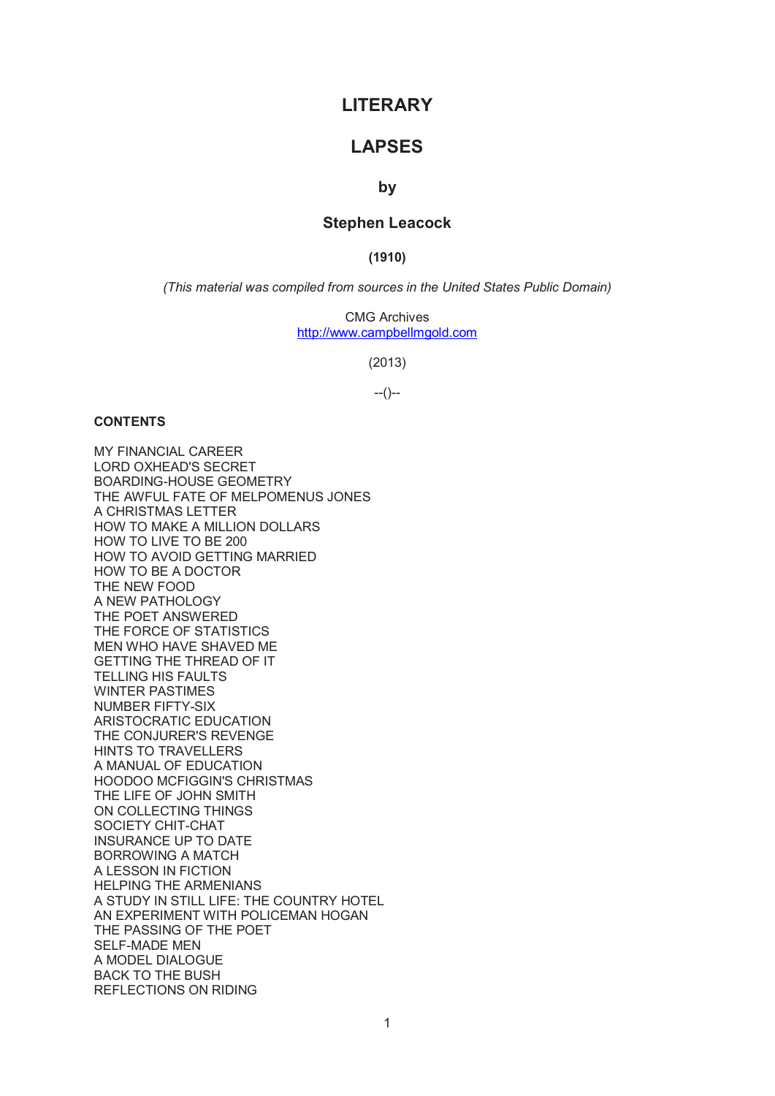# **LITERARY**

# **LAPSES**

# **by**

# **Stephen Leacock**

**(1910)** 

*(This material was compiled from sources in the United States Public Domain)* 

CMG Archives http://www.campbellmgold.com

(2013)

 $-(-)$ 

## **CONTENTS**

MY FINANCIAL CAREER LORD OXHEAD'S SECRET BOARDING-HOUSE GEOMETRY THE AWFUL FATE OF MELPOMENUS JONES A CHRISTMAS LETTER HOW TO MAKE A MILLION DOLLARS HOW TO LIVE TO BE 200 HOW TO AVOID GETTING MARRIED HOW TO BE A DOCTOR THE NEW FOOD A NEW PATHOLOGY THE POET ANSWERED THE FORCE OF STATISTICS MEN WHO HAVE SHAVED ME GETTING THE THREAD OF IT TELLING HIS FAULTS WINTER PASTIMES NUMBER FIFTY-SIX ARISTOCRATIC EDUCATION THE CONJURER'S REVENGE HINTS TO TRAVELLERS A MANUAL OF EDUCATION HOODOO MCFIGGIN'S CHRISTMAS THE LIFE OF JOHN SMITH ON COLLECTING THINGS SOCIETY CHIT-CHAT INSURANCE UP TO DATE BORROWING A MATCH A LESSON IN FICTION HELPING THE ARMENIANS A STUDY IN STILL LIFE: THE COUNTRY HOTEL AN EXPERIMENT WITH POLICEMAN HOGAN THE PASSING OF THE POET SELF-MADE MEN A MODEL DIALOGUE BACK TO THE BUSH REFLECTIONS ON RIDING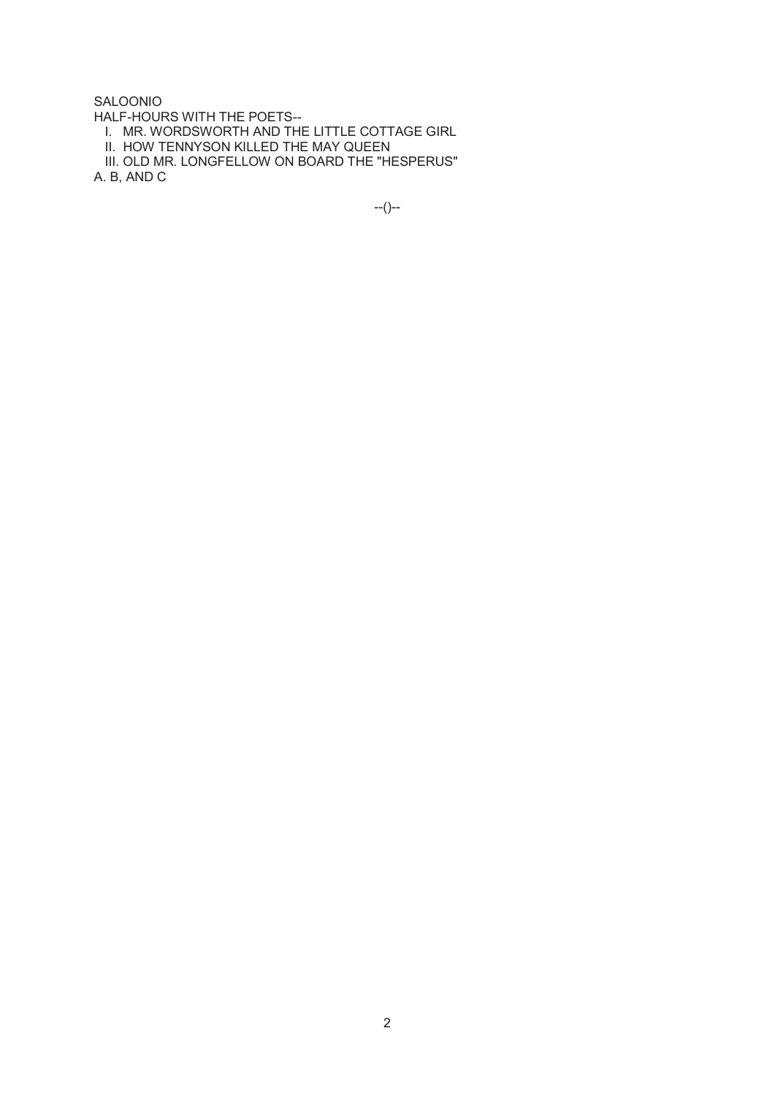# SALOONIO

HALF-HOURS WITH THE POETS--

I. MR. WORDSWORTH AND THE LITTLE COTTAGE GIRL

II. HOW TENNYSON KILLED THE MAY QUEEN

 III. OLD MR. LONGFELLOW ON BOARD THE "HESPERUS" A. B, AND C

--()--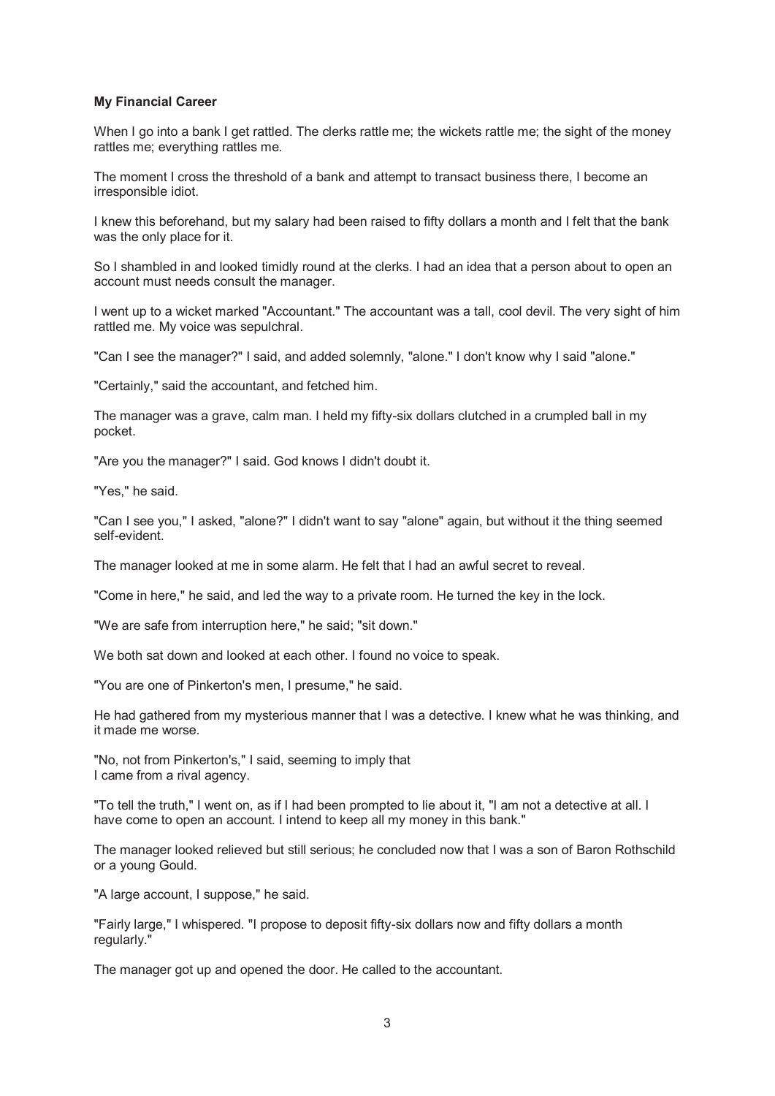## **My Financial Career**

When I go into a bank I get rattled. The clerks rattle me; the wickets rattle me; the sight of the money rattles me; everything rattles me.

The moment I cross the threshold of a bank and attempt to transact business there, I become an irresponsible idiot.

I knew this beforehand, but my salary had been raised to fifty dollars a month and I felt that the bank was the only place for it.

So I shambled in and looked timidly round at the clerks. I had an idea that a person about to open an account must needs consult the manager.

I went up to a wicket marked "Accountant." The accountant was a tall, cool devil. The very sight of him rattled me. My voice was sepulchral.

"Can I see the manager?" I said, and added solemnly, "alone." I don't know why I said "alone."

"Certainly," said the accountant, and fetched him.

The manager was a grave, calm man. I held my fifty-six dollars clutched in a crumpled ball in my pocket.

"Are you the manager?" I said. God knows I didn't doubt it.

"Yes," he said.

"Can I see you," I asked, "alone?" I didn't want to say "alone" again, but without it the thing seemed self-evident.

The manager looked at me in some alarm. He felt that I had an awful secret to reveal.

"Come in here," he said, and led the way to a private room. He turned the key in the lock.

"We are safe from interruption here," he said; "sit down."

We both sat down and looked at each other. I found no voice to speak.

"You are one of Pinkerton's men, I presume," he said.

He had gathered from my mysterious manner that I was a detective. I knew what he was thinking, and it made me worse.

"No, not from Pinkerton's," I said, seeming to imply that I came from a rival agency.

"To tell the truth," I went on, as if I had been prompted to lie about it, "I am not a detective at all. I have come to open an account. I intend to keep all my money in this bank."

The manager looked relieved but still serious; he concluded now that I was a son of Baron Rothschild or a young Gould.

"A large account, I suppose," he said.

"Fairly large," I whispered. "I propose to deposit fifty-six dollars now and fifty dollars a month regularly."

The manager got up and opened the door. He called to the accountant.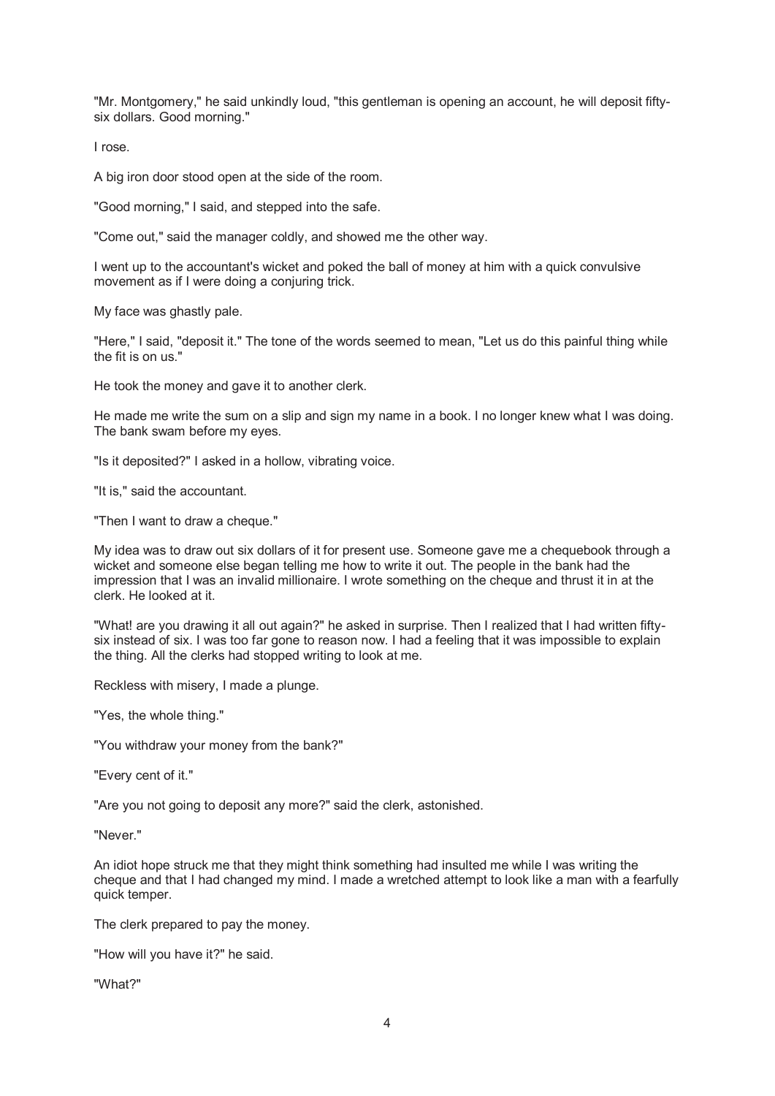"Mr. Montgomery," he said unkindly loud, "this gentleman is opening an account, he will deposit fiftysix dollars. Good morning."

I rose.

A big iron door stood open at the side of the room.

"Good morning," I said, and stepped into the safe.

"Come out," said the manager coldly, and showed me the other way.

I went up to the accountant's wicket and poked the ball of money at him with a quick convulsive movement as if I were doing a conjuring trick.

My face was ghastly pale.

"Here," I said, "deposit it." The tone of the words seemed to mean, "Let us do this painful thing while the fit is on us."

He took the money and gave it to another clerk.

He made me write the sum on a slip and sign my name in a book. I no longer knew what I was doing. The bank swam before my eyes.

"Is it deposited?" I asked in a hollow, vibrating voice.

"It is," said the accountant.

"Then I want to draw a cheque."

My idea was to draw out six dollars of it for present use. Someone gave me a chequebook through a wicket and someone else began telling me how to write it out. The people in the bank had the impression that I was an invalid millionaire. I wrote something on the cheque and thrust it in at the clerk. He looked at it.

"What! are you drawing it all out again?" he asked in surprise. Then I realized that I had written fiftysix instead of six. I was too far gone to reason now. I had a feeling that it was impossible to explain the thing. All the clerks had stopped writing to look at me.

Reckless with misery, I made a plunge.

"Yes, the whole thing."

"You withdraw your money from the bank?"

"Every cent of it."

"Are you not going to deposit any more?" said the clerk, astonished.

"Never."

An idiot hope struck me that they might think something had insulted me while I was writing the cheque and that I had changed my mind. I made a wretched attempt to look like a man with a fearfully quick temper.

The clerk prepared to pay the money.

"How will you have it?" he said.

"What?"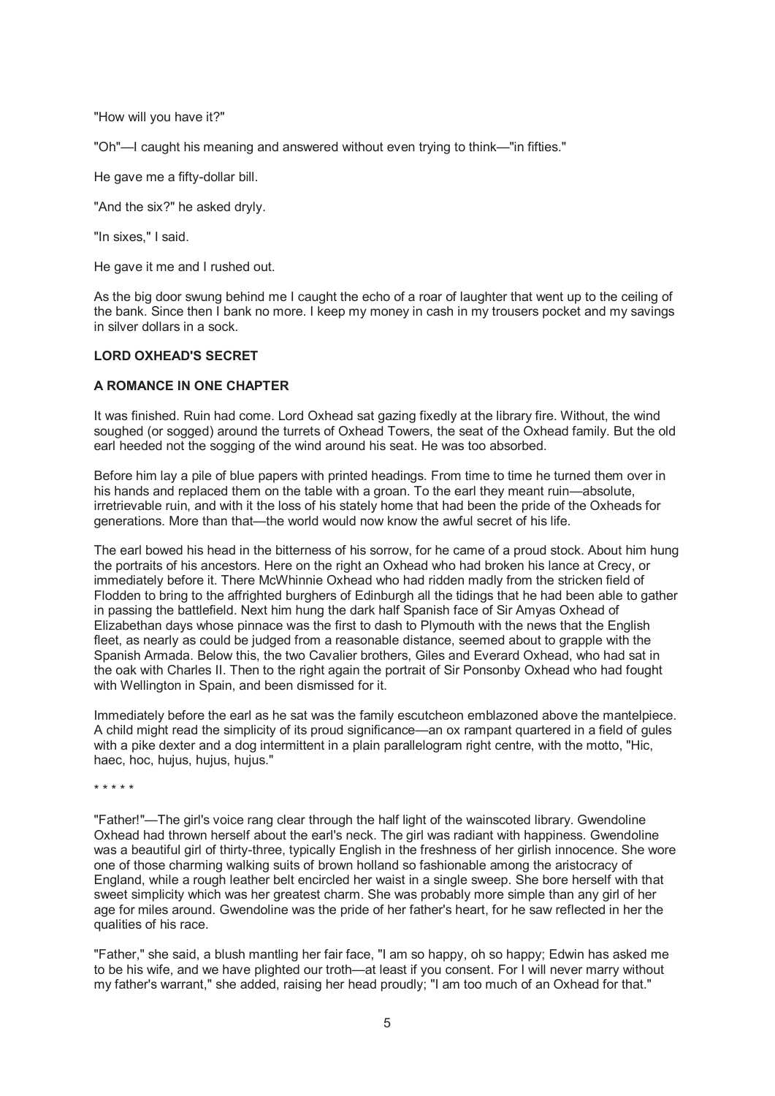"How will you have it?"

"Oh"—I caught his meaning and answered without even trying to think—"in fifties."

He gave me a fifty-dollar bill.

"And the six?" he asked dryly.

"In sixes," I said.

He gave it me and I rushed out.

As the big door swung behind me I caught the echo of a roar of laughter that went up to the ceiling of the bank. Since then I bank no more. I keep my money in cash in my trousers pocket and my savings in silver dollars in a sock.

## **LORD OXHEAD'S SECRET**

## **A ROMANCE IN ONE CHAPTER**

It was finished. Ruin had come. Lord Oxhead sat gazing fixedly at the library fire. Without, the wind soughed (or sogged) around the turrets of Oxhead Towers, the seat of the Oxhead family. But the old earl heeded not the sogging of the wind around his seat. He was too absorbed.

Before him lay a pile of blue papers with printed headings. From time to time he turned them over in his hands and replaced them on the table with a groan. To the earl they meant ruin—absolute, irretrievable ruin, and with it the loss of his stately home that had been the pride of the Oxheads for generations. More than that—the world would now know the awful secret of his life.

The earl bowed his head in the bitterness of his sorrow, for he came of a proud stock. About him hung the portraits of his ancestors. Here on the right an Oxhead who had broken his lance at Crecy, or immediately before it. There McWhinnie Oxhead who had ridden madly from the stricken field of Flodden to bring to the affrighted burghers of Edinburgh all the tidings that he had been able to gather in passing the battlefield. Next him hung the dark half Spanish face of Sir Amyas Oxhead of Elizabethan days whose pinnace was the first to dash to Plymouth with the news that the English fleet, as nearly as could be judged from a reasonable distance, seemed about to grapple with the Spanish Armada. Below this, the two Cavalier brothers, Giles and Everard Oxhead, who had sat in the oak with Charles II. Then to the right again the portrait of Sir Ponsonby Oxhead who had fought with Wellington in Spain, and been dismissed for it.

Immediately before the earl as he sat was the family escutcheon emblazoned above the mantelpiece. A child might read the simplicity of its proud significance—an ox rampant quartered in a field of gules with a pike dexter and a dog intermittent in a plain parallelogram right centre, with the motto, "Hic, haec, hoc, hujus, hujus, hujus."

\* \* \* \* \*

"Father!"—The girl's voice rang clear through the half light of the wainscoted library. Gwendoline Oxhead had thrown herself about the earl's neck. The girl was radiant with happiness. Gwendoline was a beautiful girl of thirty-three, typically English in the freshness of her girlish innocence. She wore one of those charming walking suits of brown holland so fashionable among the aristocracy of England, while a rough leather belt encircled her waist in a single sweep. She bore herself with that sweet simplicity which was her greatest charm. She was probably more simple than any girl of her age for miles around. Gwendoline was the pride of her father's heart, for he saw reflected in her the qualities of his race.

"Father," she said, a blush mantling her fair face, "I am so happy, oh so happy; Edwin has asked me to be his wife, and we have plighted our troth—at least if you consent. For I will never marry without my father's warrant," she added, raising her head proudly; "I am too much of an Oxhead for that."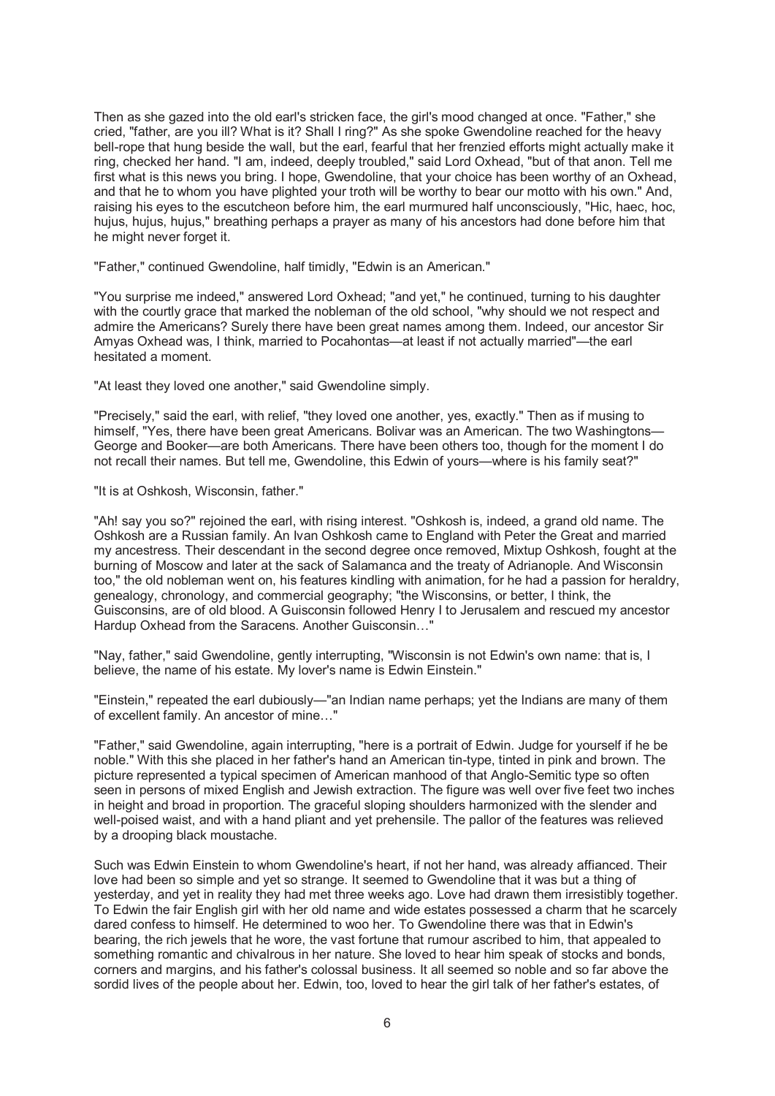Then as she gazed into the old earl's stricken face, the girl's mood changed at once. "Father," she cried, "father, are you ill? What is it? Shall I ring?" As she spoke Gwendoline reached for the heavy bell-rope that hung beside the wall, but the earl, fearful that her frenzied efforts might actually make it ring, checked her hand. "I am, indeed, deeply troubled," said Lord Oxhead, "but of that anon. Tell me first what is this news you bring. I hope, Gwendoline, that your choice has been worthy of an Oxhead, and that he to whom you have plighted your troth will be worthy to bear our motto with his own." And, raising his eyes to the escutcheon before him, the earl murmured half unconsciously, "Hic, haec, hoc, hujus, hujus, hujus," breathing perhaps a prayer as many of his ancestors had done before him that he might never forget it.

"Father," continued Gwendoline, half timidly, "Edwin is an American."

"You surprise me indeed," answered Lord Oxhead; "and yet," he continued, turning to his daughter with the courtly grace that marked the nobleman of the old school, "why should we not respect and admire the Americans? Surely there have been great names among them. Indeed, our ancestor Sir Amyas Oxhead was, I think, married to Pocahontas—at least if not actually married"—the earl hesitated a moment.

"At least they loved one another," said Gwendoline simply.

"Precisely," said the earl, with relief, "they loved one another, yes, exactly." Then as if musing to himself, "Yes, there have been great Americans. Bolivar was an American. The two Washingtons— George and Booker—are both Americans. There have been others too, though for the moment I do not recall their names. But tell me, Gwendoline, this Edwin of yours—where is his family seat?"

"It is at Oshkosh, Wisconsin, father."

"Ah! say you so?" rejoined the earl, with rising interest. "Oshkosh is, indeed, a grand old name. The Oshkosh are a Russian family. An Ivan Oshkosh came to England with Peter the Great and married my ancestress. Their descendant in the second degree once removed, Mixtup Oshkosh, fought at the burning of Moscow and later at the sack of Salamanca and the treaty of Adrianople. And Wisconsin too," the old nobleman went on, his features kindling with animation, for he had a passion for heraldry, genealogy, chronology, and commercial geography; "the Wisconsins, or better, I think, the Guisconsins, are of old blood. A Guisconsin followed Henry I to Jerusalem and rescued my ancestor Hardup Oxhead from the Saracens. Another Guisconsin...<sup>7</sup>

"Nay, father," said Gwendoline, gently interrupting, "Wisconsin is not Edwin's own name: that is, I believe, the name of his estate. My lover's name is Edwin Einstein."

"Einstein," repeated the earl dubiously—"an Indian name perhaps; yet the Indians are many of them of excellent family. An ancestor of mine…"

"Father," said Gwendoline, again interrupting, "here is a portrait of Edwin. Judge for yourself if he be noble." With this she placed in her father's hand an American tin-type, tinted in pink and brown. The picture represented a typical specimen of American manhood of that Anglo-Semitic type so often seen in persons of mixed English and Jewish extraction. The figure was well over five feet two inches in height and broad in proportion. The graceful sloping shoulders harmonized with the slender and well-poised waist, and with a hand pliant and yet prehensile. The pallor of the features was relieved by a drooping black moustache.

Such was Edwin Einstein to whom Gwendoline's heart, if not her hand, was already affianced. Their love had been so simple and yet so strange. It seemed to Gwendoline that it was but a thing of yesterday, and yet in reality they had met three weeks ago. Love had drawn them irresistibly together. To Edwin the fair English girl with her old name and wide estates possessed a charm that he scarcely dared confess to himself. He determined to woo her. To Gwendoline there was that in Edwin's bearing, the rich jewels that he wore, the vast fortune that rumour ascribed to him, that appealed to something romantic and chivalrous in her nature. She loved to hear him speak of stocks and bonds, corners and margins, and his father's colossal business. It all seemed so noble and so far above the sordid lives of the people about her. Edwin, too, loved to hear the girl talk of her father's estates, of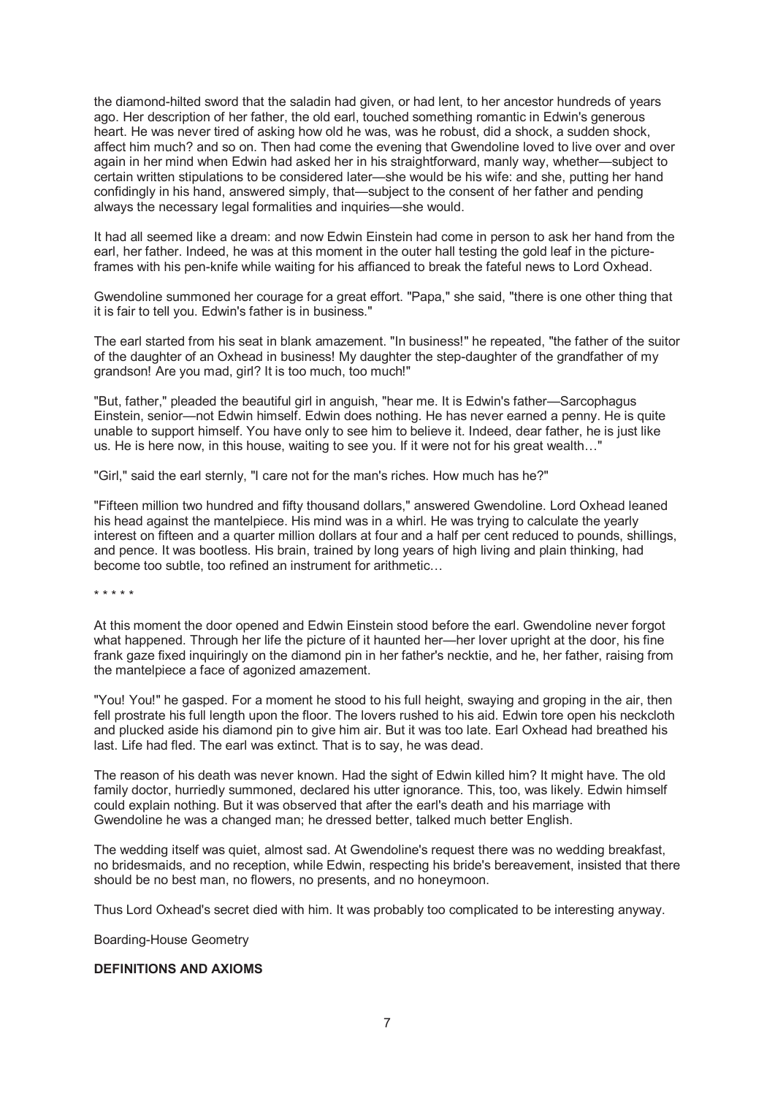the diamond-hilted sword that the saladin had given, or had lent, to her ancestor hundreds of years ago. Her description of her father, the old earl, touched something romantic in Edwin's generous heart. He was never tired of asking how old he was, was he robust, did a shock, a sudden shock, affect him much? and so on. Then had come the evening that Gwendoline loved to live over and over again in her mind when Edwin had asked her in his straightforward, manly way, whether—subject to certain written stipulations to be considered later—she would be his wife: and she, putting her hand confidingly in his hand, answered simply, that—subject to the consent of her father and pending always the necessary legal formalities and inquiries—she would.

It had all seemed like a dream: and now Edwin Einstein had come in person to ask her hand from the earl, her father. Indeed, he was at this moment in the outer hall testing the gold leaf in the pictureframes with his pen-knife while waiting for his affianced to break the fateful news to Lord Oxhead.

Gwendoline summoned her courage for a great effort. "Papa," she said, "there is one other thing that it is fair to tell you. Edwin's father is in business."

The earl started from his seat in blank amazement. "In business!" he repeated, "the father of the suitor of the daughter of an Oxhead in business! My daughter the step-daughter of the grandfather of my grandson! Are you mad, girl? It is too much, too much!"

"But, father," pleaded the beautiful girl in anguish, "hear me. It is Edwin's father—Sarcophagus Einstein, senior—not Edwin himself. Edwin does nothing. He has never earned a penny. He is quite unable to support himself. You have only to see him to believe it. Indeed, dear father, he is just like us. He is here now, in this house, waiting to see you. If it were not for his great wealth…"

"Girl," said the earl sternly, "I care not for the man's riches. How much has he?"

"Fifteen million two hundred and fifty thousand dollars," answered Gwendoline. Lord Oxhead leaned his head against the mantelpiece. His mind was in a whirl. He was trying to calculate the yearly interest on fifteen and a quarter million dollars at four and a half per cent reduced to pounds, shillings, and pence. It was bootless. His brain, trained by long years of high living and plain thinking, had become too subtle, too refined an instrument for arithmetic…

\* \* \* \* \*

At this moment the door opened and Edwin Einstein stood before the earl. Gwendoline never forgot what happened. Through her life the picture of it haunted her—her lover upright at the door, his fine frank gaze fixed inquiringly on the diamond pin in her father's necktie, and he, her father, raising from the mantelpiece a face of agonized amazement.

"You! You!" he gasped. For a moment he stood to his full height, swaying and groping in the air, then fell prostrate his full length upon the floor. The lovers rushed to his aid. Edwin tore open his neckcloth and plucked aside his diamond pin to give him air. But it was too late. Earl Oxhead had breathed his last. Life had fled. The earl was extinct. That is to say, he was dead.

The reason of his death was never known. Had the sight of Edwin killed him? It might have. The old family doctor, hurriedly summoned, declared his utter ignorance. This, too, was likely. Edwin himself could explain nothing. But it was observed that after the earl's death and his marriage with Gwendoline he was a changed man; he dressed better, talked much better English.

The wedding itself was quiet, almost sad. At Gwendoline's request there was no wedding breakfast, no bridesmaids, and no reception, while Edwin, respecting his bride's bereavement, insisted that there should be no best man, no flowers, no presents, and no honeymoon.

Thus Lord Oxhead's secret died with him. It was probably too complicated to be interesting anyway.

Boarding-House Geometry

## **DEFINITIONS AND AXIOMS**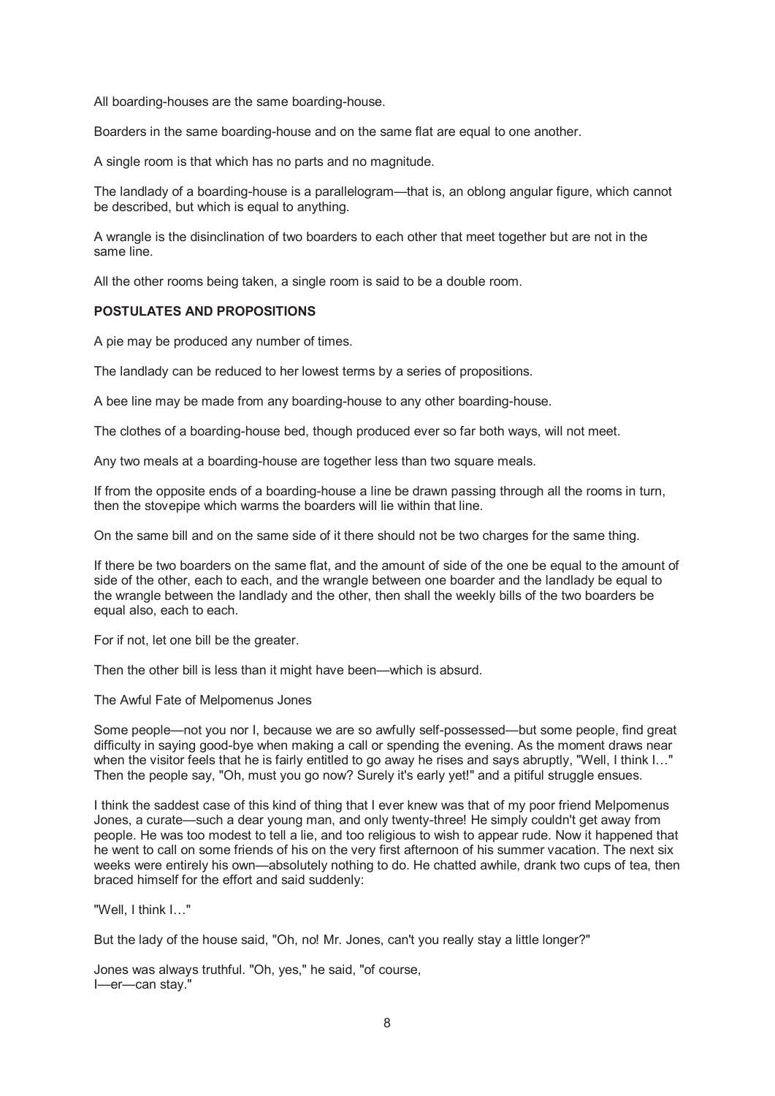All boarding-houses are the same boarding-house.

Boarders in the same boarding-house and on the same flat are equal to one another.

A single room is that which has no parts and no magnitude.

The landlady of a boarding-house is a parallelogram—that is, an oblong angular figure, which cannot be described, but which is equal to anything.

A wrangle is the disinclination of two boarders to each other that meet together but are not in the same line.

All the other rooms being taken, a single room is said to be a double room.

# **POSTULATES AND PROPOSITIONS**

A pie may be produced any number of times.

The landlady can be reduced to her lowest terms by a series of propositions.

A bee line may be made from any boarding-house to any other boarding-house.

The clothes of a boarding-house bed, though produced ever so far both ways, will not meet.

Any two meals at a boarding-house are together less than two square meals.

If from the opposite ends of a boarding-house a line be drawn passing through all the rooms in turn, then the stovepipe which warms the boarders will lie within that line.

On the same bill and on the same side of it there should not be two charges for the same thing.

If there be two boarders on the same flat, and the amount of side of the one be equal to the amount of side of the other, each to each, and the wrangle between one boarder and the landlady be equal to the wrangle between the landlady and the other, then shall the weekly bills of the two boarders be equal also, each to each.

For if not, let one bill be the greater.

Then the other bill is less than it might have been—which is absurd.

The Awful Fate of Melpomenus Jones

Some people—not you nor I, because we are so awfully self-possessed—but some people, find great difficulty in saying good-bye when making a call or spending the evening. As the moment draws near when the visitor feels that he is fairly entitled to go away he rises and says abruptly, "Well, I think I..." Then the people say, "Oh, must you go now? Surely it's early yet!" and a pitiful struggle ensues.

I think the saddest case of this kind of thing that I ever knew was that of my poor friend Melpomenus Jones, a curate—such a dear young man, and only twenty-three! He simply couldn't get away from people. He was too modest to tell a lie, and too religious to wish to appear rude. Now it happened that he went to call on some friends of his on the very first afternoon of his summer vacation. The next six weeks were entirely his own—absolutely nothing to do. He chatted awhile, drank two cups of tea, then braced himself for the effort and said suddenly:

"Well, I think I…"

But the lady of the house said, "Oh, no! Mr. Jones, can't you really stay a little longer?"

Jones was always truthful. "Oh, yes," he said, "of course, I—er—can stay."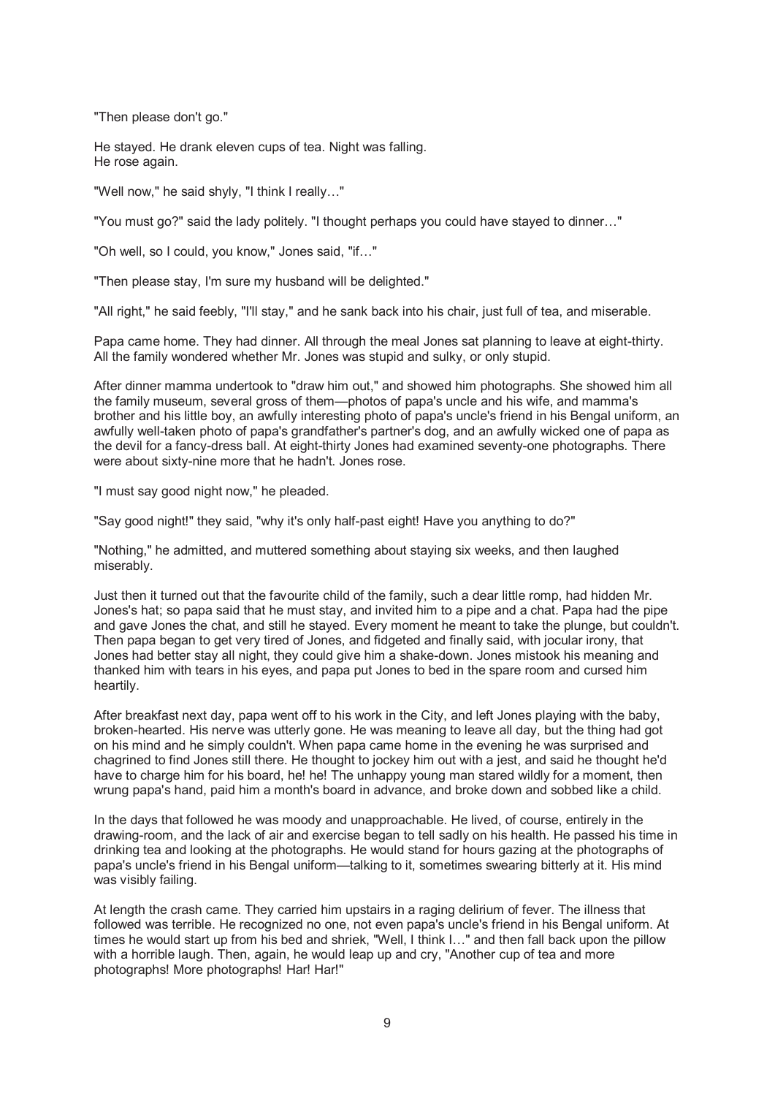"Then please don't go."

He stayed. He drank eleven cups of tea. Night was falling. He rose again.

"Well now," he said shyly, "I think I really…"

"You must go?" said the lady politely. "I thought perhaps you could have stayed to dinner…"

"Oh well, so I could, you know," Jones said, "if…"

"Then please stay, I'm sure my husband will be delighted."

"All right," he said feebly, "I'll stay," and he sank back into his chair, just full of tea, and miserable.

Papa came home. They had dinner. All through the meal Jones sat planning to leave at eight-thirty. All the family wondered whether Mr. Jones was stupid and sulky, or only stupid.

After dinner mamma undertook to "draw him out," and showed him photographs. She showed him all the family museum, several gross of them—photos of papa's uncle and his wife, and mamma's brother and his little boy, an awfully interesting photo of papa's uncle's friend in his Bengal uniform, an awfully well-taken photo of papa's grandfather's partner's dog, and an awfully wicked one of papa as the devil for a fancy-dress ball. At eight-thirty Jones had examined seventy-one photographs. There were about sixty-nine more that he hadn't. Jones rose.

"I must say good night now," he pleaded.

"Say good night!" they said, "why it's only half-past eight! Have you anything to do?"

"Nothing," he admitted, and muttered something about staying six weeks, and then laughed miserably.

Just then it turned out that the favourite child of the family, such a dear little romp, had hidden Mr. Jones's hat; so papa said that he must stay, and invited him to a pipe and a chat. Papa had the pipe and gave Jones the chat, and still he stayed. Every moment he meant to take the plunge, but couldn't. Then papa began to get very tired of Jones, and fidgeted and finally said, with jocular irony, that Jones had better stay all night, they could give him a shake-down. Jones mistook his meaning and thanked him with tears in his eyes, and papa put Jones to bed in the spare room and cursed him heartily.

After breakfast next day, papa went off to his work in the City, and left Jones playing with the baby, broken-hearted. His nerve was utterly gone. He was meaning to leave all day, but the thing had got on his mind and he simply couldn't. When papa came home in the evening he was surprised and chagrined to find Jones still there. He thought to jockey him out with a jest, and said he thought he'd have to charge him for his board, he! he! The unhappy young man stared wildly for a moment, then wrung papa's hand, paid him a month's board in advance, and broke down and sobbed like a child.

In the days that followed he was moody and unapproachable. He lived, of course, entirely in the drawing-room, and the lack of air and exercise began to tell sadly on his health. He passed his time in drinking tea and looking at the photographs. He would stand for hours gazing at the photographs of papa's uncle's friend in his Bengal uniform—talking to it, sometimes swearing bitterly at it. His mind was visibly failing.

At length the crash came. They carried him upstairs in a raging delirium of fever. The illness that followed was terrible. He recognized no one, not even papa's uncle's friend in his Bengal uniform. At times he would start up from his bed and shriek, "Well, I think I…" and then fall back upon the pillow with a horrible laugh. Then, again, he would leap up and cry, "Another cup of tea and more photographs! More photographs! Har! Har!"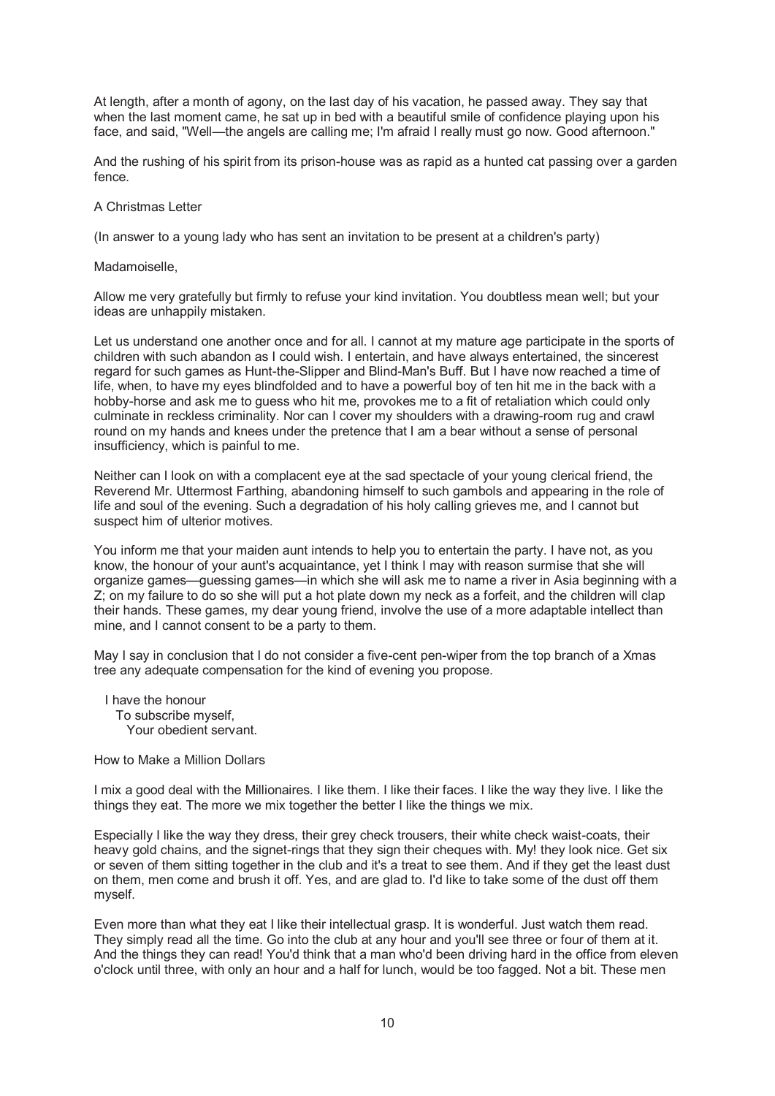At length, after a month of agony, on the last day of his vacation, he passed away. They say that when the last moment came, he sat up in bed with a beautiful smile of confidence playing upon his face, and said, "Well—the angels are calling me; I'm afraid I really must go now. Good afternoon."

And the rushing of his spirit from its prison-house was as rapid as a hunted cat passing over a garden fence.

## A Christmas Letter

(In answer to a young lady who has sent an invitation to be present at a children's party)

Madamoiselle,

Allow me very gratefully but firmly to refuse your kind invitation. You doubtless mean well; but your ideas are unhappily mistaken.

Let us understand one another once and for all. I cannot at my mature age participate in the sports of children with such abandon as I could wish. I entertain, and have always entertained, the sincerest regard for such games as Hunt-the-Slipper and Blind-Man's Buff. But I have now reached a time of life, when, to have my eyes blindfolded and to have a powerful boy of ten hit me in the back with a hobby-horse and ask me to guess who hit me, provokes me to a fit of retaliation which could only culminate in reckless criminality. Nor can I cover my shoulders with a drawing-room rug and crawl round on my hands and knees under the pretence that I am a bear without a sense of personal insufficiency, which is painful to me.

Neither can I look on with a complacent eye at the sad spectacle of your young clerical friend, the Reverend Mr. Uttermost Farthing, abandoning himself to such gambols and appearing in the role of life and soul of the evening. Such a degradation of his holy calling grieves me, and I cannot but suspect him of ulterior motives.

You inform me that your maiden aunt intends to help you to entertain the party. I have not, as you know, the honour of your aunt's acquaintance, yet I think I may with reason surmise that she will organize games—guessing games—in which she will ask me to name a river in Asia beginning with a Z; on my failure to do so she will put a hot plate down my neck as a forfeit, and the children will clap their hands. These games, my dear young friend, involve the use of a more adaptable intellect than mine, and I cannot consent to be a party to them.

May I say in conclusion that I do not consider a five-cent pen-wiper from the top branch of a Xmas tree any adequate compensation for the kind of evening you propose.

 I have the honour To subscribe myself, Your obedient servant.

How to Make a Million Dollars

I mix a good deal with the Millionaires. I like them. I like their faces. I like the way they live. I like the things they eat. The more we mix together the better I like the things we mix.

Especially I like the way they dress, their grey check trousers, their white check waist-coats, their heavy gold chains, and the signet-rings that they sign their cheques with. My! they look nice. Get six or seven of them sitting together in the club and it's a treat to see them. And if they get the least dust on them, men come and brush it off. Yes, and are glad to. I'd like to take some of the dust off them myself.

Even more than what they eat I like their intellectual grasp. It is wonderful. Just watch them read. They simply read all the time. Go into the club at any hour and you'll see three or four of them at it. And the things they can read! You'd think that a man who'd been driving hard in the office from eleven o'clock until three, with only an hour and a half for lunch, would be too fagged. Not a bit. These men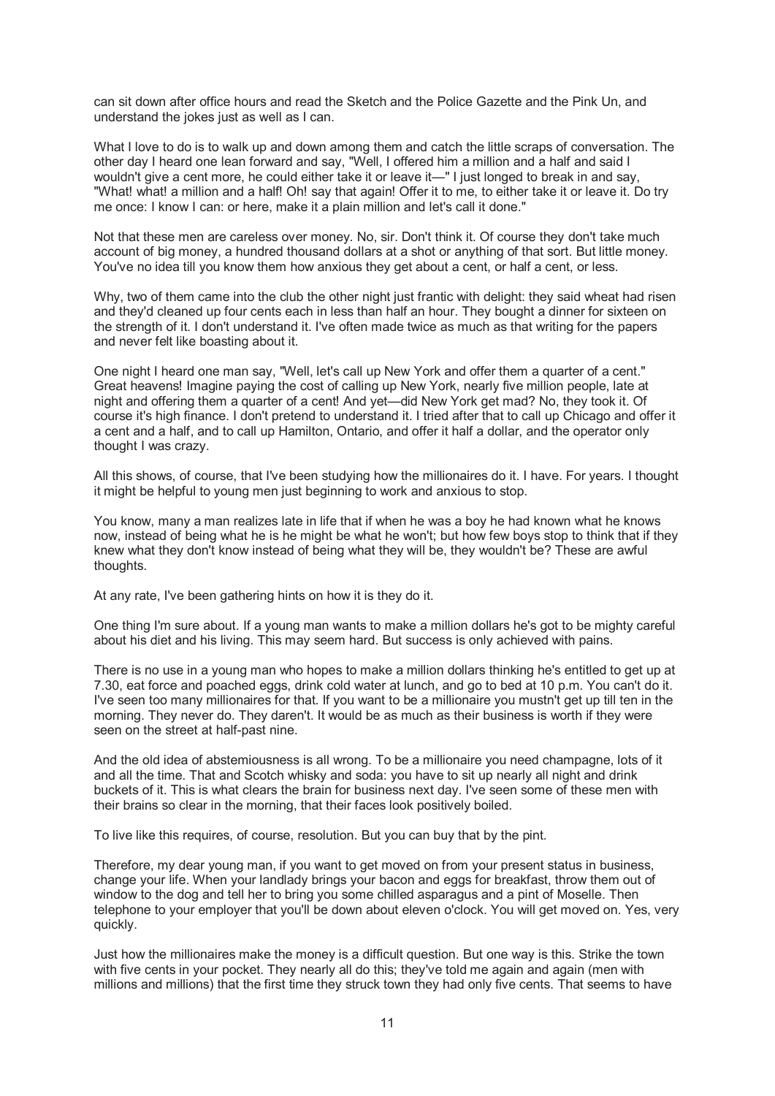can sit down after office hours and read the Sketch and the Police Gazette and the Pink Un, and understand the jokes just as well as I can.

What I love to do is to walk up and down among them and catch the little scraps of conversation. The other day I heard one lean forward and say, "Well, I offered him a million and a half and said I wouldn't give a cent more, he could either take it or leave it—" I just longed to break in and say, "What! what! a million and a half! Oh! say that again! Offer it to me, to either take it or leave it. Do try me once: I know I can: or here, make it a plain million and let's call it done."

Not that these men are careless over money. No, sir. Don't think it. Of course they don't take much account of big money, a hundred thousand dollars at a shot or anything of that sort. But little money. You've no idea till you know them how anxious they get about a cent, or half a cent, or less.

Why, two of them came into the club the other night just frantic with delight: they said wheat had risen and they'd cleaned up four cents each in less than half an hour. They bought a dinner for sixteen on the strength of it. I don't understand it. I've often made twice as much as that writing for the papers and never felt like boasting about it.

One night I heard one man say, "Well, let's call up New York and offer them a quarter of a cent." Great heavens! Imagine paying the cost of calling up New York, nearly five million people, late at night and offering them a quarter of a cent! And yet—did New York get mad? No, they took it. Of course it's high finance. I don't pretend to understand it. I tried after that to call up Chicago and offer it a cent and a half, and to call up Hamilton, Ontario, and offer it half a dollar, and the operator only thought I was crazy.

All this shows, of course, that I've been studying how the millionaires do it. I have. For years. I thought it might be helpful to young men just beginning to work and anxious to stop.

You know, many a man realizes late in life that if when he was a boy he had known what he knows now, instead of being what he is he might be what he won't; but how few boys stop to think that if they knew what they don't know instead of being what they will be, they wouldn't be? These are awful thoughts.

At any rate, I've been gathering hints on how it is they do it.

One thing I'm sure about. If a young man wants to make a million dollars he's got to be mighty careful about his diet and his living. This may seem hard. But success is only achieved with pains.

There is no use in a young man who hopes to make a million dollars thinking he's entitled to get up at 7.30, eat force and poached eggs, drink cold water at lunch, and go to bed at 10 p.m. You can't do it. I've seen too many millionaires for that. If you want to be a millionaire you mustn't get up till ten in the morning. They never do. They daren't. It would be as much as their business is worth if they were seen on the street at half-past nine.

And the old idea of abstemiousness is all wrong. To be a millionaire you need champagne, lots of it and all the time. That and Scotch whisky and soda: you have to sit up nearly all night and drink buckets of it. This is what clears the brain for business next day. I've seen some of these men with their brains so clear in the morning, that their faces look positively boiled.

To live like this requires, of course, resolution. But you can buy that by the pint.

Therefore, my dear young man, if you want to get moved on from your present status in business, change your life. When your landlady brings your bacon and eggs for breakfast, throw them out of window to the dog and tell her to bring you some chilled asparagus and a pint of Moselle. Then telephone to your employer that you'll be down about eleven o'clock. You will get moved on. Yes, very quickly.

Just how the millionaires make the money is a difficult question. But one way is this. Strike the town with five cents in your pocket. They nearly all do this; they've told me again and again (men with millions and millions) that the first time they struck town they had only five cents. That seems to have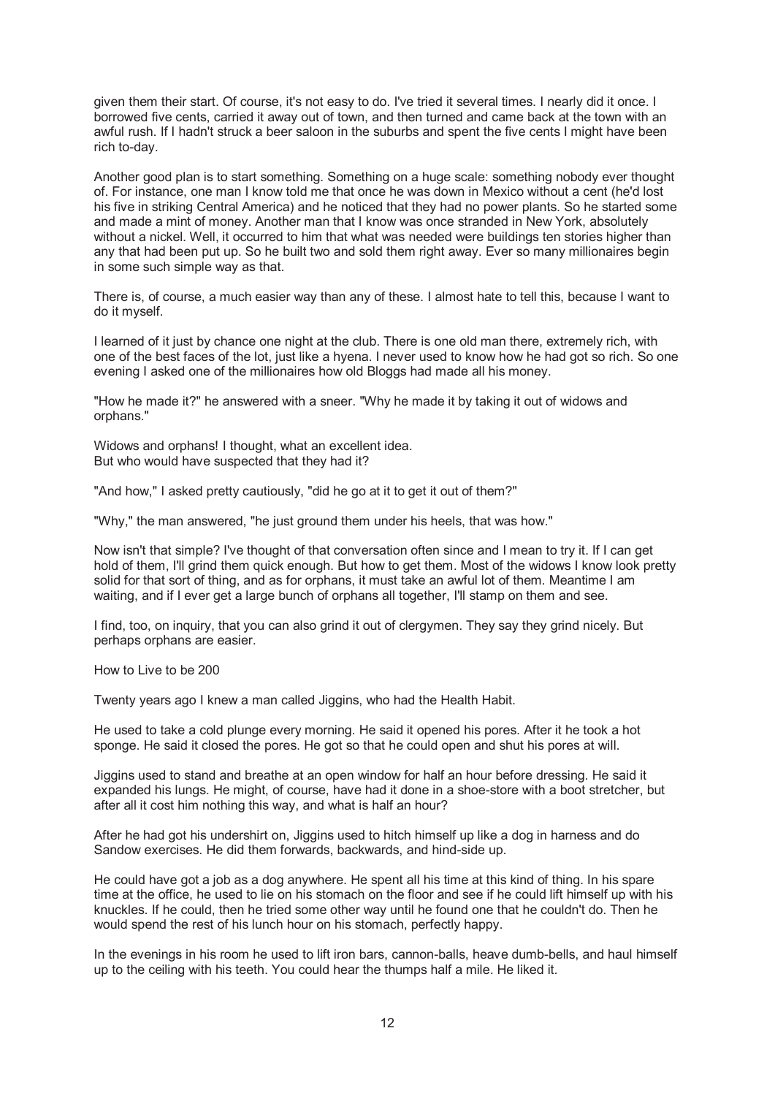given them their start. Of course, it's not easy to do. I've tried it several times. I nearly did it once. I borrowed five cents, carried it away out of town, and then turned and came back at the town with an awful rush. If I hadn't struck a beer saloon in the suburbs and spent the five cents I might have been rich to-day.

Another good plan is to start something. Something on a huge scale: something nobody ever thought of. For instance, one man I know told me that once he was down in Mexico without a cent (he'd lost his five in striking Central America) and he noticed that they had no power plants. So he started some and made a mint of money. Another man that I know was once stranded in New York, absolutely without a nickel. Well, it occurred to him that what was needed were buildings ten stories higher than any that had been put up. So he built two and sold them right away. Ever so many millionaires begin in some such simple way as that.

There is, of course, a much easier way than any of these. I almost hate to tell this, because I want to do it myself.

I learned of it just by chance one night at the club. There is one old man there, extremely rich, with one of the best faces of the lot, just like a hyena. I never used to know how he had got so rich. So one evening I asked one of the millionaires how old Bloggs had made all his money.

"How he made it?" he answered with a sneer. "Why he made it by taking it out of widows and orphans."

Widows and orphans! I thought, what an excellent idea. But who would have suspected that they had it?

"And how," I asked pretty cautiously, "did he go at it to get it out of them?"

"Why," the man answered, "he just ground them under his heels, that was how."

Now isn't that simple? I've thought of that conversation often since and I mean to try it. If I can get hold of them, I'll grind them quick enough. But how to get them. Most of the widows I know look pretty solid for that sort of thing, and as for orphans, it must take an awful lot of them. Meantime I am waiting, and if I ever get a large bunch of orphans all together, I'll stamp on them and see.

I find, too, on inquiry, that you can also grind it out of clergymen. They say they grind nicely. But perhaps orphans are easier.

How to Live to be 200

Twenty years ago I knew a man called Jiggins, who had the Health Habit.

He used to take a cold plunge every morning. He said it opened his pores. After it he took a hot sponge. He said it closed the pores. He got so that he could open and shut his pores at will.

Jiggins used to stand and breathe at an open window for half an hour before dressing. He said it expanded his lungs. He might, of course, have had it done in a shoe-store with a boot stretcher, but after all it cost him nothing this way, and what is half an hour?

After he had got his undershirt on, Jiggins used to hitch himself up like a dog in harness and do Sandow exercises. He did them forwards, backwards, and hind-side up.

He could have got a job as a dog anywhere. He spent all his time at this kind of thing. In his spare time at the office, he used to lie on his stomach on the floor and see if he could lift himself up with his knuckles. If he could, then he tried some other way until he found one that he couldn't do. Then he would spend the rest of his lunch hour on his stomach, perfectly happy.

In the evenings in his room he used to lift iron bars, cannon-balls, heave dumb-bells, and haul himself up to the ceiling with his teeth. You could hear the thumps half a mile. He liked it.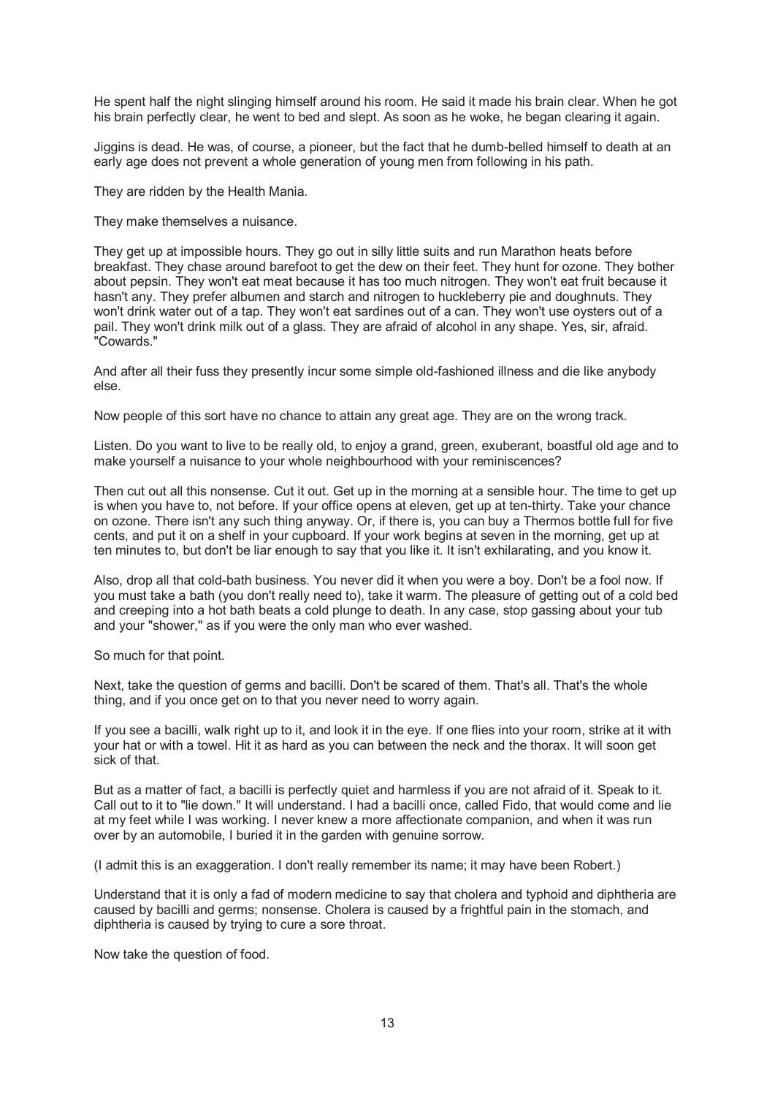He spent half the night slinging himself around his room. He said it made his brain clear. When he got his brain perfectly clear, he went to bed and slept. As soon as he woke, he began clearing it again.

Jiggins is dead. He was, of course, a pioneer, but the fact that he dumb-belled himself to death at an early age does not prevent a whole generation of young men from following in his path.

They are ridden by the Health Mania.

They make themselves a nuisance.

They get up at impossible hours. They go out in silly little suits and run Marathon heats before breakfast. They chase around barefoot to get the dew on their feet. They hunt for ozone. They bother about pepsin. They won't eat meat because it has too much nitrogen. They won't eat fruit because it hasn't any. They prefer albumen and starch and nitrogen to huckleberry pie and doughnuts. They won't drink water out of a tap. They won't eat sardines out of a can. They won't use oysters out of a pail. They won't drink milk out of a glass. They are afraid of alcohol in any shape. Yes, sir, afraid. "Cowards."

And after all their fuss they presently incur some simple old-fashioned illness and die like anybody else.

Now people of this sort have no chance to attain any great age. They are on the wrong track.

Listen. Do you want to live to be really old, to enjoy a grand, green, exuberant, boastful old age and to make yourself a nuisance to your whole neighbourhood with your reminiscences?

Then cut out all this nonsense. Cut it out. Get up in the morning at a sensible hour. The time to get up is when you have to, not before. If your office opens at eleven, get up at ten-thirty. Take your chance on ozone. There isn't any such thing anyway. Or, if there is, you can buy a Thermos bottle full for five cents, and put it on a shelf in your cupboard. If your work begins at seven in the morning, get up at ten minutes to, but don't be liar enough to say that you like it. It isn't exhilarating, and you know it.

Also, drop all that cold-bath business. You never did it when you were a boy. Don't be a fool now. If you must take a bath (you don't really need to), take it warm. The pleasure of getting out of a cold bed and creeping into a hot bath beats a cold plunge to death. In any case, stop gassing about your tub and your "shower," as if you were the only man who ever washed.

So much for that point.

Next, take the question of germs and bacilli. Don't be scared of them. That's all. That's the whole thing, and if you once get on to that you never need to worry again.

If you see a bacilli, walk right up to it, and look it in the eye. If one flies into your room, strike at it with your hat or with a towel. Hit it as hard as you can between the neck and the thorax. It will soon get sick of that.

But as a matter of fact, a bacilli is perfectly quiet and harmless if you are not afraid of it. Speak to it. Call out to it to "lie down." It will understand. I had a bacilli once, called Fido, that would come and lie at my feet while I was working. I never knew a more affectionate companion, and when it was run over by an automobile, I buried it in the garden with genuine sorrow.

(I admit this is an exaggeration. I don't really remember its name; it may have been Robert.)

Understand that it is only a fad of modern medicine to say that cholera and typhoid and diphtheria are caused by bacilli and germs; nonsense. Cholera is caused by a frightful pain in the stomach, and diphtheria is caused by trying to cure a sore throat.

Now take the question of food.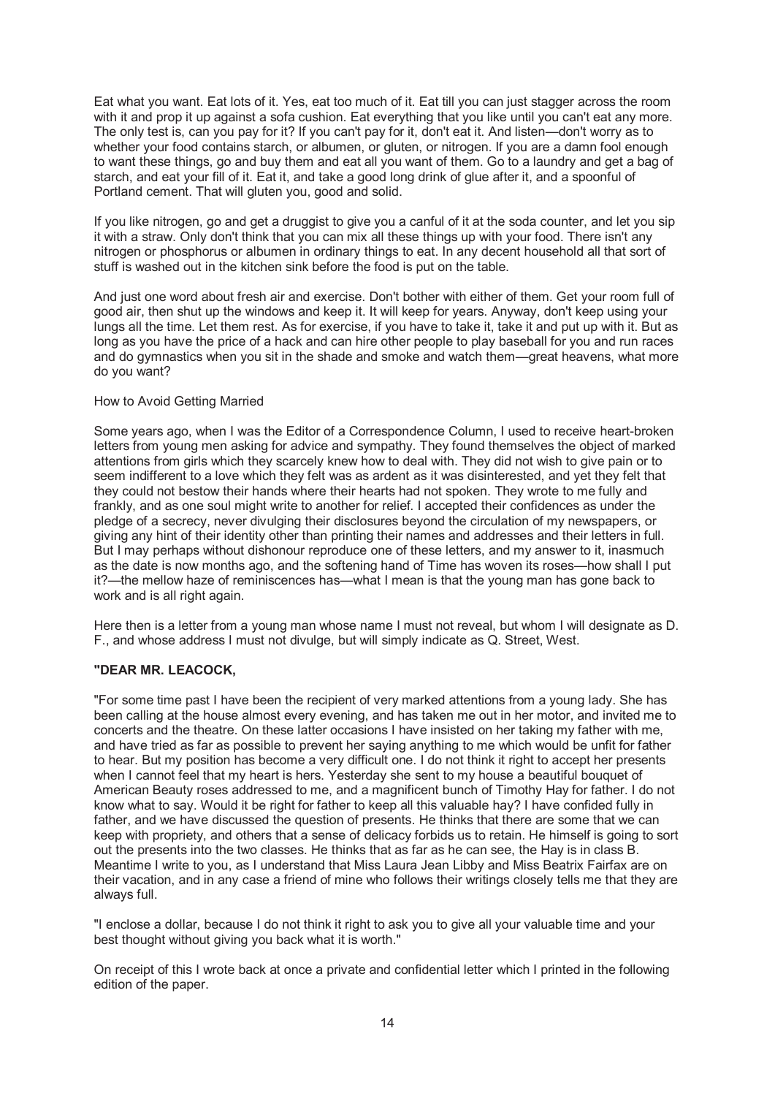Eat what you want. Eat lots of it. Yes, eat too much of it. Eat till you can just stagger across the room with it and prop it up against a sofa cushion. Eat everything that you like until you can't eat any more. The only test is, can you pay for it? If you can't pay for it, don't eat it. And listen—don't worry as to whether your food contains starch, or albumen, or gluten, or nitrogen. If you are a damn fool enough to want these things, go and buy them and eat all you want of them. Go to a laundry and get a bag of starch, and eat your fill of it. Eat it, and take a good long drink of glue after it, and a spoonful of Portland cement. That will gluten you, good and solid.

If you like nitrogen, go and get a druggist to give you a canful of it at the soda counter, and let you sip it with a straw. Only don't think that you can mix all these things up with your food. There isn't any nitrogen or phosphorus or albumen in ordinary things to eat. In any decent household all that sort of stuff is washed out in the kitchen sink before the food is put on the table.

And just one word about fresh air and exercise. Don't bother with either of them. Get your room full of good air, then shut up the windows and keep it. It will keep for years. Anyway, don't keep using your lungs all the time. Let them rest. As for exercise, if you have to take it, take it and put up with it. But as long as you have the price of a hack and can hire other people to play baseball for you and run races and do gymnastics when you sit in the shade and smoke and watch them—great heavens, what more do you want?

## How to Avoid Getting Married

Some years ago, when I was the Editor of a Correspondence Column, I used to receive heart-broken letters from young men asking for advice and sympathy. They found themselves the object of marked attentions from girls which they scarcely knew how to deal with. They did not wish to give pain or to seem indifferent to a love which they felt was as ardent as it was disinterested, and yet they felt that they could not bestow their hands where their hearts had not spoken. They wrote to me fully and frankly, and as one soul might write to another for relief. I accepted their confidences as under the pledge of a secrecy, never divulging their disclosures beyond the circulation of my newspapers, or giving any hint of their identity other than printing their names and addresses and their letters in full. But I may perhaps without dishonour reproduce one of these letters, and my answer to it, inasmuch as the date is now months ago, and the softening hand of Time has woven its roses—how shall I put it?—the mellow haze of reminiscences has—what I mean is that the young man has gone back to work and is all right again.

Here then is a letter from a young man whose name I must not reveal, but whom I will designate as D. F., and whose address I must not divulge, but will simply indicate as Q. Street, West.

# **"DEAR MR. LEACOCK,**

"For some time past I have been the recipient of very marked attentions from a young lady. She has been calling at the house almost every evening, and has taken me out in her motor, and invited me to concerts and the theatre. On these latter occasions I have insisted on her taking my father with me, and have tried as far as possible to prevent her saying anything to me which would be unfit for father to hear. But my position has become a very difficult one. I do not think it right to accept her presents when I cannot feel that my heart is hers. Yesterday she sent to my house a beautiful bouquet of American Beauty roses addressed to me, and a magnificent bunch of Timothy Hay for father. I do not know what to say. Would it be right for father to keep all this valuable hay? I have confided fully in father, and we have discussed the question of presents. He thinks that there are some that we can keep with propriety, and others that a sense of delicacy forbids us to retain. He himself is going to sort out the presents into the two classes. He thinks that as far as he can see, the Hay is in class B. Meantime I write to you, as I understand that Miss Laura Jean Libby and Miss Beatrix Fairfax are on their vacation, and in any case a friend of mine who follows their writings closely tells me that they are always full.

"I enclose a dollar, because I do not think it right to ask you to give all your valuable time and your best thought without giving you back what it is worth."

On receipt of this I wrote back at once a private and confidential letter which I printed in the following edition of the paper.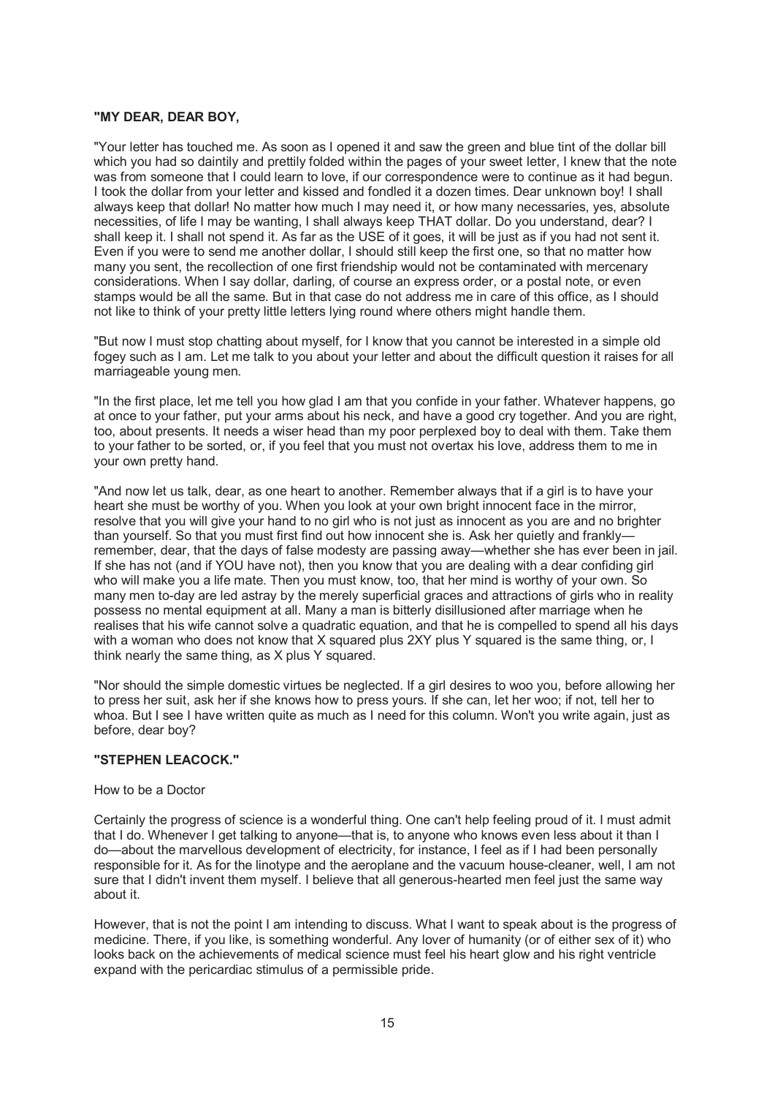## **"MY DEAR, DEAR BOY,**

"Your letter has touched me. As soon as I opened it and saw the green and blue tint of the dollar bill which you had so daintily and prettily folded within the pages of your sweet letter, I knew that the note was from someone that I could learn to love, if our correspondence were to continue as it had begun. I took the dollar from your letter and kissed and fondled it a dozen times. Dear unknown boy! I shall always keep that dollar! No matter how much I may need it, or how many necessaries, yes, absolute necessities, of life I may be wanting, I shall always keep THAT dollar. Do you understand, dear? I shall keep it. I shall not spend it. As far as the USE of it goes, it will be just as if you had not sent it. Even if you were to send me another dollar, I should still keep the first one, so that no matter how many you sent, the recollection of one first friendship would not be contaminated with mercenary considerations. When I say dollar, darling, of course an express order, or a postal note, or even stamps would be all the same. But in that case do not address me in care of this office, as I should not like to think of your pretty little letters lying round where others might handle them.

"But now I must stop chatting about myself, for I know that you cannot be interested in a simple old fogey such as I am. Let me talk to you about your letter and about the difficult question it raises for all marriageable young men.

"In the first place, let me tell you how glad I am that you confide in your father. Whatever happens, go at once to your father, put your arms about his neck, and have a good cry together. And you are right, too, about presents. It needs a wiser head than my poor perplexed boy to deal with them. Take them to your father to be sorted, or, if you feel that you must not overtax his love, address them to me in your own pretty hand.

"And now let us talk, dear, as one heart to another. Remember always that if a girl is to have your heart she must be worthy of you. When you look at your own bright innocent face in the mirror, resolve that you will give your hand to no girl who is not just as innocent as you are and no brighter than yourself. So that you must first find out how innocent she is. Ask her quietly and frankly remember, dear, that the days of false modesty are passing away—whether she has ever been in jail. If she has not (and if YOU have not), then you know that you are dealing with a dear confiding girl who will make you a life mate. Then you must know, too, that her mind is worthy of your own. So many men to-day are led astray by the merely superficial graces and attractions of girls who in reality possess no mental equipment at all. Many a man is bitterly disillusioned after marriage when he realises that his wife cannot solve a quadratic equation, and that he is compelled to spend all his days with a woman who does not know that X squared plus 2XY plus Y squared is the same thing, or, I think nearly the same thing, as X plus Y squared.

"Nor should the simple domestic virtues be neglected. If a girl desires to woo you, before allowing her to press her suit, ask her if she knows how to press yours. If she can, let her woo; if not, tell her to whoa. But I see I have written quite as much as I need for this column. Won't you write again, just as before, dear boy?

#### **"STEPHEN LEACOCK."**

#### How to be a Doctor

Certainly the progress of science is a wonderful thing. One can't help feeling proud of it. I must admit that I do. Whenever I get talking to anyone—that is, to anyone who knows even less about it than I do—about the marvellous development of electricity, for instance, I feel as if I had been personally responsible for it. As for the linotype and the aeroplane and the vacuum house-cleaner, well, I am not sure that I didn't invent them myself. I believe that all generous-hearted men feel just the same way about it.

However, that is not the point I am intending to discuss. What I want to speak about is the progress of medicine. There, if you like, is something wonderful. Any lover of humanity (or of either sex of it) who looks back on the achievements of medical science must feel his heart glow and his right ventricle expand with the pericardiac stimulus of a permissible pride.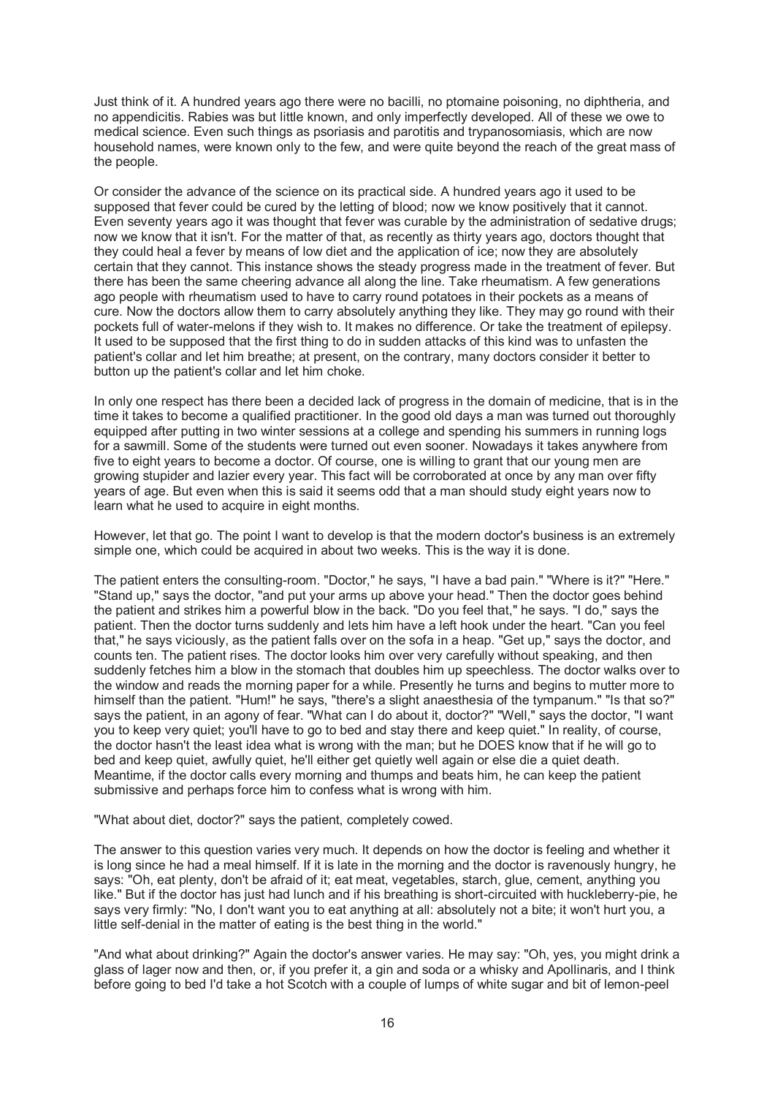Just think of it. A hundred years ago there were no bacilli, no ptomaine poisoning, no diphtheria, and no appendicitis. Rabies was but little known, and only imperfectly developed. All of these we owe to medical science. Even such things as psoriasis and parotitis and trypanosomiasis, which are now household names, were known only to the few, and were quite beyond the reach of the great mass of the people.

Or consider the advance of the science on its practical side. A hundred years ago it used to be supposed that fever could be cured by the letting of blood; now we know positively that it cannot. Even seventy years ago it was thought that fever was curable by the administration of sedative drugs; now we know that it isn't. For the matter of that, as recently as thirty years ago, doctors thought that they could heal a fever by means of low diet and the application of ice; now they are absolutely certain that they cannot. This instance shows the steady progress made in the treatment of fever. But there has been the same cheering advance all along the line. Take rheumatism. A few generations ago people with rheumatism used to have to carry round potatoes in their pockets as a means of cure. Now the doctors allow them to carry absolutely anything they like. They may go round with their pockets full of water-melons if they wish to. It makes no difference. Or take the treatment of epilepsy. It used to be supposed that the first thing to do in sudden attacks of this kind was to unfasten the patient's collar and let him breathe; at present, on the contrary, many doctors consider it better to button up the patient's collar and let him choke.

In only one respect has there been a decided lack of progress in the domain of medicine, that is in the time it takes to become a qualified practitioner. In the good old days a man was turned out thoroughly equipped after putting in two winter sessions at a college and spending his summers in running logs for a sawmill. Some of the students were turned out even sooner. Nowadays it takes anywhere from five to eight years to become a doctor. Of course, one is willing to grant that our young men are growing stupider and lazier every year. This fact will be corroborated at once by any man over fifty years of age. But even when this is said it seems odd that a man should study eight years now to learn what he used to acquire in eight months.

However, let that go. The point I want to develop is that the modern doctor's business is an extremely simple one, which could be acquired in about two weeks. This is the way it is done.

The patient enters the consulting-room. "Doctor," he says, "I have a bad pain." "Where is it?" "Here." "Stand up," says the doctor, "and put your arms up above your head." Then the doctor goes behind the patient and strikes him a powerful blow in the back. "Do you feel that," he says. "I do," says the patient. Then the doctor turns suddenly and lets him have a left hook under the heart. "Can you feel that," he says viciously, as the patient falls over on the sofa in a heap. "Get up," says the doctor, and counts ten. The patient rises. The doctor looks him over very carefully without speaking, and then suddenly fetches him a blow in the stomach that doubles him up speechless. The doctor walks over to the window and reads the morning paper for a while. Presently he turns and begins to mutter more to himself than the patient. "Hum!" he says, "there's a slight anaesthesia of the tympanum." "Is that so?" says the patient, in an agony of fear. "What can I do about it, doctor?" "Well," says the doctor, "I want you to keep very quiet; you'll have to go to bed and stay there and keep quiet." In reality, of course, the doctor hasn't the least idea what is wrong with the man; but he DOES know that if he will go to bed and keep quiet, awfully quiet, he'll either get quietly well again or else die a quiet death. Meantime, if the doctor calls every morning and thumps and beats him, he can keep the patient submissive and perhaps force him to confess what is wrong with him.

"What about diet, doctor?" says the patient, completely cowed.

The answer to this question varies very much. It depends on how the doctor is feeling and whether it is long since he had a meal himself. If it is late in the morning and the doctor is ravenously hungry, he says: "Oh, eat plenty, don't be afraid of it; eat meat, vegetables, starch, glue, cement, anything you like." But if the doctor has just had lunch and if his breathing is short-circuited with huckleberry-pie, he says very firmly: "No, I don't want you to eat anything at all: absolutely not a bite; it won't hurt you, a little self-denial in the matter of eating is the best thing in the world."

"And what about drinking?" Again the doctor's answer varies. He may say: "Oh, yes, you might drink a glass of lager now and then, or, if you prefer it, a gin and soda or a whisky and Apollinaris, and I think before going to bed I'd take a hot Scotch with a couple of lumps of white sugar and bit of lemon-peel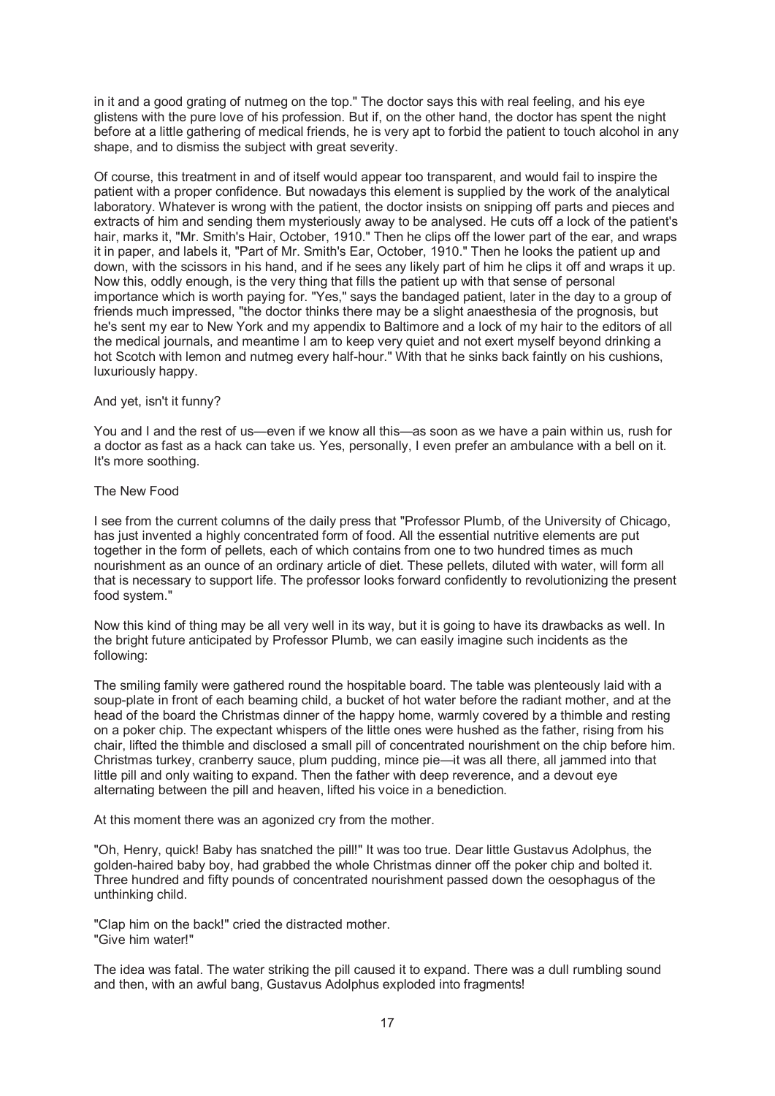in it and a good grating of nutmeg on the top." The doctor says this with real feeling, and his eye glistens with the pure love of his profession. But if, on the other hand, the doctor has spent the night before at a little gathering of medical friends, he is very apt to forbid the patient to touch alcohol in any shape, and to dismiss the subject with great severity.

Of course, this treatment in and of itself would appear too transparent, and would fail to inspire the patient with a proper confidence. But nowadays this element is supplied by the work of the analytical laboratory. Whatever is wrong with the patient, the doctor insists on snipping off parts and pieces and extracts of him and sending them mysteriously away to be analysed. He cuts off a lock of the patient's hair, marks it, "Mr. Smith's Hair, October, 1910." Then he clips off the lower part of the ear, and wraps it in paper, and labels it, "Part of Mr. Smith's Ear, October, 1910." Then he looks the patient up and down, with the scissors in his hand, and if he sees any likely part of him he clips it off and wraps it up. Now this, oddly enough, is the very thing that fills the patient up with that sense of personal importance which is worth paying for. "Yes," says the bandaged patient, later in the day to a group of friends much impressed, "the doctor thinks there may be a slight anaesthesia of the prognosis, but he's sent my ear to New York and my appendix to Baltimore and a lock of my hair to the editors of all the medical journals, and meantime I am to keep very quiet and not exert myself beyond drinking a hot Scotch with lemon and nutmeg every half-hour." With that he sinks back faintly on his cushions, luxuriously happy.

#### And yet, isn't it funny?

You and I and the rest of us—even if we know all this—as soon as we have a pain within us, rush for a doctor as fast as a hack can take us. Yes, personally, I even prefer an ambulance with a bell on it. It's more soothing.

#### The New Food

I see from the current columns of the daily press that "Professor Plumb, of the University of Chicago, has just invented a highly concentrated form of food. All the essential nutritive elements are put together in the form of pellets, each of which contains from one to two hundred times as much nourishment as an ounce of an ordinary article of diet. These pellets, diluted with water, will form all that is necessary to support life. The professor looks forward confidently to revolutionizing the present food system."

Now this kind of thing may be all very well in its way, but it is going to have its drawbacks as well. In the bright future anticipated by Professor Plumb, we can easily imagine such incidents as the following:

The smiling family were gathered round the hospitable board. The table was plenteously laid with a soup-plate in front of each beaming child, a bucket of hot water before the radiant mother, and at the head of the board the Christmas dinner of the happy home, warmly covered by a thimble and resting on a poker chip. The expectant whispers of the little ones were hushed as the father, rising from his chair, lifted the thimble and disclosed a small pill of concentrated nourishment on the chip before him. Christmas turkey, cranberry sauce, plum pudding, mince pie—it was all there, all jammed into that little pill and only waiting to expand. Then the father with deep reverence, and a devout eye alternating between the pill and heaven, lifted his voice in a benediction.

At this moment there was an agonized cry from the mother.

"Oh, Henry, quick! Baby has snatched the pill!" It was too true. Dear little Gustavus Adolphus, the golden-haired baby boy, had grabbed the whole Christmas dinner off the poker chip and bolted it. Three hundred and fifty pounds of concentrated nourishment passed down the oesophagus of the unthinking child.

"Clap him on the back!" cried the distracted mother. "Give him water!"

The idea was fatal. The water striking the pill caused it to expand. There was a dull rumbling sound and then, with an awful bang, Gustavus Adolphus exploded into fragments!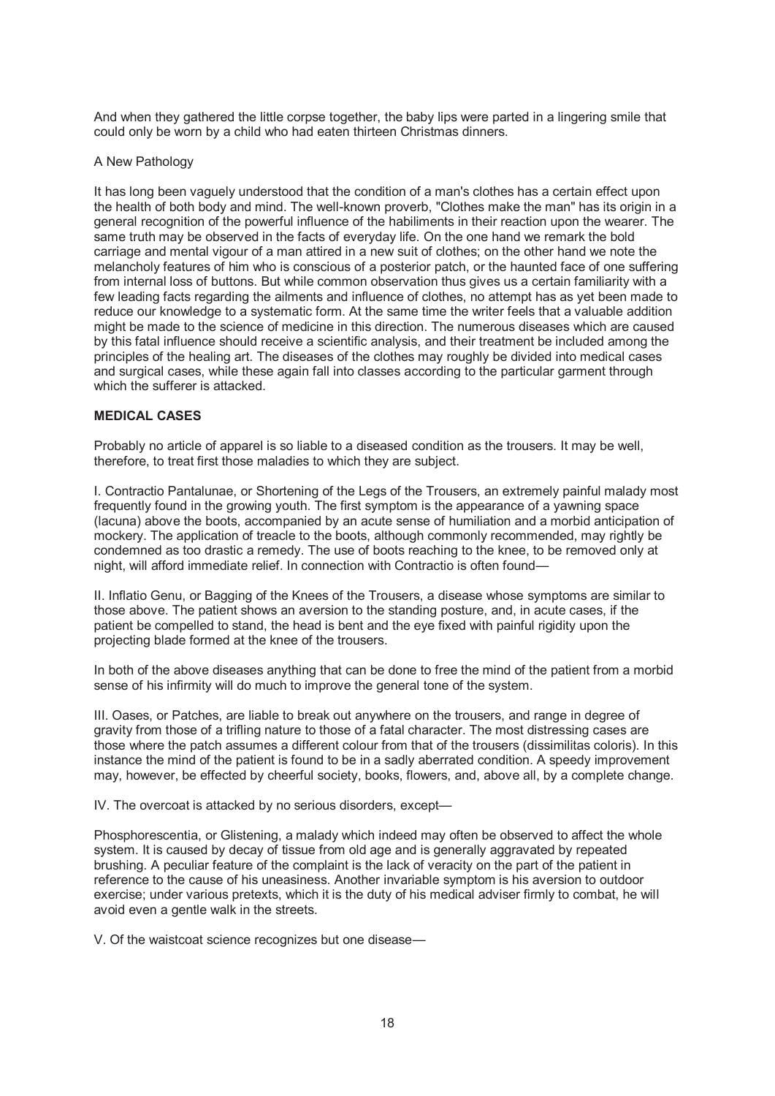And when they gathered the little corpse together, the baby lips were parted in a lingering smile that could only be worn by a child who had eaten thirteen Christmas dinners.

## A New Pathology

It has long been vaguely understood that the condition of a man's clothes has a certain effect upon the health of both body and mind. The well-known proverb, "Clothes make the man" has its origin in a general recognition of the powerful influence of the habiliments in their reaction upon the wearer. The same truth may be observed in the facts of everyday life. On the one hand we remark the bold carriage and mental vigour of a man attired in a new suit of clothes; on the other hand we note the melancholy features of him who is conscious of a posterior patch, or the haunted face of one suffering from internal loss of buttons. But while common observation thus gives us a certain familiarity with a few leading facts regarding the ailments and influence of clothes, no attempt has as yet been made to reduce our knowledge to a systematic form. At the same time the writer feels that a valuable addition might be made to the science of medicine in this direction. The numerous diseases which are caused by this fatal influence should receive a scientific analysis, and their treatment be included among the principles of the healing art. The diseases of the clothes may roughly be divided into medical cases and surgical cases, while these again fall into classes according to the particular garment through which the sufferer is attacked.

## **MEDICAL CASES**

Probably no article of apparel is so liable to a diseased condition as the trousers. It may be well, therefore, to treat first those maladies to which they are subject.

I. Contractio Pantalunae, or Shortening of the Legs of the Trousers, an extremely painful malady most frequently found in the growing youth. The first symptom is the appearance of a yawning space (lacuna) above the boots, accompanied by an acute sense of humiliation and a morbid anticipation of mockery. The application of treacle to the boots, although commonly recommended, may rightly be condemned as too drastic a remedy. The use of boots reaching to the knee, to be removed only at night, will afford immediate relief. In connection with Contractio is often found—

II. Inflatio Genu, or Bagging of the Knees of the Trousers, a disease whose symptoms are similar to those above. The patient shows an aversion to the standing posture, and, in acute cases, if the patient be compelled to stand, the head is bent and the eye fixed with painful rigidity upon the projecting blade formed at the knee of the trousers.

In both of the above diseases anything that can be done to free the mind of the patient from a morbid sense of his infirmity will do much to improve the general tone of the system.

III. Oases, or Patches, are liable to break out anywhere on the trousers, and range in degree of gravity from those of a trifling nature to those of a fatal character. The most distressing cases are those where the patch assumes a different colour from that of the trousers (dissimilitas coloris). In this instance the mind of the patient is found to be in a sadly aberrated condition. A speedy improvement may, however, be effected by cheerful society, books, flowers, and, above all, by a complete change.

IV. The overcoat is attacked by no serious disorders, except—

Phosphorescentia, or Glistening, a malady which indeed may often be observed to affect the whole system. It is caused by decay of tissue from old age and is generally aggravated by repeated brushing. A peculiar feature of the complaint is the lack of veracity on the part of the patient in reference to the cause of his uneasiness. Another invariable symptom is his aversion to outdoor exercise; under various pretexts, which it is the duty of his medical adviser firmly to combat, he will avoid even a gentle walk in the streets.

V. Of the waistcoat science recognizes but one disease—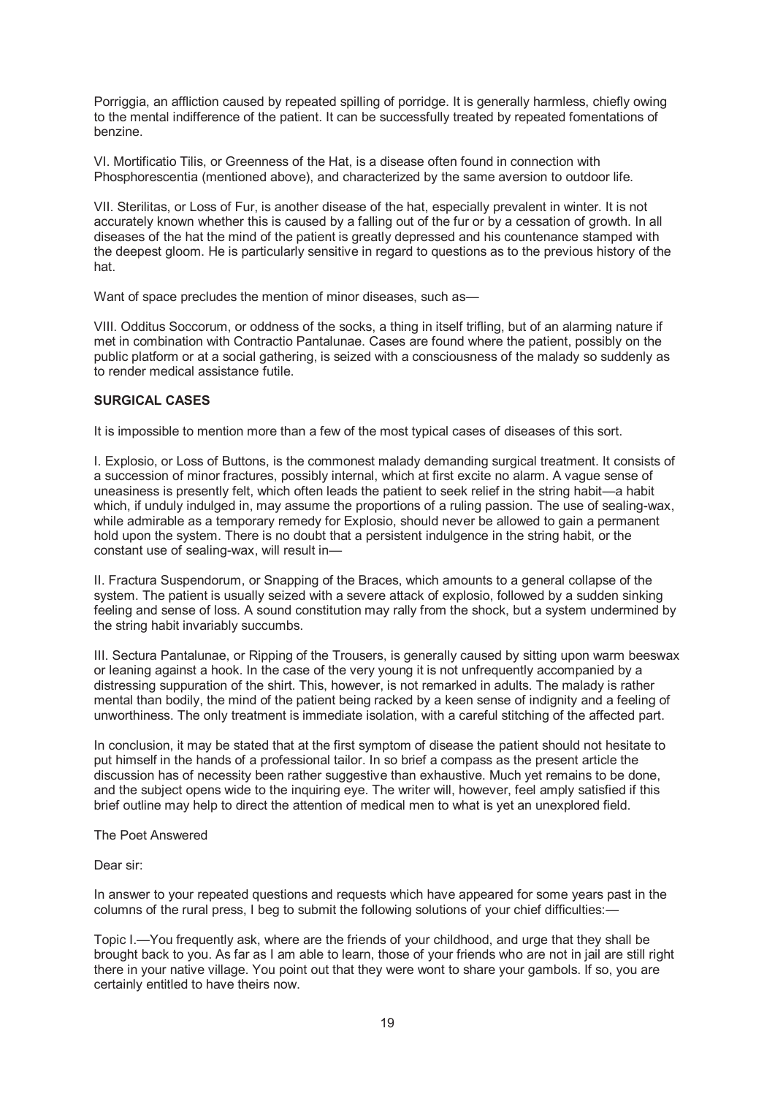Porriggia, an affliction caused by repeated spilling of porridge. It is generally harmless, chiefly owing to the mental indifference of the patient. It can be successfully treated by repeated fomentations of benzine.

VI. Mortificatio Tilis, or Greenness of the Hat, is a disease often found in connection with Phosphorescentia (mentioned above), and characterized by the same aversion to outdoor life.

VII. Sterilitas, or Loss of Fur, is another disease of the hat, especially prevalent in winter. It is not accurately known whether this is caused by a falling out of the fur or by a cessation of growth. In all diseases of the hat the mind of the patient is greatly depressed and his countenance stamped with the deepest gloom. He is particularly sensitive in regard to questions as to the previous history of the hat.

Want of space precludes the mention of minor diseases, such as-

VIII. Odditus Soccorum, or oddness of the socks, a thing in itself trifling, but of an alarming nature if met in combination with Contractio Pantalunae. Cases are found where the patient, possibly on the public platform or at a social gathering, is seized with a consciousness of the malady so suddenly as to render medical assistance futile.

# **SURGICAL CASES**

It is impossible to mention more than a few of the most typical cases of diseases of this sort.

I. Explosio, or Loss of Buttons, is the commonest malady demanding surgical treatment. It consists of a succession of minor fractures, possibly internal, which at first excite no alarm. A vague sense of uneasiness is presently felt, which often leads the patient to seek relief in the string habit—a habit which, if unduly indulged in, may assume the proportions of a ruling passion. The use of sealing-wax, while admirable as a temporary remedy for Explosio, should never be allowed to gain a permanent hold upon the system. There is no doubt that a persistent indulgence in the string habit, or the constant use of sealing-wax, will result in—

II. Fractura Suspendorum, or Snapping of the Braces, which amounts to a general collapse of the system. The patient is usually seized with a severe attack of explosio, followed by a sudden sinking feeling and sense of loss. A sound constitution may rally from the shock, but a system undermined by the string habit invariably succumbs.

III. Sectura Pantalunae, or Ripping of the Trousers, is generally caused by sitting upon warm beeswax or leaning against a hook. In the case of the very young it is not unfrequently accompanied by a distressing suppuration of the shirt. This, however, is not remarked in adults. The malady is rather mental than bodily, the mind of the patient being racked by a keen sense of indignity and a feeling of unworthiness. The only treatment is immediate isolation, with a careful stitching of the affected part.

In conclusion, it may be stated that at the first symptom of disease the patient should not hesitate to put himself in the hands of a professional tailor. In so brief a compass as the present article the discussion has of necessity been rather suggestive than exhaustive. Much yet remains to be done, and the subject opens wide to the inquiring eye. The writer will, however, feel amply satisfied if this brief outline may help to direct the attention of medical men to what is yet an unexplored field.

The Poet Answered

Dear sir:

In answer to your repeated questions and requests which have appeared for some years past in the columns of the rural press, I beg to submit the following solutions of your chief difficulties:—

Topic I.—You frequently ask, where are the friends of your childhood, and urge that they shall be brought back to you. As far as I am able to learn, those of your friends who are not in jail are still right there in your native village. You point out that they were wont to share your gambols. If so, you are certainly entitled to have theirs now.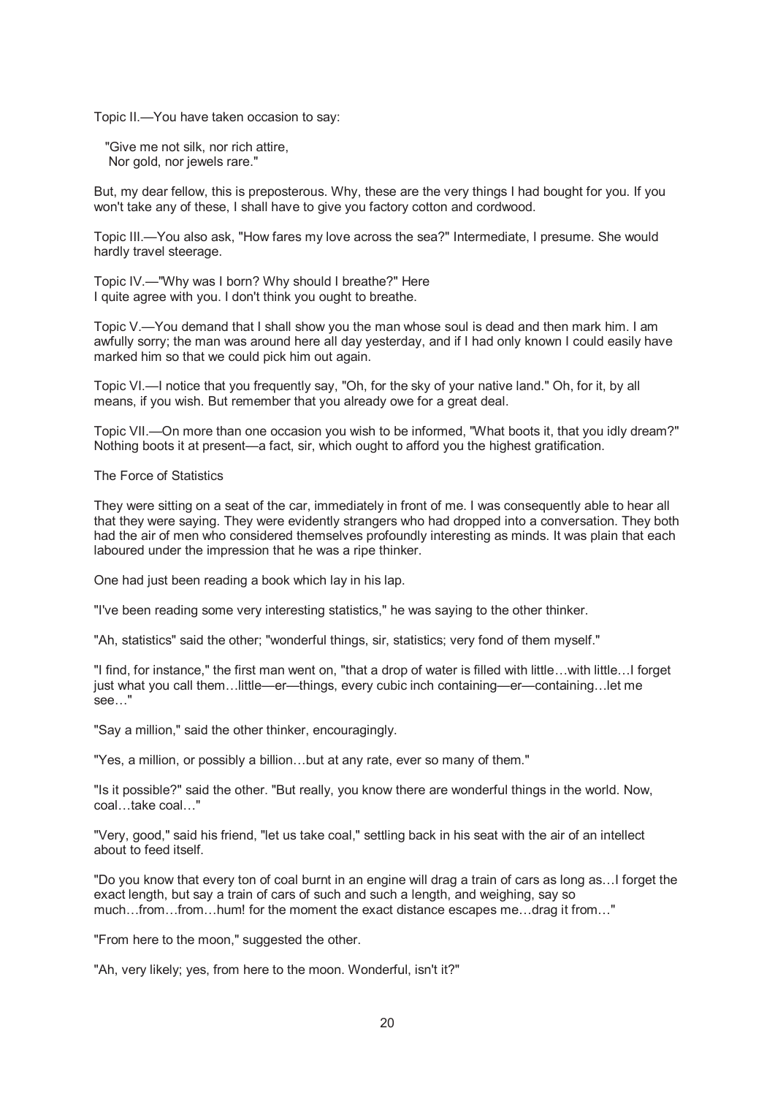Topic II.—You have taken occasion to say:

 "Give me not silk, nor rich attire, Nor gold, nor jewels rare."

But, my dear fellow, this is preposterous. Why, these are the very things I had bought for you. If you won't take any of these, I shall have to give you factory cotton and cordwood.

Topic III.—You also ask, "How fares my love across the sea?" Intermediate, I presume. She would hardly travel steerage.

Topic IV.—"Why was I born? Why should I breathe?" Here I quite agree with you. I don't think you ought to breathe.

Topic V.—You demand that I shall show you the man whose soul is dead and then mark him. I am awfully sorry; the man was around here all day yesterday, and if I had only known I could easily have marked him so that we could pick him out again.

Topic VI.—I notice that you frequently say, "Oh, for the sky of your native land." Oh, for it, by all means, if you wish. But remember that you already owe for a great deal.

Topic VII.—On more than one occasion you wish to be informed, "What boots it, that you idly dream?" Nothing boots it at present—a fact, sir, which ought to afford you the highest gratification.

The Force of Statistics

They were sitting on a seat of the car, immediately in front of me. I was consequently able to hear all that they were saying. They were evidently strangers who had dropped into a conversation. They both had the air of men who considered themselves profoundly interesting as minds. It was plain that each laboured under the impression that he was a ripe thinker.

One had just been reading a book which lay in his lap.

"I've been reading some very interesting statistics," he was saying to the other thinker.

"Ah, statistics" said the other; "wonderful things, sir, statistics; very fond of them myself."

"I find, for instance," the first man went on, "that a drop of water is filled with little…with little…I forget just what you call them…little—er—things, every cubic inch containing—er—containing…let me see…"

"Say a million," said the other thinker, encouragingly.

"Yes, a million, or possibly a billion…but at any rate, ever so many of them."

"Is it possible?" said the other. "But really, you know there are wonderful things in the world. Now, coal…take coal…"

"Very, good," said his friend, "let us take coal," settling back in his seat with the air of an intellect about to feed itself.

"Do you know that every ton of coal burnt in an engine will drag a train of cars as long as…I forget the exact length, but say a train of cars of such and such a length, and weighing, say so much…from…from…hum! for the moment the exact distance escapes me…drag it from…"

"From here to the moon," suggested the other.

"Ah, very likely; yes, from here to the moon. Wonderful, isn't it?"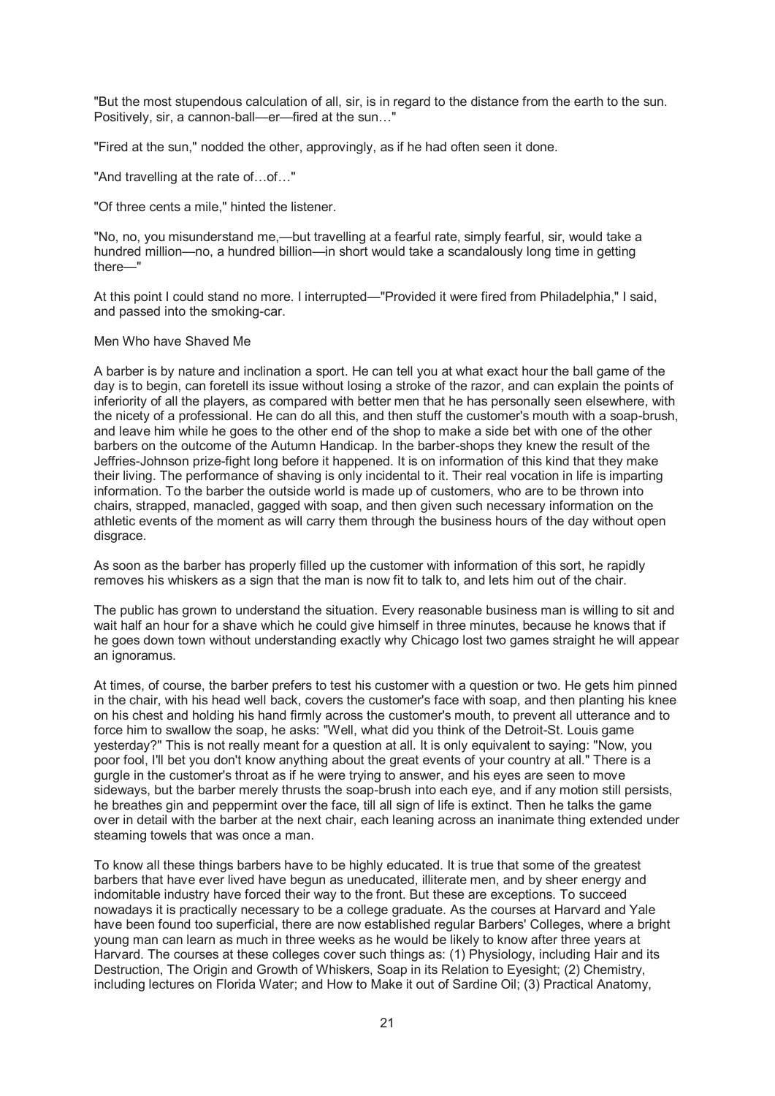"But the most stupendous calculation of all, sir, is in regard to the distance from the earth to the sun. Positively, sir, a cannon-ball—er—fired at the sun…"

"Fired at the sun," nodded the other, approvingly, as if he had often seen it done.

"And travelling at the rate of…of…"

"Of three cents a mile," hinted the listener.

"No, no, you misunderstand me,—but travelling at a fearful rate, simply fearful, sir, would take a hundred million—no, a hundred billion—in short would take a scandalously long time in getting there—"

At this point I could stand no more. I interrupted—"Provided it were fired from Philadelphia," I said, and passed into the smoking-car.

## Men Who have Shaved Me

A barber is by nature and inclination a sport. He can tell you at what exact hour the ball game of the day is to begin, can foretell its issue without losing a stroke of the razor, and can explain the points of inferiority of all the players, as compared with better men that he has personally seen elsewhere, with the nicety of a professional. He can do all this, and then stuff the customer's mouth with a soap-brush, and leave him while he goes to the other end of the shop to make a side bet with one of the other barbers on the outcome of the Autumn Handicap. In the barber-shops they knew the result of the Jeffries-Johnson prize-fight long before it happened. It is on information of this kind that they make their living. The performance of shaving is only incidental to it. Their real vocation in life is imparting information. To the barber the outside world is made up of customers, who are to be thrown into chairs, strapped, manacled, gagged with soap, and then given such necessary information on the athletic events of the moment as will carry them through the business hours of the day without open disgrace.

As soon as the barber has properly filled up the customer with information of this sort, he rapidly removes his whiskers as a sign that the man is now fit to talk to, and lets him out of the chair.

The public has grown to understand the situation. Every reasonable business man is willing to sit and wait half an hour for a shave which he could give himself in three minutes, because he knows that if he goes down town without understanding exactly why Chicago lost two games straight he will appear an ignoramus.

At times, of course, the barber prefers to test his customer with a question or two. He gets him pinned in the chair, with his head well back, covers the customer's face with soap, and then planting his knee on his chest and holding his hand firmly across the customer's mouth, to prevent all utterance and to force him to swallow the soap, he asks: "Well, what did you think of the Detroit-St. Louis game yesterday?" This is not really meant for a question at all. It is only equivalent to saying: "Now, you poor fool, I'll bet you don't know anything about the great events of your country at all." There is a gurgle in the customer's throat as if he were trying to answer, and his eyes are seen to move sideways, but the barber merely thrusts the soap-brush into each eye, and if any motion still persists, he breathes gin and peppermint over the face, till all sign of life is extinct. Then he talks the game over in detail with the barber at the next chair, each leaning across an inanimate thing extended under steaming towels that was once a man.

To know all these things barbers have to be highly educated. It is true that some of the greatest barbers that have ever lived have begun as uneducated, illiterate men, and by sheer energy and indomitable industry have forced their way to the front. But these are exceptions. To succeed nowadays it is practically necessary to be a college graduate. As the courses at Harvard and Yale have been found too superficial, there are now established regular Barbers' Colleges, where a bright young man can learn as much in three weeks as he would be likely to know after three years at Harvard. The courses at these colleges cover such things as: (1) Physiology, including Hair and its Destruction, The Origin and Growth of Whiskers, Soap in its Relation to Eyesight; (2) Chemistry, including lectures on Florida Water; and How to Make it out of Sardine Oil; (3) Practical Anatomy,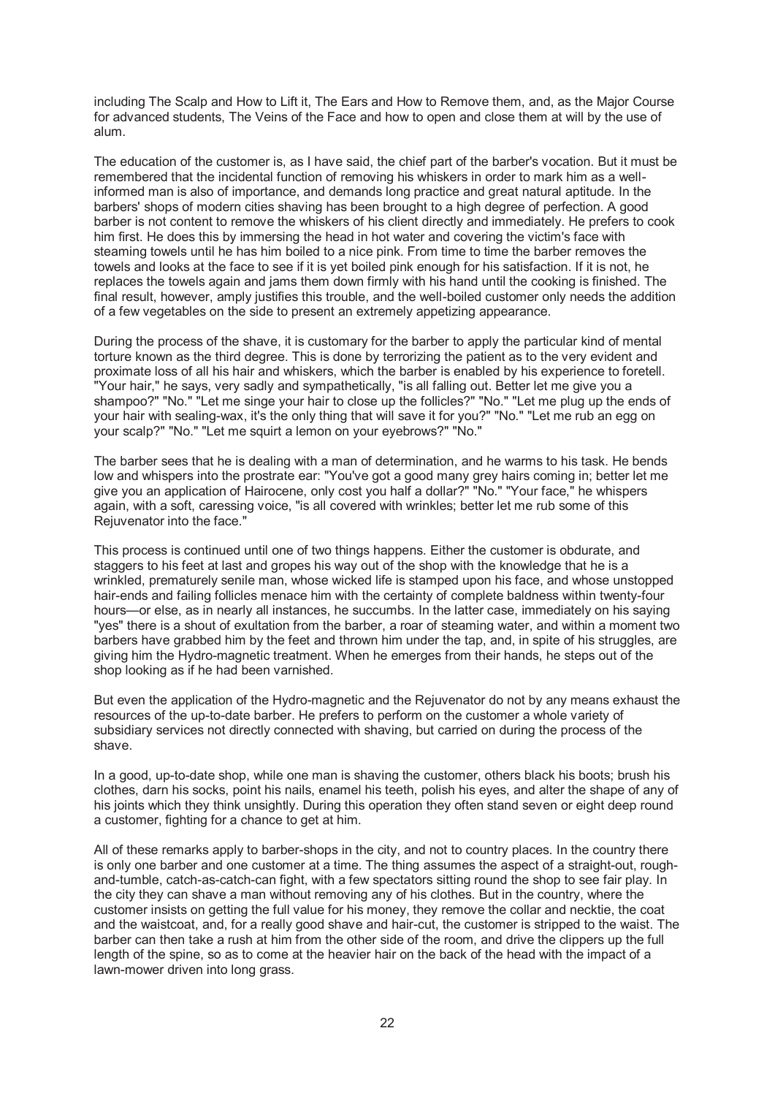including The Scalp and How to Lift it, The Ears and How to Remove them, and, as the Major Course for advanced students, The Veins of the Face and how to open and close them at will by the use of alum.

The education of the customer is, as I have said, the chief part of the barber's vocation. But it must be remembered that the incidental function of removing his whiskers in order to mark him as a wellinformed man is also of importance, and demands long practice and great natural aptitude. In the barbers' shops of modern cities shaving has been brought to a high degree of perfection. A good barber is not content to remove the whiskers of his client directly and immediately. He prefers to cook him first. He does this by immersing the head in hot water and covering the victim's face with steaming towels until he has him boiled to a nice pink. From time to time the barber removes the towels and looks at the face to see if it is yet boiled pink enough for his satisfaction. If it is not, he replaces the towels again and jams them down firmly with his hand until the cooking is finished. The final result, however, amply justifies this trouble, and the well-boiled customer only needs the addition of a few vegetables on the side to present an extremely appetizing appearance.

During the process of the shave, it is customary for the barber to apply the particular kind of mental torture known as the third degree. This is done by terrorizing the patient as to the very evident and proximate loss of all his hair and whiskers, which the barber is enabled by his experience to foretell. "Your hair," he says, very sadly and sympathetically, "is all falling out. Better let me give you a shampoo?" "No." "Let me singe your hair to close up the follicles?" "No." "Let me plug up the ends of your hair with sealing-wax, it's the only thing that will save it for you?" "No." "Let me rub an egg on your scalp?" "No." "Let me squirt a lemon on your eyebrows?" "No."

The barber sees that he is dealing with a man of determination, and he warms to his task. He bends low and whispers into the prostrate ear: "You've got a good many grey hairs coming in; better let me give you an application of Hairocene, only cost you half a dollar?" "No." "Your face," he whispers again, with a soft, caressing voice, "is all covered with wrinkles; better let me rub some of this Rejuvenator into the face."

This process is continued until one of two things happens. Either the customer is obdurate, and staggers to his feet at last and gropes his way out of the shop with the knowledge that he is a wrinkled, prematurely senile man, whose wicked life is stamped upon his face, and whose unstopped hair-ends and failing follicles menace him with the certainty of complete baldness within twenty-four hours—or else, as in nearly all instances, he succumbs. In the latter case, immediately on his saying "yes" there is a shout of exultation from the barber, a roar of steaming water, and within a moment two barbers have grabbed him by the feet and thrown him under the tap, and, in spite of his struggles, are giving him the Hydro-magnetic treatment. When he emerges from their hands, he steps out of the shop looking as if he had been varnished.

But even the application of the Hydro-magnetic and the Rejuvenator do not by any means exhaust the resources of the up-to-date barber. He prefers to perform on the customer a whole variety of subsidiary services not directly connected with shaving, but carried on during the process of the shave.

In a good, up-to-date shop, while one man is shaving the customer, others black his boots; brush his clothes, darn his socks, point his nails, enamel his teeth, polish his eyes, and alter the shape of any of his joints which they think unsightly. During this operation they often stand seven or eight deep round a customer, fighting for a chance to get at him.

All of these remarks apply to barber-shops in the city, and not to country places. In the country there is only one barber and one customer at a time. The thing assumes the aspect of a straight-out, roughand-tumble, catch-as-catch-can fight, with a few spectators sitting round the shop to see fair play. In the city they can shave a man without removing any of his clothes. But in the country, where the customer insists on getting the full value for his money, they remove the collar and necktie, the coat and the waistcoat, and, for a really good shave and hair-cut, the customer is stripped to the waist. The barber can then take a rush at him from the other side of the room, and drive the clippers up the full length of the spine, so as to come at the heavier hair on the back of the head with the impact of a lawn-mower driven into long grass.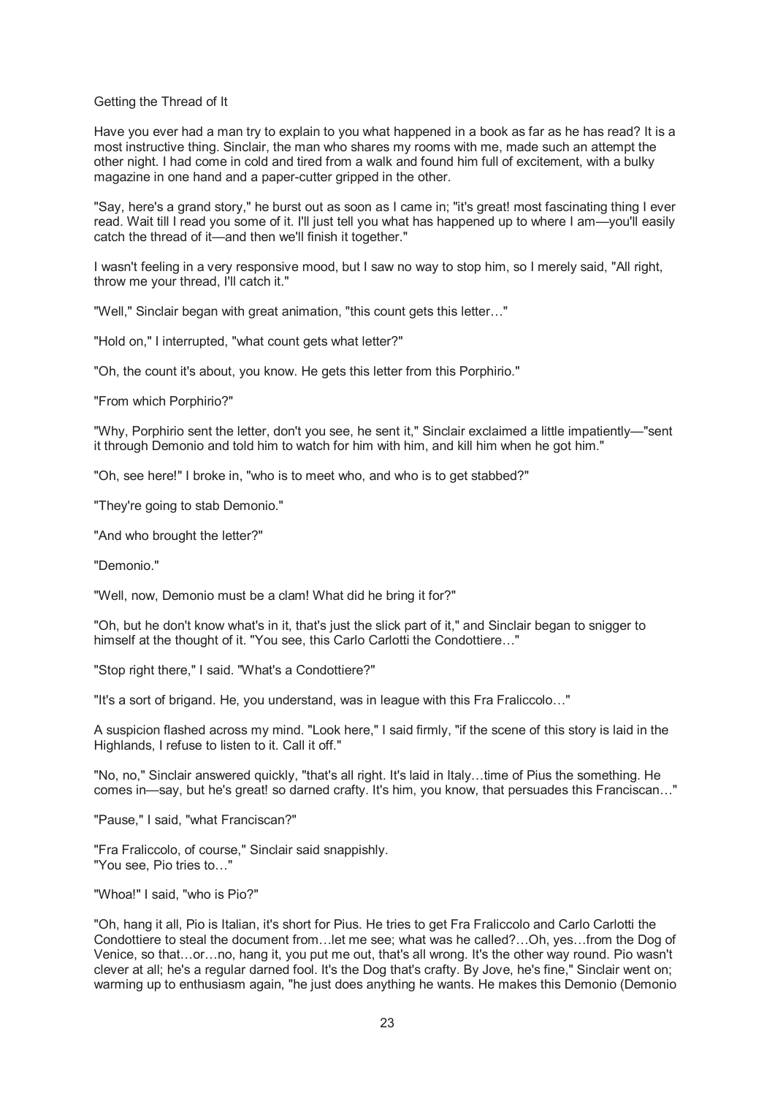#### Getting the Thread of It

Have you ever had a man try to explain to you what happened in a book as far as he has read? It is a most instructive thing. Sinclair, the man who shares my rooms with me, made such an attempt the other night. I had come in cold and tired from a walk and found him full of excitement, with a bulky magazine in one hand and a paper-cutter gripped in the other.

"Say, here's a grand story," he burst out as soon as I came in; "it's great! most fascinating thing I ever read. Wait till I read you some of it. I'll just tell you what has happened up to where I am—you'll easily catch the thread of it—and then we'll finish it together."

I wasn't feeling in a very responsive mood, but I saw no way to stop him, so I merely said, "All right, throw me your thread, I'll catch it."

"Well," Sinclair began with great animation, "this count gets this letter…"

"Hold on," I interrupted, "what count gets what letter?"

"Oh, the count it's about, you know. He gets this letter from this Porphirio."

"From which Porphirio?"

"Why, Porphirio sent the letter, don't you see, he sent it," Sinclair exclaimed a little impatiently—"sent it through Demonio and told him to watch for him with him, and kill him when he got him."

"Oh, see here!" I broke in, "who is to meet who, and who is to get stabbed?"

"They're going to stab Demonio."

"And who brought the letter?"

"Demonio."

"Well, now, Demonio must be a clam! What did he bring it for?"

"Oh, but he don't know what's in it, that's just the slick part of it," and Sinclair began to snigger to himself at the thought of it. "You see, this Carlo Carlotti the Condottiere..."

"Stop right there," I said. "What's a Condottiere?"

"It's a sort of brigand. He, you understand, was in league with this Fra Fraliccolo…"

A suspicion flashed across my mind. "Look here," I said firmly, "if the scene of this story is laid in the Highlands, I refuse to listen to it. Call it off."

"No, no," Sinclair answered quickly, "that's all right. It's laid in Italy…time of Pius the something. He comes in—say, but he's great! so darned crafty. It's him, you know, that persuades this Franciscan…"

"Pause," I said, "what Franciscan?"

"Fra Fraliccolo, of course," Sinclair said snappishly. "You see, Pio tries to…"

"Whoa!" I said, "who is Pio?"

"Oh, hang it all, Pio is Italian, it's short for Pius. He tries to get Fra Fraliccolo and Carlo Carlotti the Condottiere to steal the document from…let me see; what was he called?…Oh, yes…from the Dog of Venice, so that…or…no, hang it, you put me out, that's all wrong. It's the other way round. Pio wasn't clever at all; he's a regular darned fool. It's the Dog that's crafty. By Jove, he's fine," Sinclair went on; warming up to enthusiasm again, "he just does anything he wants. He makes this Demonio (Demonio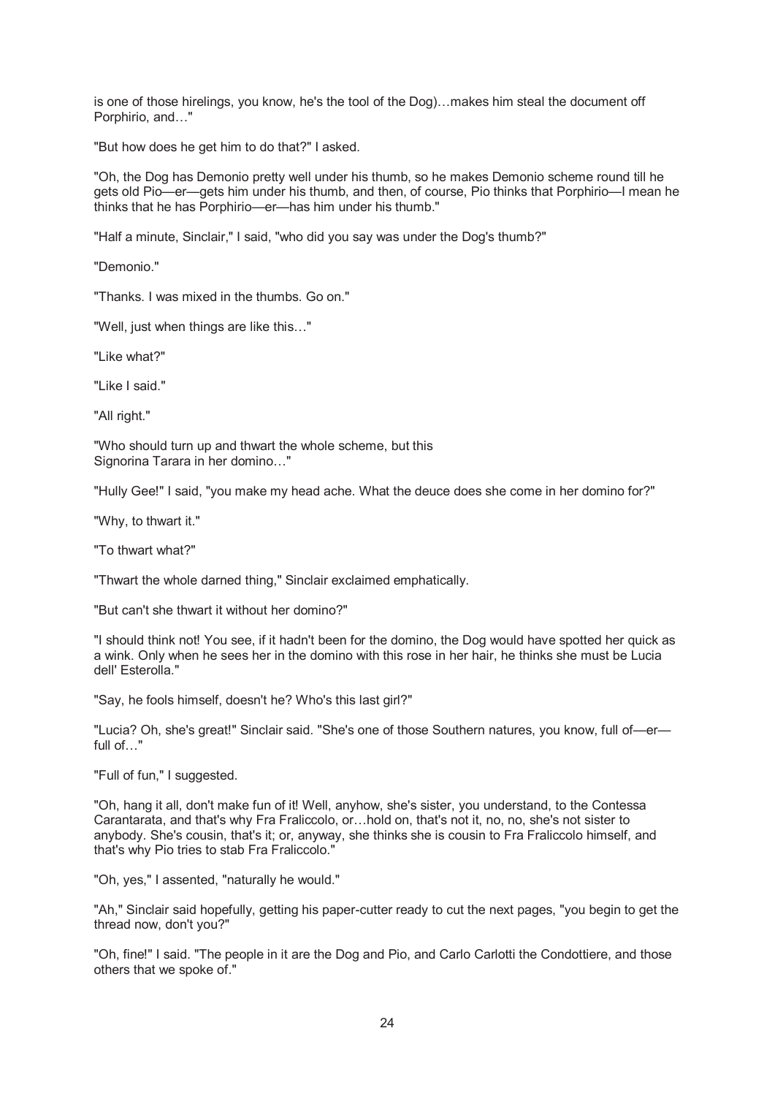is one of those hirelings, you know, he's the tool of the Dog)…makes him steal the document off Porphirio, and…"

"But how does he get him to do that?" I asked.

"Oh, the Dog has Demonio pretty well under his thumb, so he makes Demonio scheme round till he gets old Pio—er—gets him under his thumb, and then, of course, Pio thinks that Porphirio—I mean he thinks that he has Porphirio—er—has him under his thumb."

"Half a minute, Sinclair," I said, "who did you say was under the Dog's thumb?"

"Demonio."

"Thanks. I was mixed in the thumbs. Go on."

"Well, just when things are like this…"

"Like what?"

"Like I said."

"All right."

"Who should turn up and thwart the whole scheme, but this Signorina Tarara in her domino…"

"Hully Gee!" I said, "you make my head ache. What the deuce does she come in her domino for?"

"Why, to thwart it."

"To thwart what?"

"Thwart the whole darned thing," Sinclair exclaimed emphatically.

"But can't she thwart it without her domino?"

"I should think not! You see, if it hadn't been for the domino, the Dog would have spotted her quick as a wink. Only when he sees her in the domino with this rose in her hair, he thinks she must be Lucia dell' Esterolla."

"Say, he fools himself, doesn't he? Who's this last girl?"

"Lucia? Oh, she's great!" Sinclair said. "She's one of those Southern natures, you know, full of—er full of…"

"Full of fun," I suggested.

"Oh, hang it all, don't make fun of it! Well, anyhow, she's sister, you understand, to the Contessa Carantarata, and that's why Fra Fraliccolo, or…hold on, that's not it, no, no, she's not sister to anybody. She's cousin, that's it; or, anyway, she thinks she is cousin to Fra Fraliccolo himself, and that's why Pio tries to stab Fra Fraliccolo."

"Oh, yes," I assented, "naturally he would."

"Ah," Sinclair said hopefully, getting his paper-cutter ready to cut the next pages, "you begin to get the thread now, don't you?"

"Oh, fine!" I said. "The people in it are the Dog and Pio, and Carlo Carlotti the Condottiere, and those others that we spoke of."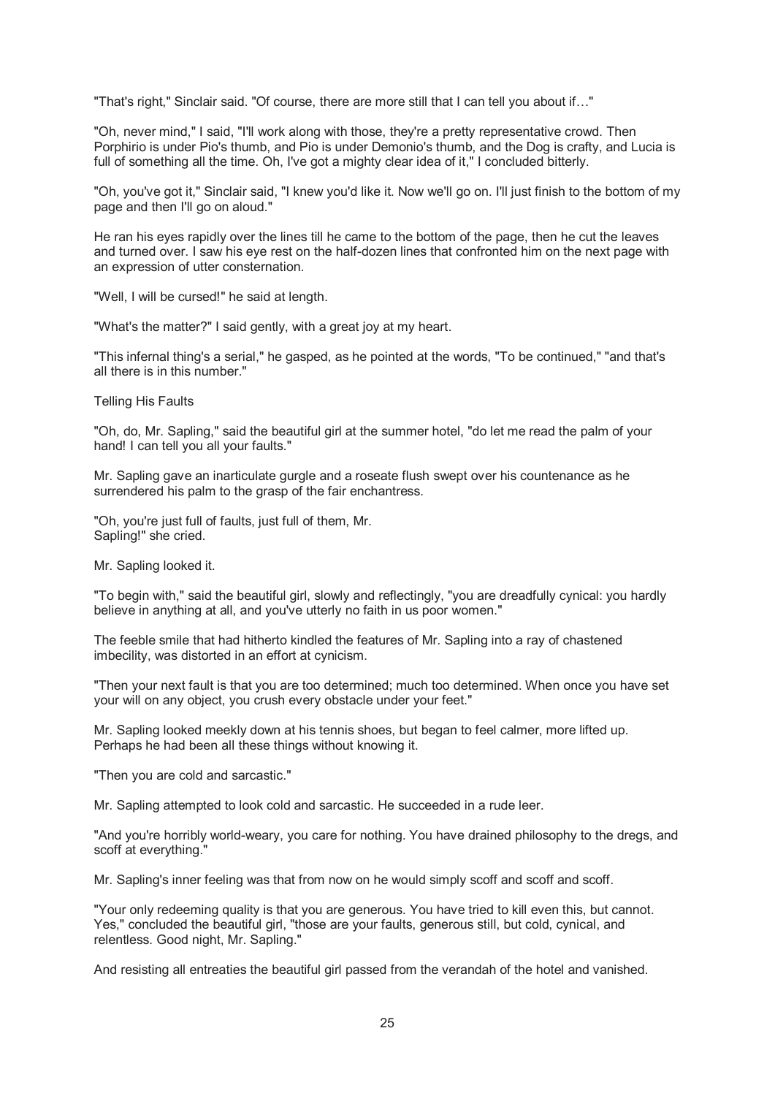"That's right," Sinclair said. "Of course, there are more still that I can tell you about if…"

"Oh, never mind," I said, "I'll work along with those, they're a pretty representative crowd. Then Porphirio is under Pio's thumb, and Pio is under Demonio's thumb, and the Dog is crafty, and Lucia is full of something all the time. Oh, I've got a mighty clear idea of it," I concluded bitterly.

"Oh, you've got it," Sinclair said, "I knew you'd like it. Now we'll go on. I'll just finish to the bottom of my page and then I'll go on aloud."

He ran his eyes rapidly over the lines till he came to the bottom of the page, then he cut the leaves and turned over. I saw his eye rest on the half-dozen lines that confronted him on the next page with an expression of utter consternation.

"Well, I will be cursed!" he said at length.

"What's the matter?" I said gently, with a great joy at my heart.

"This infernal thing's a serial," he gasped, as he pointed at the words, "To be continued," "and that's all there is in this number."

Telling His Faults

"Oh, do, Mr. Sapling," said the beautiful girl at the summer hotel, "do let me read the palm of your hand! I can tell you all your faults."

Mr. Sapling gave an inarticulate gurgle and a roseate flush swept over his countenance as he surrendered his palm to the grasp of the fair enchantress.

"Oh, you're just full of faults, just full of them, Mr. Sapling!" she cried.

Mr. Sapling looked it.

"To begin with," said the beautiful girl, slowly and reflectingly, "you are dreadfully cynical: you hardly believe in anything at all, and you've utterly no faith in us poor women."

The feeble smile that had hitherto kindled the features of Mr. Sapling into a ray of chastened imbecility, was distorted in an effort at cynicism.

"Then your next fault is that you are too determined; much too determined. When once you have set your will on any object, you crush every obstacle under your feet."

Mr. Sapling looked meekly down at his tennis shoes, but began to feel calmer, more lifted up. Perhaps he had been all these things without knowing it.

"Then you are cold and sarcastic."

Mr. Sapling attempted to look cold and sarcastic. He succeeded in a rude leer.

"And you're horribly world-weary, you care for nothing. You have drained philosophy to the dregs, and scoff at everything."

Mr. Sapling's inner feeling was that from now on he would simply scoff and scoff and scoff.

"Your only redeeming quality is that you are generous. You have tried to kill even this, but cannot. Yes," concluded the beautiful girl, "those are your faults, generous still, but cold, cynical, and relentless. Good night, Mr. Sapling."

And resisting all entreaties the beautiful girl passed from the verandah of the hotel and vanished.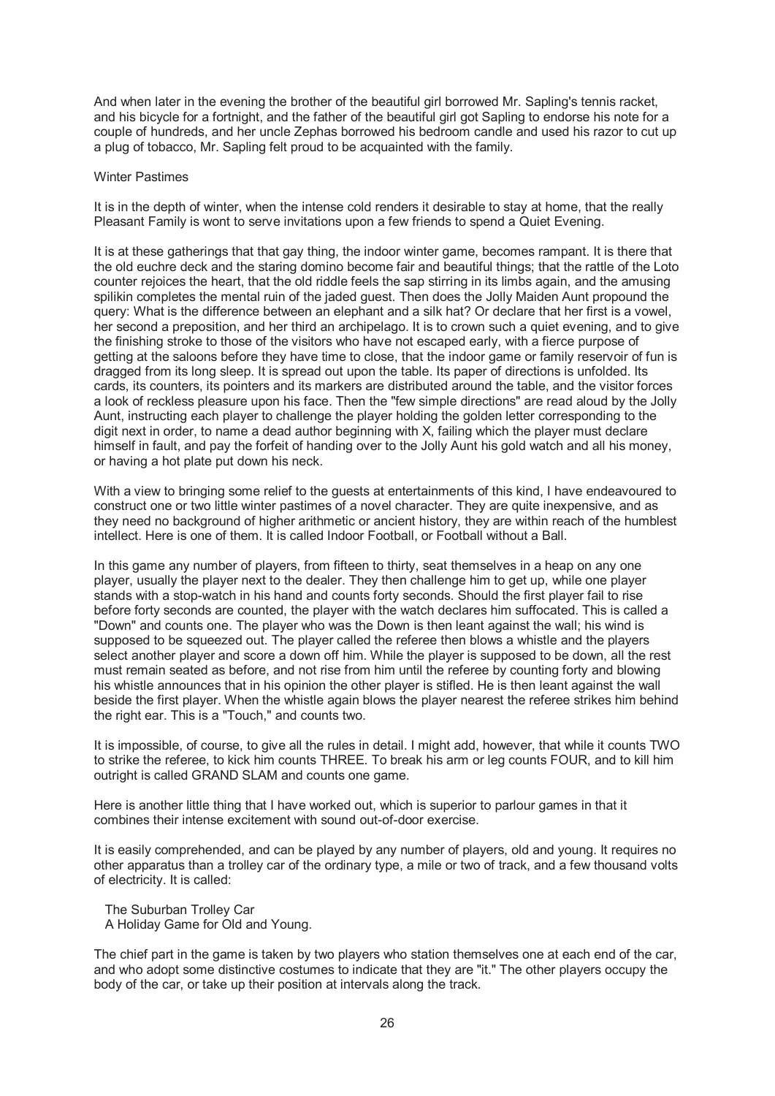And when later in the evening the brother of the beautiful girl borrowed Mr. Sapling's tennis racket, and his bicycle for a fortnight, and the father of the beautiful girl got Sapling to endorse his note for a couple of hundreds, and her uncle Zephas borrowed his bedroom candle and used his razor to cut up a plug of tobacco, Mr. Sapling felt proud to be acquainted with the family.

#### Winter Pastimes

It is in the depth of winter, when the intense cold renders it desirable to stay at home, that the really Pleasant Family is wont to serve invitations upon a few friends to spend a Quiet Evening.

It is at these gatherings that that gay thing, the indoor winter game, becomes rampant. It is there that the old euchre deck and the staring domino become fair and beautiful things; that the rattle of the Loto counter rejoices the heart, that the old riddle feels the sap stirring in its limbs again, and the amusing spilikin completes the mental ruin of the jaded guest. Then does the Jolly Maiden Aunt propound the query: What is the difference between an elephant and a silk hat? Or declare that her first is a vowel, her second a preposition, and her third an archipelago. It is to crown such a quiet evening, and to give the finishing stroke to those of the visitors who have not escaped early, with a fierce purpose of getting at the saloons before they have time to close, that the indoor game or family reservoir of fun is dragged from its long sleep. It is spread out upon the table. Its paper of directions is unfolded. Its cards, its counters, its pointers and its markers are distributed around the table, and the visitor forces a look of reckless pleasure upon his face. Then the "few simple directions" are read aloud by the Jolly Aunt, instructing each player to challenge the player holding the golden letter corresponding to the digit next in order, to name a dead author beginning with X, failing which the player must declare himself in fault, and pay the forfeit of handing over to the Jolly Aunt his gold watch and all his money, or having a hot plate put down his neck.

With a view to bringing some relief to the guests at entertainments of this kind, I have endeavoured to construct one or two little winter pastimes of a novel character. They are quite inexpensive, and as they need no background of higher arithmetic or ancient history, they are within reach of the humblest intellect. Here is one of them. It is called Indoor Football, or Football without a Ball.

In this game any number of players, from fifteen to thirty, seat themselves in a heap on any one player, usually the player next to the dealer. They then challenge him to get up, while one player stands with a stop-watch in his hand and counts forty seconds. Should the first player fail to rise before forty seconds are counted, the player with the watch declares him suffocated. This is called a "Down" and counts one. The player who was the Down is then leant against the wall; his wind is supposed to be squeezed out. The player called the referee then blows a whistle and the players select another player and score a down off him. While the player is supposed to be down, all the rest must remain seated as before, and not rise from him until the referee by counting forty and blowing his whistle announces that in his opinion the other player is stifled. He is then leant against the wall beside the first player. When the whistle again blows the player nearest the referee strikes him behind the right ear. This is a "Touch," and counts two.

It is impossible, of course, to give all the rules in detail. I might add, however, that while it counts TWO to strike the referee, to kick him counts THREE. To break his arm or leg counts FOUR, and to kill him outright is called GRAND SLAM and counts one game.

Here is another little thing that I have worked out, which is superior to parlour games in that it combines their intense excitement with sound out-of-door exercise.

It is easily comprehended, and can be played by any number of players, old and young. It requires no other apparatus than a trolley car of the ordinary type, a mile or two of track, and a few thousand volts of electricity. It is called:

 The Suburban Trolley Car A Holiday Game for Old and Young.

The chief part in the game is taken by two players who station themselves one at each end of the car, and who adopt some distinctive costumes to indicate that they are "it." The other players occupy the body of the car, or take up their position at intervals along the track.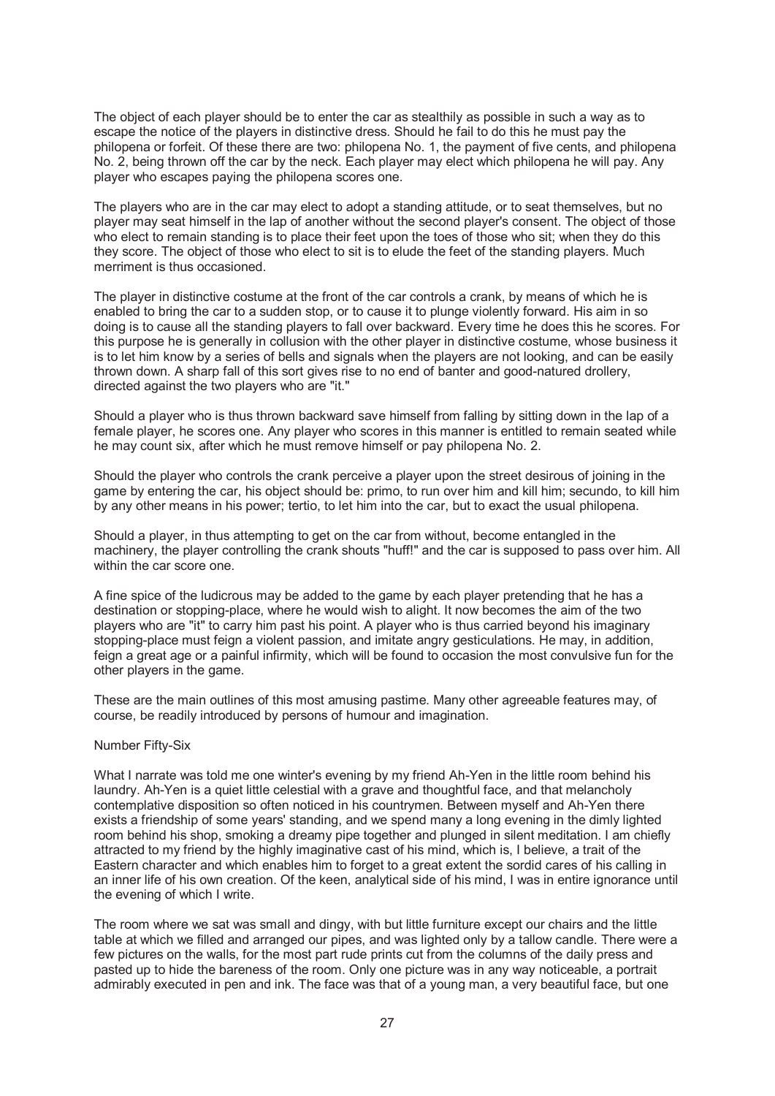The object of each player should be to enter the car as stealthily as possible in such a way as to escape the notice of the players in distinctive dress. Should he fail to do this he must pay the philopena or forfeit. Of these there are two: philopena No. 1, the payment of five cents, and philopena No. 2, being thrown off the car by the neck. Each player may elect which philopena he will pay. Any player who escapes paying the philopena scores one.

The players who are in the car may elect to adopt a standing attitude, or to seat themselves, but no player may seat himself in the lap of another without the second player's consent. The object of those who elect to remain standing is to place their feet upon the toes of those who sit; when they do this they score. The object of those who elect to sit is to elude the feet of the standing players. Much merriment is thus occasioned.

The player in distinctive costume at the front of the car controls a crank, by means of which he is enabled to bring the car to a sudden stop, or to cause it to plunge violently forward. His aim in so doing is to cause all the standing players to fall over backward. Every time he does this he scores. For this purpose he is generally in collusion with the other player in distinctive costume, whose business it is to let him know by a series of bells and signals when the players are not looking, and can be easily thrown down. A sharp fall of this sort gives rise to no end of banter and good-natured drollery, directed against the two players who are "it."

Should a player who is thus thrown backward save himself from falling by sitting down in the lap of a female player, he scores one. Any player who scores in this manner is entitled to remain seated while he may count six, after which he must remove himself or pay philopena No. 2.

Should the player who controls the crank perceive a player upon the street desirous of joining in the game by entering the car, his object should be: primo, to run over him and kill him; secundo, to kill him by any other means in his power; tertio, to let him into the car, but to exact the usual philopena.

Should a player, in thus attempting to get on the car from without, become entangled in the machinery, the player controlling the crank shouts "huff!" and the car is supposed to pass over him. All within the car score one.

A fine spice of the ludicrous may be added to the game by each player pretending that he has a destination or stopping-place, where he would wish to alight. It now becomes the aim of the two players who are "it" to carry him past his point. A player who is thus carried beyond his imaginary stopping-place must feign a violent passion, and imitate angry gesticulations. He may, in addition, feign a great age or a painful infirmity, which will be found to occasion the most convulsive fun for the other players in the game.

These are the main outlines of this most amusing pastime. Many other agreeable features may, of course, be readily introduced by persons of humour and imagination.

#### Number Fifty-Six

What I narrate was told me one winter's evening by my friend Ah-Yen in the little room behind his laundry. Ah-Yen is a quiet little celestial with a grave and thoughtful face, and that melancholy contemplative disposition so often noticed in his countrymen. Between myself and Ah-Yen there exists a friendship of some years' standing, and we spend many a long evening in the dimly lighted room behind his shop, smoking a dreamy pipe together and plunged in silent meditation. I am chiefly attracted to my friend by the highly imaginative cast of his mind, which is, I believe, a trait of the Eastern character and which enables him to forget to a great extent the sordid cares of his calling in an inner life of his own creation. Of the keen, analytical side of his mind, I was in entire ignorance until the evening of which I write.

The room where we sat was small and dingy, with but little furniture except our chairs and the little table at which we filled and arranged our pipes, and was lighted only by a tallow candle. There were a few pictures on the walls, for the most part rude prints cut from the columns of the daily press and pasted up to hide the bareness of the room. Only one picture was in any way noticeable, a portrait admirably executed in pen and ink. The face was that of a young man, a very beautiful face, but one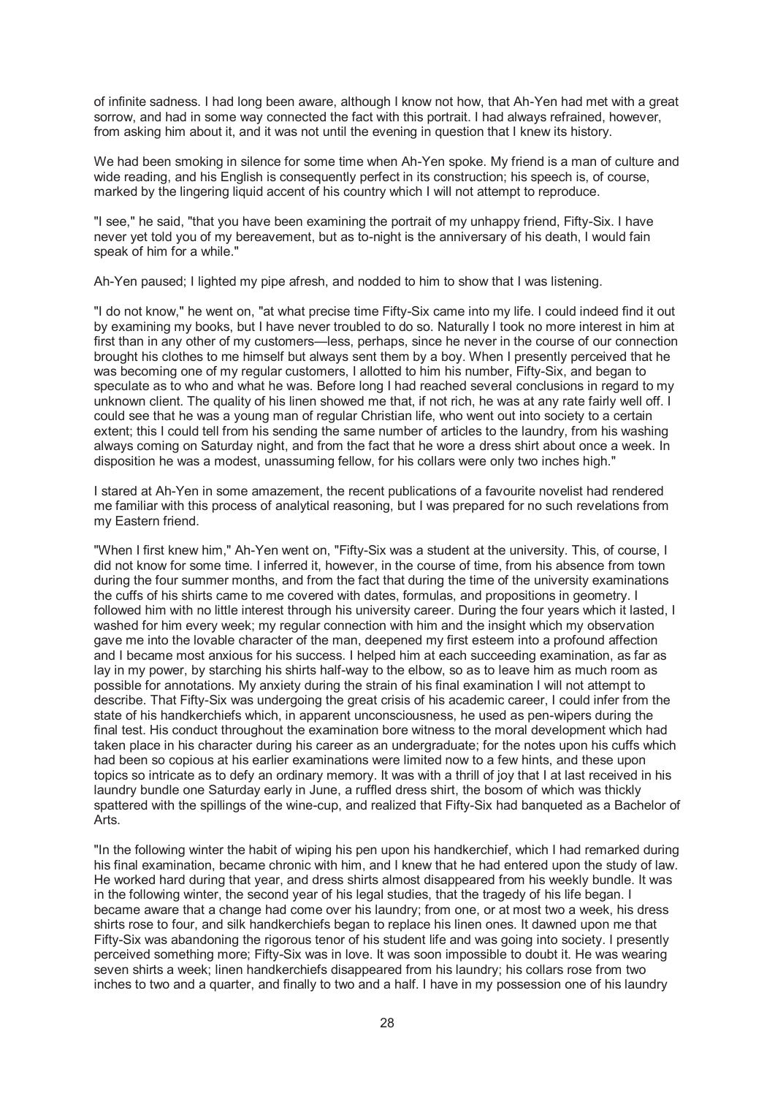of infinite sadness. I had long been aware, although I know not how, that Ah-Yen had met with a great sorrow, and had in some way connected the fact with this portrait. I had always refrained, however, from asking him about it, and it was not until the evening in question that I knew its history.

We had been smoking in silence for some time when Ah-Yen spoke. My friend is a man of culture and wide reading, and his English is consequently perfect in its construction; his speech is, of course, marked by the lingering liquid accent of his country which I will not attempt to reproduce.

"I see," he said, "that you have been examining the portrait of my unhappy friend, Fifty-Six. I have never yet told you of my bereavement, but as to-night is the anniversary of his death, I would fain speak of him for a while."

Ah-Yen paused; I lighted my pipe afresh, and nodded to him to show that I was listening.

"I do not know," he went on, "at what precise time Fifty-Six came into my life. I could indeed find it out by examining my books, but I have never troubled to do so. Naturally I took no more interest in him at first than in any other of my customers—less, perhaps, since he never in the course of our connection brought his clothes to me himself but always sent them by a boy. When I presently perceived that he was becoming one of my regular customers, I allotted to him his number, Fifty-Six, and began to speculate as to who and what he was. Before long I had reached several conclusions in regard to my unknown client. The quality of his linen showed me that, if not rich, he was at any rate fairly well off. I could see that he was a young man of regular Christian life, who went out into society to a certain extent; this I could tell from his sending the same number of articles to the laundry, from his washing always coming on Saturday night, and from the fact that he wore a dress shirt about once a week. In disposition he was a modest, unassuming fellow, for his collars were only two inches high."

I stared at Ah-Yen in some amazement, the recent publications of a favourite novelist had rendered me familiar with this process of analytical reasoning, but I was prepared for no such revelations from my Eastern friend.

"When I first knew him," Ah-Yen went on, "Fifty-Six was a student at the university. This, of course, I did not know for some time. I inferred it, however, in the course of time, from his absence from town during the four summer months, and from the fact that during the time of the university examinations the cuffs of his shirts came to me covered with dates, formulas, and propositions in geometry. I followed him with no little interest through his university career. During the four years which it lasted, I washed for him every week; my regular connection with him and the insight which my observation gave me into the lovable character of the man, deepened my first esteem into a profound affection and I became most anxious for his success. I helped him at each succeeding examination, as far as lay in my power, by starching his shirts half-way to the elbow, so as to leave him as much room as possible for annotations. My anxiety during the strain of his final examination I will not attempt to describe. That Fifty-Six was undergoing the great crisis of his academic career, I could infer from the state of his handkerchiefs which, in apparent unconsciousness, he used as pen-wipers during the final test. His conduct throughout the examination bore witness to the moral development which had taken place in his character during his career as an undergraduate; for the notes upon his cuffs which had been so copious at his earlier examinations were limited now to a few hints, and these upon topics so intricate as to defy an ordinary memory. It was with a thrill of joy that I at last received in his laundry bundle one Saturday early in June, a ruffled dress shirt, the bosom of which was thickly spattered with the spillings of the wine-cup, and realized that Fifty-Six had banqueted as a Bachelor of Arts.

"In the following winter the habit of wiping his pen upon his handkerchief, which I had remarked during his final examination, became chronic with him, and I knew that he had entered upon the study of law. He worked hard during that year, and dress shirts almost disappeared from his weekly bundle. It was in the following winter, the second year of his legal studies, that the tragedy of his life began. I became aware that a change had come over his laundry; from one, or at most two a week, his dress shirts rose to four, and silk handkerchiefs began to replace his linen ones. It dawned upon me that Fifty-Six was abandoning the rigorous tenor of his student life and was going into society. I presently perceived something more; Fifty-Six was in love. It was soon impossible to doubt it. He was wearing seven shirts a week; linen handkerchiefs disappeared from his laundry; his collars rose from two inches to two and a quarter, and finally to two and a half. I have in my possession one of his laundry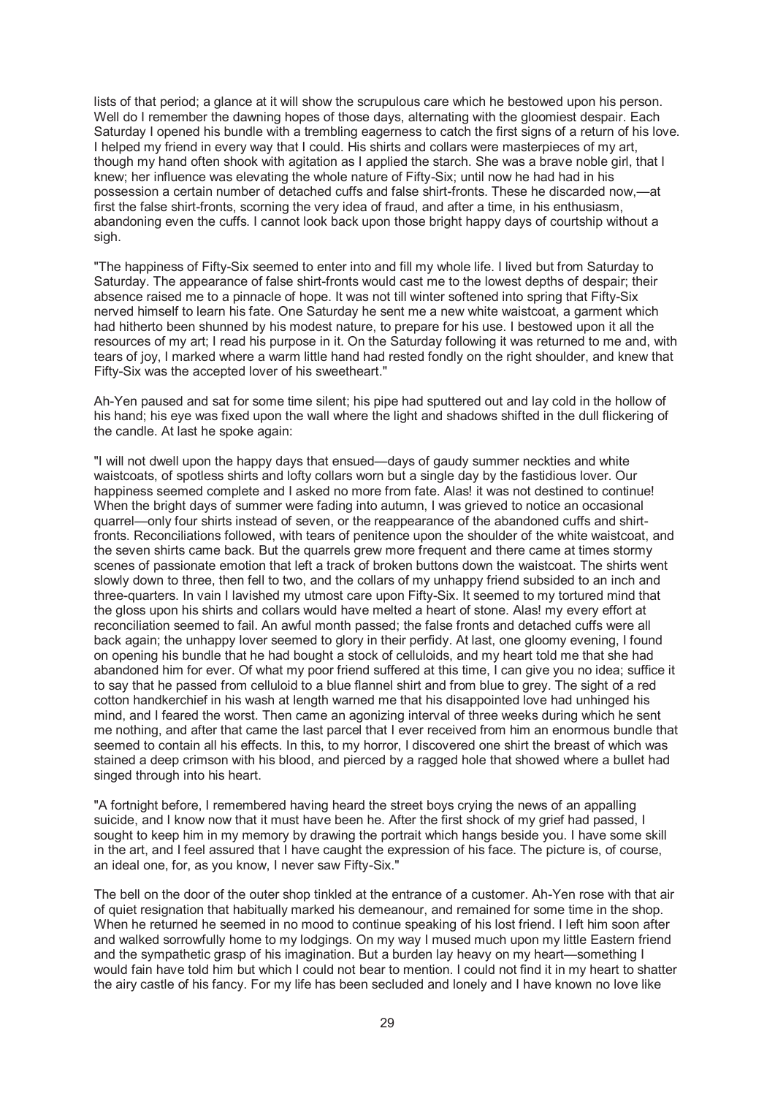lists of that period; a glance at it will show the scrupulous care which he bestowed upon his person. Well do I remember the dawning hopes of those days, alternating with the gloomiest despair. Each Saturday I opened his bundle with a trembling eagerness to catch the first signs of a return of his love. I helped my friend in every way that I could. His shirts and collars were masterpieces of my art, though my hand often shook with agitation as I applied the starch. She was a brave noble girl, that I knew; her influence was elevating the whole nature of Fifty-Six; until now he had had in his possession a certain number of detached cuffs and false shirt-fronts. These he discarded now,—at first the false shirt-fronts, scorning the very idea of fraud, and after a time, in his enthusiasm, abandoning even the cuffs. I cannot look back upon those bright happy days of courtship without a sigh.

"The happiness of Fifty-Six seemed to enter into and fill my whole life. I lived but from Saturday to Saturday. The appearance of false shirt-fronts would cast me to the lowest depths of despair; their absence raised me to a pinnacle of hope. It was not till winter softened into spring that Fifty-Six nerved himself to learn his fate. One Saturday he sent me a new white waistcoat, a garment which had hitherto been shunned by his modest nature, to prepare for his use. I bestowed upon it all the resources of my art; I read his purpose in it. On the Saturday following it was returned to me and, with tears of joy, I marked where a warm little hand had rested fondly on the right shoulder, and knew that Fifty-Six was the accepted lover of his sweetheart."

Ah-Yen paused and sat for some time silent; his pipe had sputtered out and lay cold in the hollow of his hand; his eye was fixed upon the wall where the light and shadows shifted in the dull flickering of the candle. At last he spoke again:

"I will not dwell upon the happy days that ensued—days of gaudy summer neckties and white waistcoats, of spotless shirts and lofty collars worn but a single day by the fastidious lover. Our happiness seemed complete and I asked no more from fate. Alas! it was not destined to continue! When the bright days of summer were fading into autumn, I was grieved to notice an occasional quarrel—only four shirts instead of seven, or the reappearance of the abandoned cuffs and shirtfronts. Reconciliations followed, with tears of penitence upon the shoulder of the white waistcoat, and the seven shirts came back. But the quarrels grew more frequent and there came at times stormy scenes of passionate emotion that left a track of broken buttons down the waistcoat. The shirts went slowly down to three, then fell to two, and the collars of my unhappy friend subsided to an inch and three-quarters. In vain I lavished my utmost care upon Fifty-Six. It seemed to my tortured mind that the gloss upon his shirts and collars would have melted a heart of stone. Alas! my every effort at reconciliation seemed to fail. An awful month passed; the false fronts and detached cuffs were all back again; the unhappy lover seemed to glory in their perfidy. At last, one gloomy evening, I found on opening his bundle that he had bought a stock of celluloids, and my heart told me that she had abandoned him for ever. Of what my poor friend suffered at this time, I can give you no idea; suffice it to say that he passed from celluloid to a blue flannel shirt and from blue to grey. The sight of a red cotton handkerchief in his wash at length warned me that his disappointed love had unhinged his mind, and I feared the worst. Then came an agonizing interval of three weeks during which he sent me nothing, and after that came the last parcel that I ever received from him an enormous bundle that seemed to contain all his effects. In this, to my horror, I discovered one shirt the breast of which was stained a deep crimson with his blood, and pierced by a ragged hole that showed where a bullet had singed through into his heart.

"A fortnight before, I remembered having heard the street boys crying the news of an appalling suicide, and I know now that it must have been he. After the first shock of my grief had passed, I sought to keep him in my memory by drawing the portrait which hangs beside you. I have some skill in the art, and I feel assured that I have caught the expression of his face. The picture is, of course, an ideal one, for, as you know, I never saw Fifty-Six."

The bell on the door of the outer shop tinkled at the entrance of a customer. Ah-Yen rose with that air of quiet resignation that habitually marked his demeanour, and remained for some time in the shop. When he returned he seemed in no mood to continue speaking of his lost friend. I left him soon after and walked sorrowfully home to my lodgings. On my way I mused much upon my little Eastern friend and the sympathetic grasp of his imagination. But a burden lay heavy on my heart—something I would fain have told him but which I could not bear to mention. I could not find it in my heart to shatter the airy castle of his fancy. For my life has been secluded and lonely and I have known no love like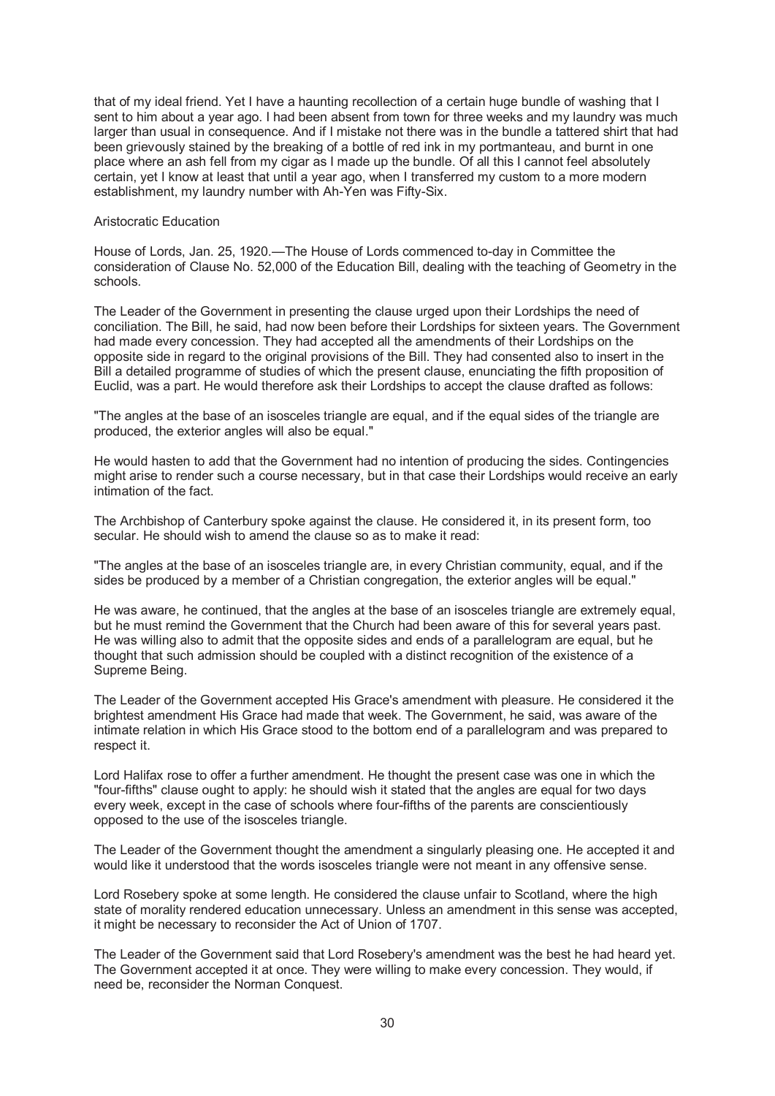that of my ideal friend. Yet I have a haunting recollection of a certain huge bundle of washing that I sent to him about a year ago. I had been absent from town for three weeks and my laundry was much larger than usual in consequence. And if I mistake not there was in the bundle a tattered shirt that had been grievously stained by the breaking of a bottle of red ink in my portmanteau, and burnt in one place where an ash fell from my cigar as I made up the bundle. Of all this I cannot feel absolutely certain, yet I know at least that until a year ago, when I transferred my custom to a more modern establishment, my laundry number with Ah-Yen was Fifty-Six.

## Aristocratic Education

House of Lords, Jan. 25, 1920.—The House of Lords commenced to-day in Committee the consideration of Clause No. 52,000 of the Education Bill, dealing with the teaching of Geometry in the schools.

The Leader of the Government in presenting the clause urged upon their Lordships the need of conciliation. The Bill, he said, had now been before their Lordships for sixteen years. The Government had made every concession. They had accepted all the amendments of their Lordships on the opposite side in regard to the original provisions of the Bill. They had consented also to insert in the Bill a detailed programme of studies of which the present clause, enunciating the fifth proposition of Euclid, was a part. He would therefore ask their Lordships to accept the clause drafted as follows:

"The angles at the base of an isosceles triangle are equal, and if the equal sides of the triangle are produced, the exterior angles will also be equal."

He would hasten to add that the Government had no intention of producing the sides. Contingencies might arise to render such a course necessary, but in that case their Lordships would receive an early intimation of the fact.

The Archbishop of Canterbury spoke against the clause. He considered it, in its present form, too secular. He should wish to amend the clause so as to make it read:

"The angles at the base of an isosceles triangle are, in every Christian community, equal, and if the sides be produced by a member of a Christian congregation, the exterior angles will be equal."

He was aware, he continued, that the angles at the base of an isosceles triangle are extremely equal, but he must remind the Government that the Church had been aware of this for several years past. He was willing also to admit that the opposite sides and ends of a parallelogram are equal, but he thought that such admission should be coupled with a distinct recognition of the existence of a Supreme Being.

The Leader of the Government accepted His Grace's amendment with pleasure. He considered it the brightest amendment His Grace had made that week. The Government, he said, was aware of the intimate relation in which His Grace stood to the bottom end of a parallelogram and was prepared to respect it.

Lord Halifax rose to offer a further amendment. He thought the present case was one in which the "four-fifths" clause ought to apply: he should wish it stated that the angles are equal for two days every week, except in the case of schools where four-fifths of the parents are conscientiously opposed to the use of the isosceles triangle.

The Leader of the Government thought the amendment a singularly pleasing one. He accepted it and would like it understood that the words isosceles triangle were not meant in any offensive sense.

Lord Rosebery spoke at some length. He considered the clause unfair to Scotland, where the high state of morality rendered education unnecessary. Unless an amendment in this sense was accepted, it might be necessary to reconsider the Act of Union of 1707.

The Leader of the Government said that Lord Rosebery's amendment was the best he had heard yet. The Government accepted it at once. They were willing to make every concession. They would, if need be, reconsider the Norman Conquest.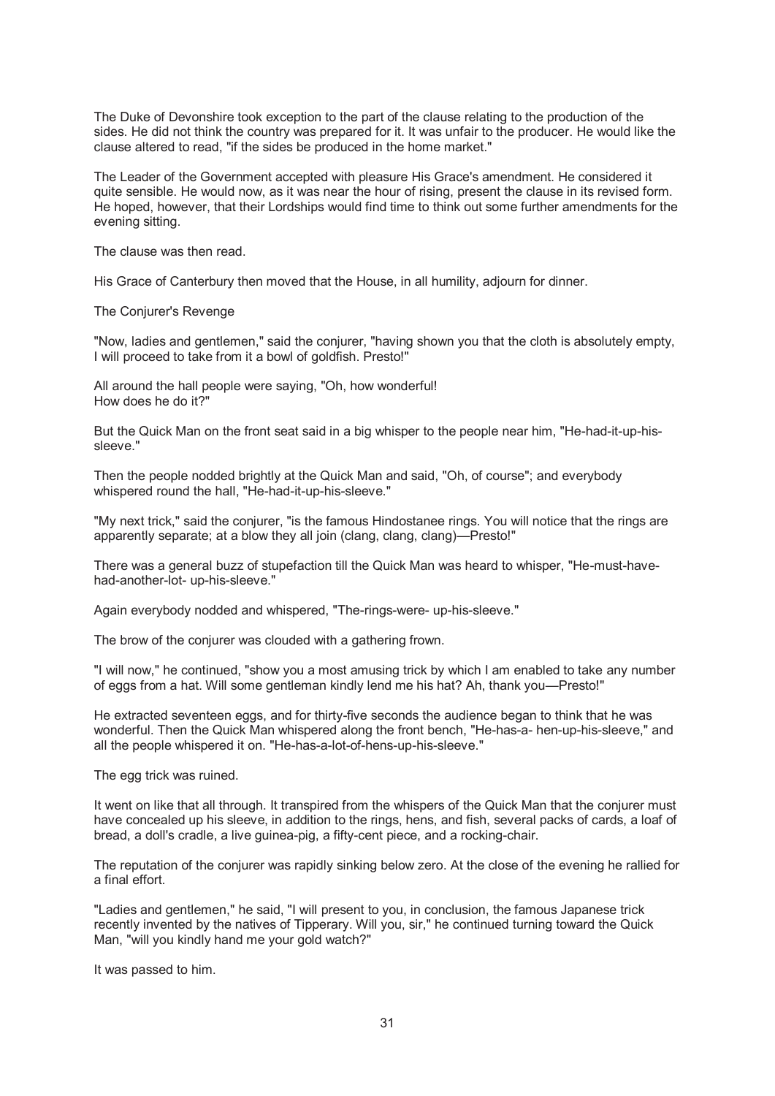The Duke of Devonshire took exception to the part of the clause relating to the production of the sides. He did not think the country was prepared for it. It was unfair to the producer. He would like the clause altered to read, "if the sides be produced in the home market."

The Leader of the Government accepted with pleasure His Grace's amendment. He considered it quite sensible. He would now, as it was near the hour of rising, present the clause in its revised form. He hoped, however, that their Lordships would find time to think out some further amendments for the evening sitting.

The clause was then read.

His Grace of Canterbury then moved that the House, in all humility, adjourn for dinner.

The Conjurer's Revenge

"Now, ladies and gentlemen," said the conjurer, "having shown you that the cloth is absolutely empty, I will proceed to take from it a bowl of goldfish. Presto!"

All around the hall people were saying, "Oh, how wonderful! How does he do it?"

But the Quick Man on the front seat said in a big whisper to the people near him, "He-had-it-up-hissleeve."

Then the people nodded brightly at the Quick Man and said, "Oh, of course"; and everybody whispered round the hall, "He-had-it-up-his-sleeve."

"My next trick," said the conjurer, "is the famous Hindostanee rings. You will notice that the rings are apparently separate; at a blow they all join (clang, clang, clang)—Presto!"

There was a general buzz of stupefaction till the Quick Man was heard to whisper, "He-must-havehad-another-lot- up-his-sleeve."

Again everybody nodded and whispered, "The-rings-were- up-his-sleeve."

The brow of the conjurer was clouded with a gathering frown.

"I will now," he continued, "show you a most amusing trick by which I am enabled to take any number of eggs from a hat. Will some gentleman kindly lend me his hat? Ah, thank you—Presto!"

He extracted seventeen eggs, and for thirty-five seconds the audience began to think that he was wonderful. Then the Quick Man whispered along the front bench, "He-has-a- hen-up-his-sleeve," and all the people whispered it on. "He-has-a-lot-of-hens-up-his-sleeve."

The egg trick was ruined.

It went on like that all through. It transpired from the whispers of the Quick Man that the conjurer must have concealed up his sleeve, in addition to the rings, hens, and fish, several packs of cards, a loaf of bread, a doll's cradle, a live guinea-pig, a fifty-cent piece, and a rocking-chair.

The reputation of the conjurer was rapidly sinking below zero. At the close of the evening he rallied for a final effort.

"Ladies and gentlemen," he said, "I will present to you, in conclusion, the famous Japanese trick recently invented by the natives of Tipperary. Will you, sir," he continued turning toward the Quick Man, "will you kindly hand me your gold watch?"

It was passed to him.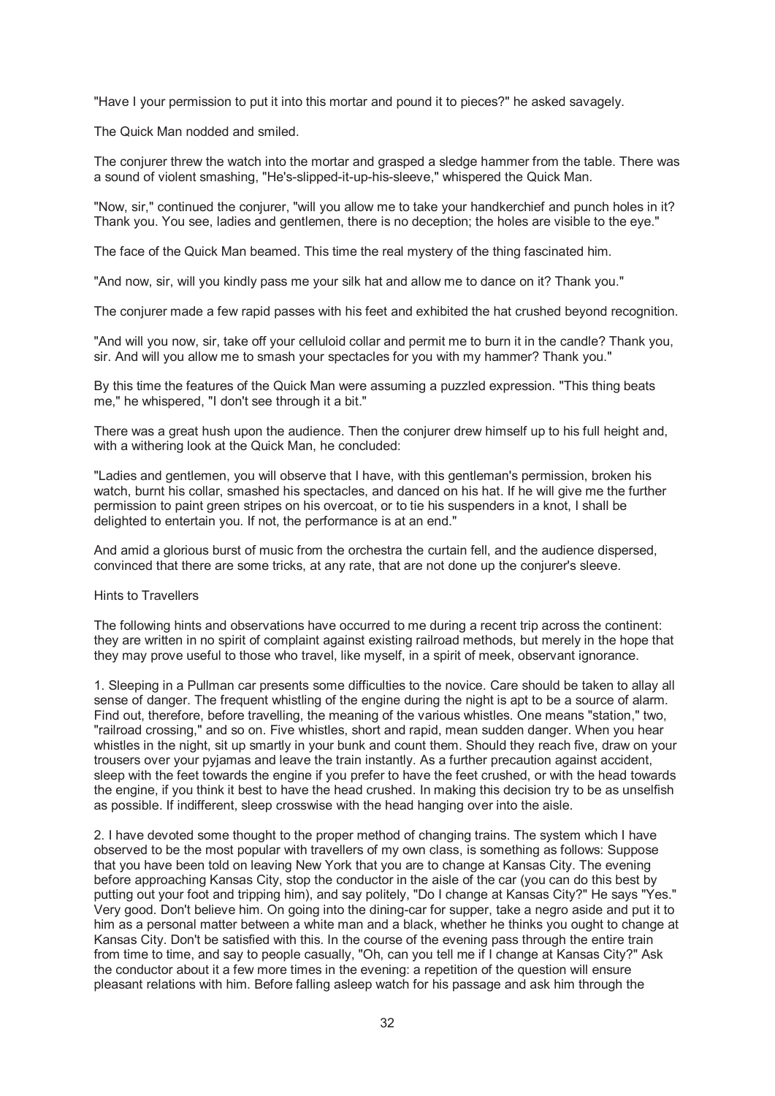"Have I your permission to put it into this mortar and pound it to pieces?" he asked savagely.

The Quick Man nodded and smiled.

The conjurer threw the watch into the mortar and grasped a sledge hammer from the table. There was a sound of violent smashing, "He's-slipped-it-up-his-sleeve," whispered the Quick Man.

"Now, sir," continued the conjurer, "will you allow me to take your handkerchief and punch holes in it? Thank you. You see, ladies and gentlemen, there is no deception; the holes are visible to the eye."

The face of the Quick Man beamed. This time the real mystery of the thing fascinated him.

"And now, sir, will you kindly pass me your silk hat and allow me to dance on it? Thank you."

The conjurer made a few rapid passes with his feet and exhibited the hat crushed beyond recognition.

"And will you now, sir, take off your celluloid collar and permit me to burn it in the candle? Thank you, sir. And will you allow me to smash your spectacles for you with my hammer? Thank you."

By this time the features of the Quick Man were assuming a puzzled expression. "This thing beats me," he whispered, "I don't see through it a bit."

There was a great hush upon the audience. Then the conjurer drew himself up to his full height and, with a withering look at the Quick Man, he concluded:

"Ladies and gentlemen, you will observe that I have, with this gentleman's permission, broken his watch, burnt his collar, smashed his spectacles, and danced on his hat. If he will give me the further permission to paint green stripes on his overcoat, or to tie his suspenders in a knot, I shall be delighted to entertain you. If not, the performance is at an end."

And amid a glorious burst of music from the orchestra the curtain fell, and the audience dispersed, convinced that there are some tricks, at any rate, that are not done up the conjurer's sleeve.

#### Hints to Travellers

The following hints and observations have occurred to me during a recent trip across the continent: they are written in no spirit of complaint against existing railroad methods, but merely in the hope that they may prove useful to those who travel, like myself, in a spirit of meek, observant ignorance.

1. Sleeping in a Pullman car presents some difficulties to the novice. Care should be taken to allay all sense of danger. The frequent whistling of the engine during the night is apt to be a source of alarm. Find out, therefore, before travelling, the meaning of the various whistles. One means "station," two, "railroad crossing," and so on. Five whistles, short and rapid, mean sudden danger. When you hear whistles in the night, sit up smartly in your bunk and count them. Should they reach five, draw on your trousers over your pyjamas and leave the train instantly. As a further precaution against accident, sleep with the feet towards the engine if you prefer to have the feet crushed, or with the head towards the engine, if you think it best to have the head crushed. In making this decision try to be as unselfish as possible. If indifferent, sleep crosswise with the head hanging over into the aisle.

2. I have devoted some thought to the proper method of changing trains. The system which I have observed to be the most popular with travellers of my own class, is something as follows: Suppose that you have been told on leaving New York that you are to change at Kansas City. The evening before approaching Kansas City, stop the conductor in the aisle of the car (you can do this best by putting out your foot and tripping him), and say politely, "Do I change at Kansas City?" He says "Yes." Very good. Don't believe him. On going into the dining-car for supper, take a negro aside and put it to him as a personal matter between a white man and a black, whether he thinks you ought to change at Kansas City. Don't be satisfied with this. In the course of the evening pass through the entire train from time to time, and say to people casually, "Oh, can you tell me if I change at Kansas City?" Ask the conductor about it a few more times in the evening: a repetition of the question will ensure pleasant relations with him. Before falling asleep watch for his passage and ask him through the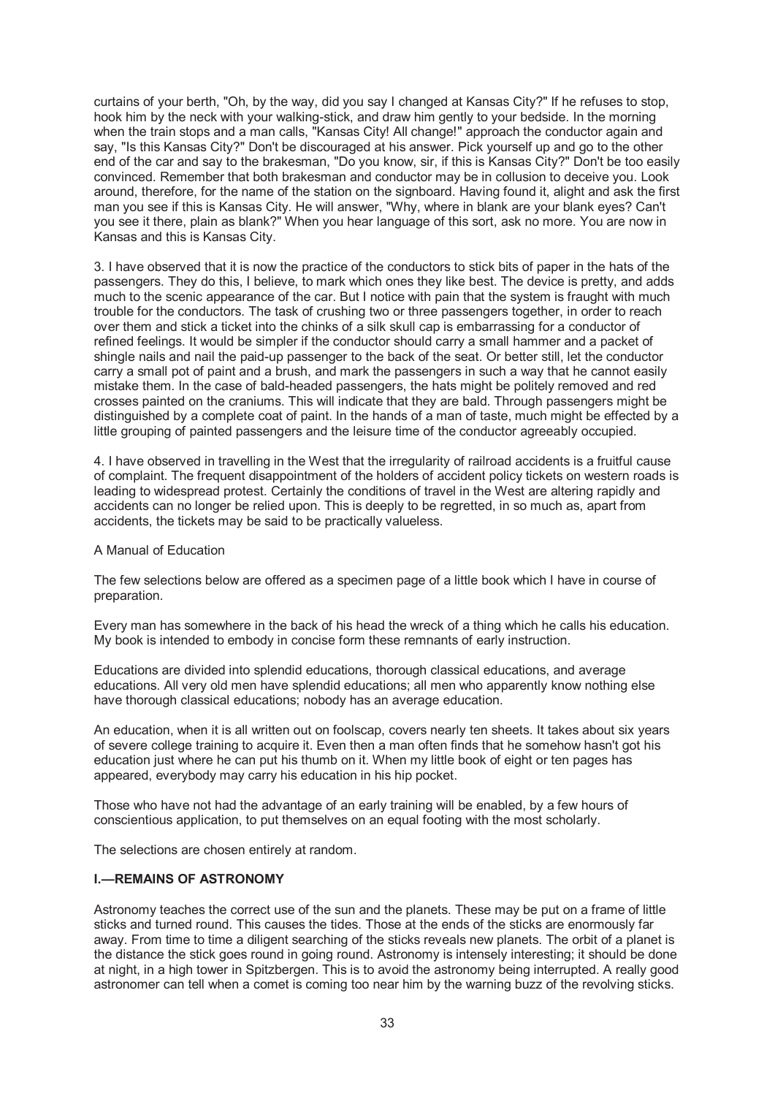curtains of your berth, "Oh, by the way, did you say I changed at Kansas City?" If he refuses to stop, hook him by the neck with your walking-stick, and draw him gently to your bedside. In the morning when the train stops and a man calls, "Kansas City! All change!" approach the conductor again and say, "Is this Kansas City?" Don't be discouraged at his answer. Pick yourself up and go to the other end of the car and say to the brakesman, "Do you know, sir, if this is Kansas City?" Don't be too easily convinced. Remember that both brakesman and conductor may be in collusion to deceive you. Look around, therefore, for the name of the station on the signboard. Having found it, alight and ask the first man you see if this is Kansas City. He will answer, "Why, where in blank are your blank eyes? Can't you see it there, plain as blank?" When you hear language of this sort, ask no more. You are now in Kansas and this is Kansas City.

3. I have observed that it is now the practice of the conductors to stick bits of paper in the hats of the passengers. They do this, I believe, to mark which ones they like best. The device is pretty, and adds much to the scenic appearance of the car. But I notice with pain that the system is fraught with much trouble for the conductors. The task of crushing two or three passengers together, in order to reach over them and stick a ticket into the chinks of a silk skull cap is embarrassing for a conductor of refined feelings. It would be simpler if the conductor should carry a small hammer and a packet of shingle nails and nail the paid-up passenger to the back of the seat. Or better still, let the conductor carry a small pot of paint and a brush, and mark the passengers in such a way that he cannot easily mistake them. In the case of bald-headed passengers, the hats might be politely removed and red crosses painted on the craniums. This will indicate that they are bald. Through passengers might be distinguished by a complete coat of paint. In the hands of a man of taste, much might be effected by a little grouping of painted passengers and the leisure time of the conductor agreeably occupied.

4. I have observed in travelling in the West that the irregularity of railroad accidents is a fruitful cause of complaint. The frequent disappointment of the holders of accident policy tickets on western roads is leading to widespread protest. Certainly the conditions of travel in the West are altering rapidly and accidents can no longer be relied upon. This is deeply to be regretted, in so much as, apart from accidents, the tickets may be said to be practically valueless.

#### A Manual of Education

The few selections below are offered as a specimen page of a little book which I have in course of preparation.

Every man has somewhere in the back of his head the wreck of a thing which he calls his education. My book is intended to embody in concise form these remnants of early instruction.

Educations are divided into splendid educations, thorough classical educations, and average educations. All very old men have splendid educations; all men who apparently know nothing else have thorough classical educations; nobody has an average education.

An education, when it is all written out on foolscap, covers nearly ten sheets. It takes about six years of severe college training to acquire it. Even then a man often finds that he somehow hasn't got his education just where he can put his thumb on it. When my little book of eight or ten pages has appeared, everybody may carry his education in his hip pocket.

Those who have not had the advantage of an early training will be enabled, by a few hours of conscientious application, to put themselves on an equal footing with the most scholarly.

The selections are chosen entirely at random.

## **I.—REMAINS OF ASTRONOMY**

Astronomy teaches the correct use of the sun and the planets. These may be put on a frame of little sticks and turned round. This causes the tides. Those at the ends of the sticks are enormously far away. From time to time a diligent searching of the sticks reveals new planets. The orbit of a planet is the distance the stick goes round in going round. Astronomy is intensely interesting; it should be done at night, in a high tower in Spitzbergen. This is to avoid the astronomy being interrupted. A really good astronomer can tell when a comet is coming too near him by the warning buzz of the revolving sticks.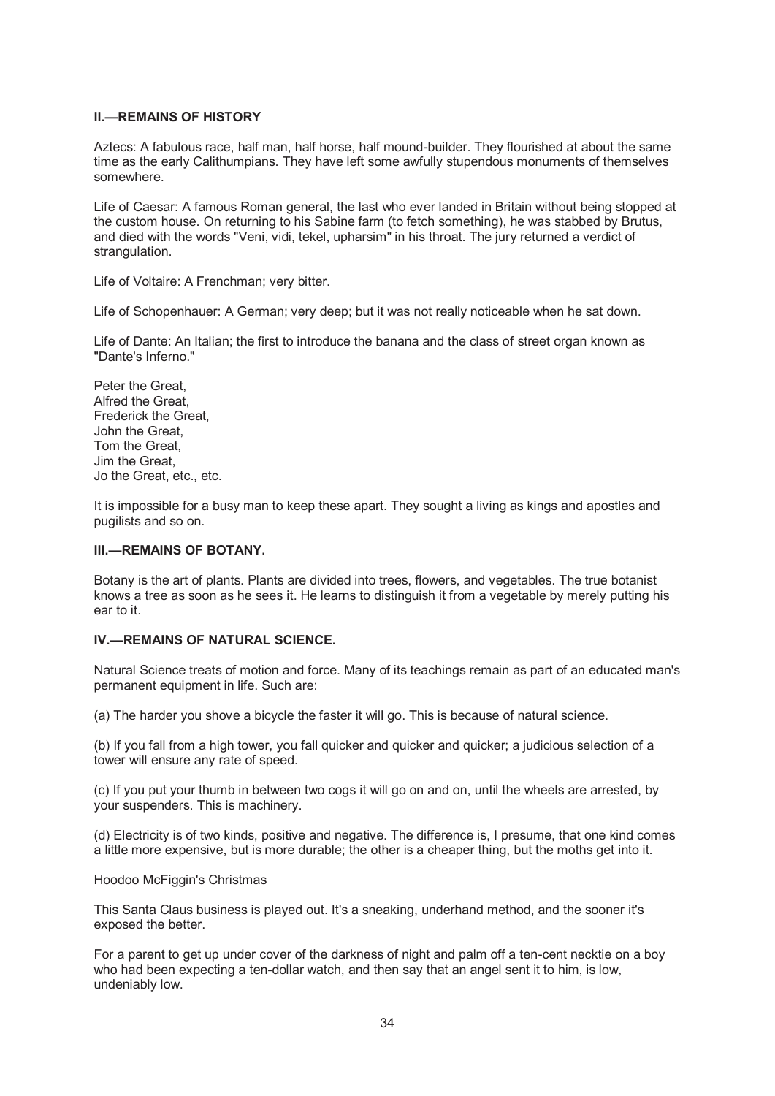## **II.—REMAINS OF HISTORY**

Aztecs: A fabulous race, half man, half horse, half mound-builder. They flourished at about the same time as the early Calithumpians. They have left some awfully stupendous monuments of themselves somewhere.

Life of Caesar: A famous Roman general, the last who ever landed in Britain without being stopped at the custom house. On returning to his Sabine farm (to fetch something), he was stabbed by Brutus, and died with the words "Veni, vidi, tekel, upharsim" in his throat. The jury returned a verdict of strangulation.

Life of Voltaire: A Frenchman; very bitter.

Life of Schopenhauer: A German; very deep; but it was not really noticeable when he sat down.

Life of Dante: An Italian; the first to introduce the banana and the class of street organ known as "Dante's Inferno."

Peter the Great, Alfred the Great, Frederick the Great, John the Great, Tom the Great, Jim the Great, Jo the Great, etc., etc.

It is impossible for a busy man to keep these apart. They sought a living as kings and apostles and pugilists and so on.

## **III.—REMAINS OF BOTANY.**

Botany is the art of plants. Plants are divided into trees, flowers, and vegetables. The true botanist knows a tree as soon as he sees it. He learns to distinguish it from a vegetable by merely putting his ear to it.

### **IV.—REMAINS OF NATURAL SCIENCE.**

Natural Science treats of motion and force. Many of its teachings remain as part of an educated man's permanent equipment in life. Such are:

(a) The harder you shove a bicycle the faster it will go. This is because of natural science.

(b) If you fall from a high tower, you fall quicker and quicker and quicker; a judicious selection of a tower will ensure any rate of speed.

(c) If you put your thumb in between two cogs it will go on and on, until the wheels are arrested, by your suspenders. This is machinery.

(d) Electricity is of two kinds, positive and negative. The difference is, I presume, that one kind comes a little more expensive, but is more durable; the other is a cheaper thing, but the moths get into it.

#### Hoodoo McFiggin's Christmas

This Santa Claus business is played out. It's a sneaking, underhand method, and the sooner it's exposed the better.

For a parent to get up under cover of the darkness of night and palm off a ten-cent necktie on a boy who had been expecting a ten-dollar watch, and then say that an angel sent it to him, is low, undeniably low.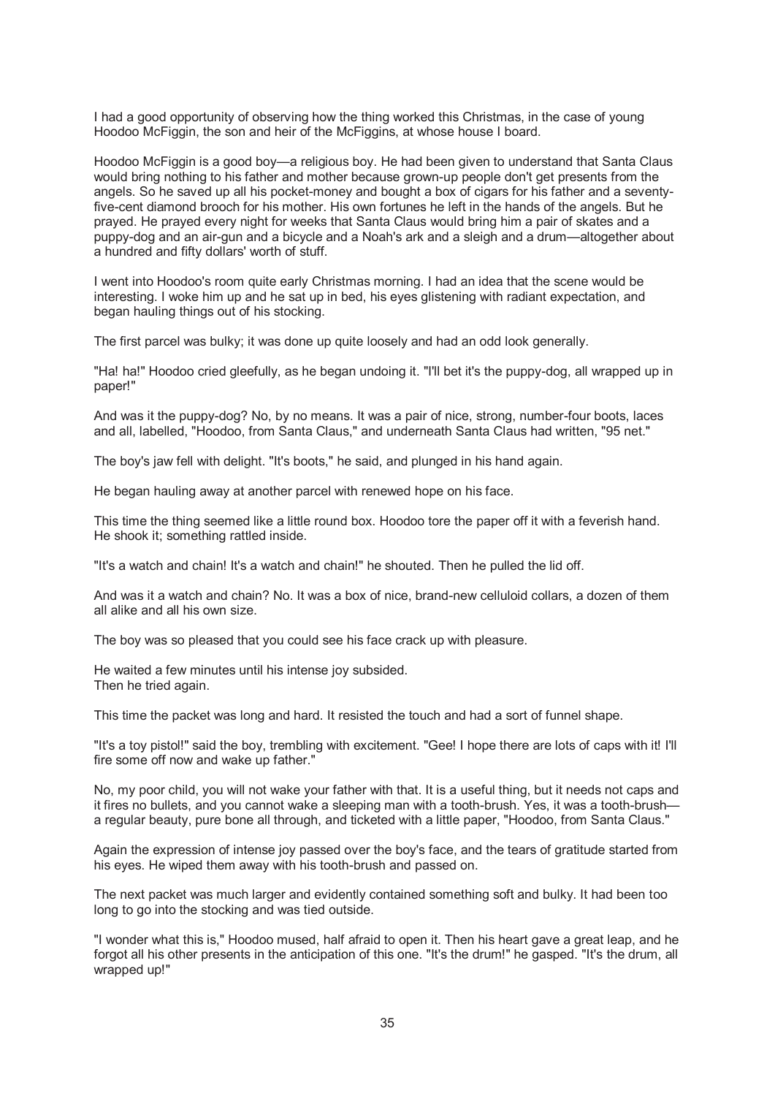I had a good opportunity of observing how the thing worked this Christmas, in the case of young Hoodoo McFiggin, the son and heir of the McFiggins, at whose house I board.

Hoodoo McFiggin is a good boy—a religious boy. He had been given to understand that Santa Claus would bring nothing to his father and mother because grown-up people don't get presents from the angels. So he saved up all his pocket-money and bought a box of cigars for his father and a seventyfive-cent diamond brooch for his mother. His own fortunes he left in the hands of the angels. But he prayed. He prayed every night for weeks that Santa Claus would bring him a pair of skates and a puppy-dog and an air-gun and a bicycle and a Noah's ark and a sleigh and a drum—altogether about a hundred and fifty dollars' worth of stuff.

I went into Hoodoo's room quite early Christmas morning. I had an idea that the scene would be interesting. I woke him up and he sat up in bed, his eyes glistening with radiant expectation, and began hauling things out of his stocking.

The first parcel was bulky; it was done up quite loosely and had an odd look generally.

"Ha! ha!" Hoodoo cried gleefully, as he began undoing it. "I'll bet it's the puppy-dog, all wrapped up in paper!"

And was it the puppy-dog? No, by no means. It was a pair of nice, strong, number-four boots, laces and all, labelled, "Hoodoo, from Santa Claus," and underneath Santa Claus had written, "95 net."

The boy's jaw fell with delight. "It's boots," he said, and plunged in his hand again.

He began hauling away at another parcel with renewed hope on his face.

This time the thing seemed like a little round box. Hoodoo tore the paper off it with a feverish hand. He shook it; something rattled inside.

"It's a watch and chain! It's a watch and chain!" he shouted. Then he pulled the lid off.

And was it a watch and chain? No. It was a box of nice, brand-new celluloid collars, a dozen of them all alike and all his own size.

The boy was so pleased that you could see his face crack up with pleasure.

He waited a few minutes until his intense joy subsided. Then he tried again.

This time the packet was long and hard. It resisted the touch and had a sort of funnel shape.

"It's a toy pistol!" said the boy, trembling with excitement. "Gee! I hope there are lots of caps with it! I'll fire some off now and wake up father."

No, my poor child, you will not wake your father with that. It is a useful thing, but it needs not caps and it fires no bullets, and you cannot wake a sleeping man with a tooth-brush. Yes, it was a tooth-brush a regular beauty, pure bone all through, and ticketed with a little paper, "Hoodoo, from Santa Claus."

Again the expression of intense joy passed over the boy's face, and the tears of gratitude started from his eyes. He wiped them away with his tooth-brush and passed on.

The next packet was much larger and evidently contained something soft and bulky. It had been too long to go into the stocking and was tied outside.

"I wonder what this is," Hoodoo mused, half afraid to open it. Then his heart gave a great leap, and he forgot all his other presents in the anticipation of this one. "It's the drum!" he gasped. "It's the drum, all wrapped up!"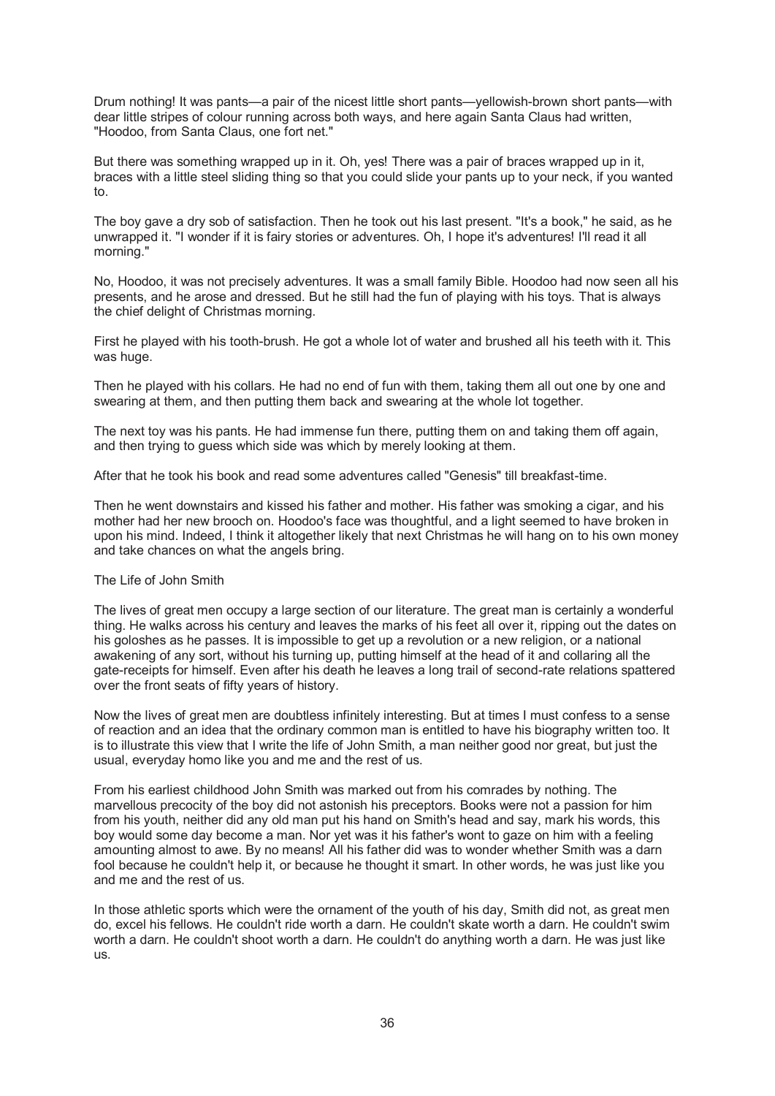Drum nothing! It was pants—a pair of the nicest little short pants—yellowish-brown short pants—with dear little stripes of colour running across both ways, and here again Santa Claus had written, "Hoodoo, from Santa Claus, one fort net."

But there was something wrapped up in it. Oh, yes! There was a pair of braces wrapped up in it, braces with a little steel sliding thing so that you could slide your pants up to your neck, if you wanted to.

The boy gave a dry sob of satisfaction. Then he took out his last present. "It's a book," he said, as he unwrapped it. "I wonder if it is fairy stories or adventures. Oh, I hope it's adventures! I'll read it all morning."

No, Hoodoo, it was not precisely adventures. It was a small family Bible. Hoodoo had now seen all his presents, and he arose and dressed. But he still had the fun of playing with his toys. That is always the chief delight of Christmas morning.

First he played with his tooth-brush. He got a whole lot of water and brushed all his teeth with it. This was huge.

Then he played with his collars. He had no end of fun with them, taking them all out one by one and swearing at them, and then putting them back and swearing at the whole lot together.

The next toy was his pants. He had immense fun there, putting them on and taking them off again, and then trying to guess which side was which by merely looking at them.

After that he took his book and read some adventures called "Genesis" till breakfast-time.

Then he went downstairs and kissed his father and mother. His father was smoking a cigar, and his mother had her new brooch on. Hoodoo's face was thoughtful, and a light seemed to have broken in upon his mind. Indeed, I think it altogether likely that next Christmas he will hang on to his own money and take chances on what the angels bring.

#### The Life of John Smith

The lives of great men occupy a large section of our literature. The great man is certainly a wonderful thing. He walks across his century and leaves the marks of his feet all over it, ripping out the dates on his goloshes as he passes. It is impossible to get up a revolution or a new religion, or a national awakening of any sort, without his turning up, putting himself at the head of it and collaring all the gate-receipts for himself. Even after his death he leaves a long trail of second-rate relations spattered over the front seats of fifty years of history.

Now the lives of great men are doubtless infinitely interesting. But at times I must confess to a sense of reaction and an idea that the ordinary common man is entitled to have his biography written too. It is to illustrate this view that I write the life of John Smith, a man neither good nor great, but just the usual, everyday homo like you and me and the rest of us.

From his earliest childhood John Smith was marked out from his comrades by nothing. The marvellous precocity of the boy did not astonish his preceptors. Books were not a passion for him from his youth, neither did any old man put his hand on Smith's head and say, mark his words, this boy would some day become a man. Nor yet was it his father's wont to gaze on him with a feeling amounting almost to awe. By no means! All his father did was to wonder whether Smith was a darn fool because he couldn't help it, or because he thought it smart. In other words, he was just like you and me and the rest of us.

In those athletic sports which were the ornament of the youth of his day, Smith did not, as great men do, excel his fellows. He couldn't ride worth a darn. He couldn't skate worth a darn. He couldn't swim worth a darn. He couldn't shoot worth a darn. He couldn't do anything worth a darn. He was just like us.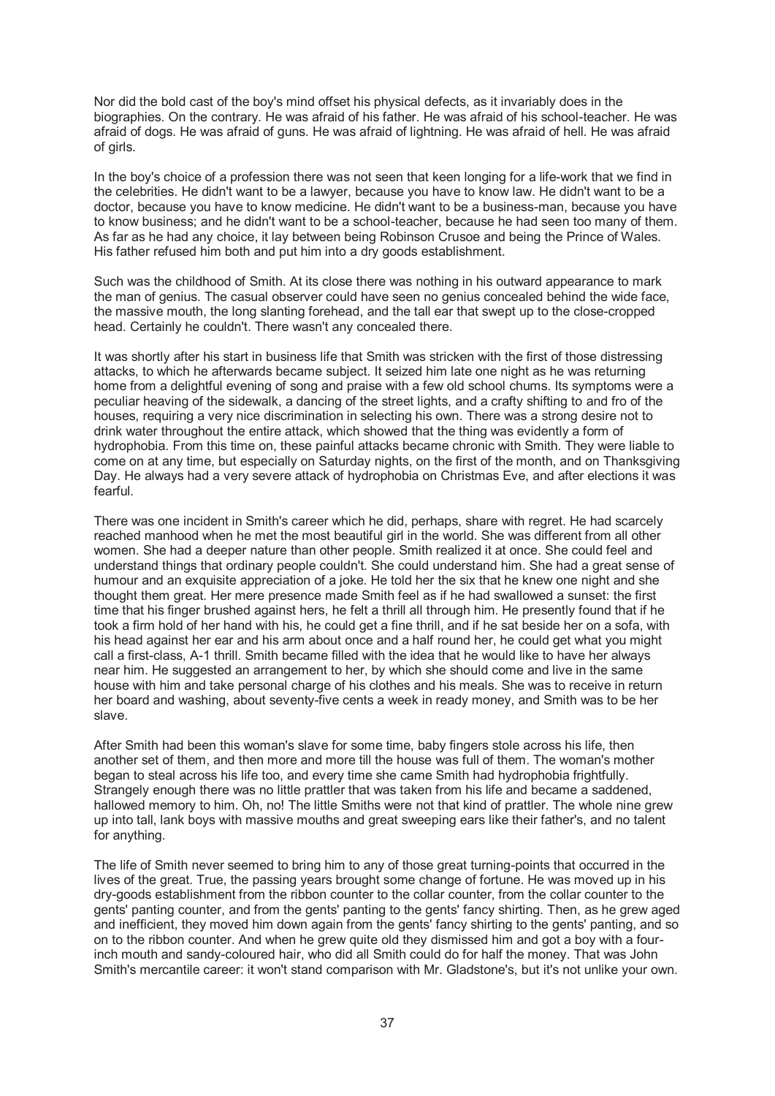Nor did the bold cast of the boy's mind offset his physical defects, as it invariably does in the biographies. On the contrary. He was afraid of his father. He was afraid of his school-teacher. He was afraid of dogs. He was afraid of guns. He was afraid of lightning. He was afraid of hell. He was afraid of girls.

In the boy's choice of a profession there was not seen that keen longing for a life-work that we find in the celebrities. He didn't want to be a lawyer, because you have to know law. He didn't want to be a doctor, because you have to know medicine. He didn't want to be a business-man, because you have to know business; and he didn't want to be a school-teacher, because he had seen too many of them. As far as he had any choice, it lay between being Robinson Crusoe and being the Prince of Wales. His father refused him both and put him into a dry goods establishment.

Such was the childhood of Smith. At its close there was nothing in his outward appearance to mark the man of genius. The casual observer could have seen no genius concealed behind the wide face, the massive mouth, the long slanting forehead, and the tall ear that swept up to the close-cropped head. Certainly he couldn't. There wasn't any concealed there.

It was shortly after his start in business life that Smith was stricken with the first of those distressing attacks, to which he afterwards became subject. It seized him late one night as he was returning home from a delightful evening of song and praise with a few old school chums. Its symptoms were a peculiar heaving of the sidewalk, a dancing of the street lights, and a crafty shifting to and fro of the houses, requiring a very nice discrimination in selecting his own. There was a strong desire not to drink water throughout the entire attack, which showed that the thing was evidently a form of hydrophobia. From this time on, these painful attacks became chronic with Smith. They were liable to come on at any time, but especially on Saturday nights, on the first of the month, and on Thanksgiving Day. He always had a very severe attack of hydrophobia on Christmas Eve, and after elections it was fearful.

There was one incident in Smith's career which he did, perhaps, share with regret. He had scarcely reached manhood when he met the most beautiful girl in the world. She was different from all other women. She had a deeper nature than other people. Smith realized it at once. She could feel and understand things that ordinary people couldn't. She could understand him. She had a great sense of humour and an exquisite appreciation of a joke. He told her the six that he knew one night and she thought them great. Her mere presence made Smith feel as if he had swallowed a sunset: the first time that his finger brushed against hers, he felt a thrill all through him. He presently found that if he took a firm hold of her hand with his, he could get a fine thrill, and if he sat beside her on a sofa, with his head against her ear and his arm about once and a half round her, he could get what you might call a first-class, A-1 thrill. Smith became filled with the idea that he would like to have her always near him. He suggested an arrangement to her, by which she should come and live in the same house with him and take personal charge of his clothes and his meals. She was to receive in return her board and washing, about seventy-five cents a week in ready money, and Smith was to be her slave.

After Smith had been this woman's slave for some time, baby fingers stole across his life, then another set of them, and then more and more till the house was full of them. The woman's mother began to steal across his life too, and every time she came Smith had hydrophobia frightfully. Strangely enough there was no little prattler that was taken from his life and became a saddened, hallowed memory to him. Oh, no! The little Smiths were not that kind of prattler. The whole nine grew up into tall, lank boys with massive mouths and great sweeping ears like their father's, and no talent for anything.

The life of Smith never seemed to bring him to any of those great turning-points that occurred in the lives of the great. True, the passing years brought some change of fortune. He was moved up in his dry-goods establishment from the ribbon counter to the collar counter, from the collar counter to the gents' panting counter, and from the gents' panting to the gents' fancy shirting. Then, as he grew aged and inefficient, they moved him down again from the gents' fancy shirting to the gents' panting, and so on to the ribbon counter. And when he grew quite old they dismissed him and got a boy with a fourinch mouth and sandy-coloured hair, who did all Smith could do for half the money. That was John Smith's mercantile career: it won't stand comparison with Mr. Gladstone's, but it's not unlike your own.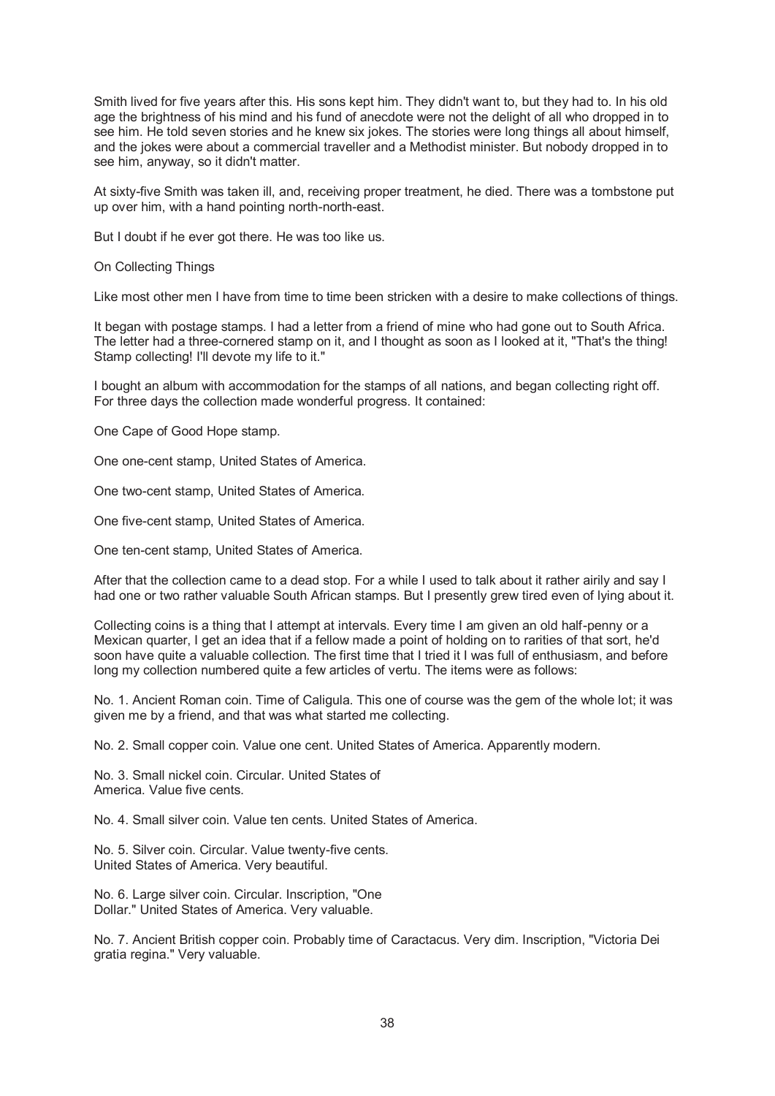Smith lived for five years after this. His sons kept him. They didn't want to, but they had to. In his old age the brightness of his mind and his fund of anecdote were not the delight of all who dropped in to see him. He told seven stories and he knew six jokes. The stories were long things all about himself, and the jokes were about a commercial traveller and a Methodist minister. But nobody dropped in to see him, anyway, so it didn't matter.

At sixty-five Smith was taken ill, and, receiving proper treatment, he died. There was a tombstone put up over him, with a hand pointing north-north-east.

But I doubt if he ever got there. He was too like us.

On Collecting Things

Like most other men I have from time to time been stricken with a desire to make collections of things.

It began with postage stamps. I had a letter from a friend of mine who had gone out to South Africa. The letter had a three-cornered stamp on it, and I thought as soon as I looked at it, "That's the thing! Stamp collecting! I'll devote my life to it."

I bought an album with accommodation for the stamps of all nations, and began collecting right off. For three days the collection made wonderful progress. It contained:

One Cape of Good Hope stamp.

One one-cent stamp, United States of America.

One two-cent stamp, United States of America.

One five-cent stamp, United States of America.

One ten-cent stamp, United States of America.

After that the collection came to a dead stop. For a while I used to talk about it rather airily and say I had one or two rather valuable South African stamps. But I presently grew tired even of lying about it.

Collecting coins is a thing that I attempt at intervals. Every time I am given an old half-penny or a Mexican quarter, I get an idea that if a fellow made a point of holding on to rarities of that sort, he'd soon have quite a valuable collection. The first time that I tried it I was full of enthusiasm, and before long my collection numbered quite a few articles of vertu. The items were as follows:

No. 1. Ancient Roman coin. Time of Caligula. This one of course was the gem of the whole lot; it was given me by a friend, and that was what started me collecting.

No. 2. Small copper coin. Value one cent. United States of America. Apparently modern.

No. 3. Small nickel coin. Circular. United States of America. Value five cents.

No. 4. Small silver coin. Value ten cents. United States of America.

No. 5. Silver coin. Circular. Value twenty-five cents. United States of America. Very beautiful.

No. 6. Large silver coin. Circular. Inscription, "One Dollar." United States of America. Very valuable.

No. 7. Ancient British copper coin. Probably time of Caractacus. Very dim. Inscription, "Victoria Dei gratia regina." Very valuable.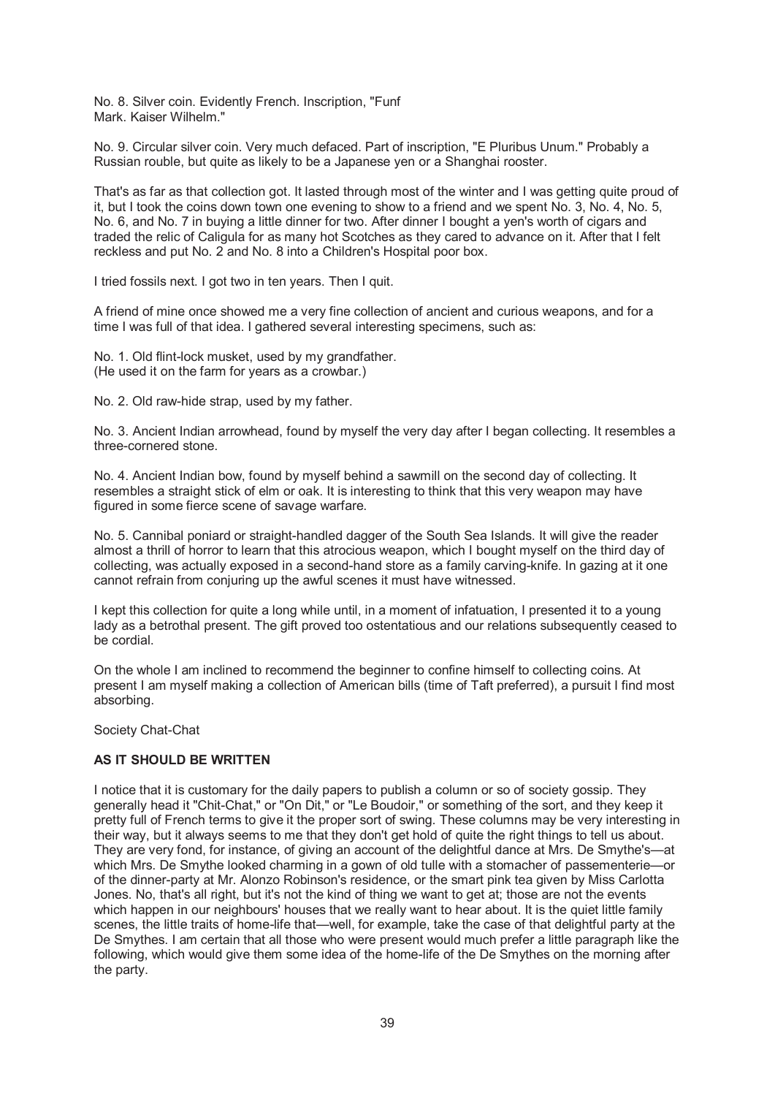No. 8. Silver coin. Evidently French. Inscription, "Funf Mark. Kaiser Wilhelm."

No. 9. Circular silver coin. Very much defaced. Part of inscription, "E Pluribus Unum." Probably a Russian rouble, but quite as likely to be a Japanese yen or a Shanghai rooster.

That's as far as that collection got. It lasted through most of the winter and I was getting quite proud of it, but I took the coins down town one evening to show to a friend and we spent No. 3, No. 4, No. 5, No. 6, and No. 7 in buying a little dinner for two. After dinner I bought a yen's worth of cigars and traded the relic of Caligula for as many hot Scotches as they cared to advance on it. After that I felt reckless and put No. 2 and No. 8 into a Children's Hospital poor box.

I tried fossils next. I got two in ten years. Then I quit.

A friend of mine once showed me a very fine collection of ancient and curious weapons, and for a time I was full of that idea. I gathered several interesting specimens, such as:

No. 1. Old flint-lock musket, used by my grandfather. (He used it on the farm for years as a crowbar.)

No. 2. Old raw-hide strap, used by my father.

No. 3. Ancient Indian arrowhead, found by myself the very day after I began collecting. It resembles a three-cornered stone.

No. 4. Ancient Indian bow, found by myself behind a sawmill on the second day of collecting. It resembles a straight stick of elm or oak. It is interesting to think that this very weapon may have figured in some fierce scene of savage warfare.

No. 5. Cannibal poniard or straight-handled dagger of the South Sea Islands. It will give the reader almost a thrill of horror to learn that this atrocious weapon, which I bought myself on the third day of collecting, was actually exposed in a second-hand store as a family carving-knife. In gazing at it one cannot refrain from conjuring up the awful scenes it must have witnessed.

I kept this collection for quite a long while until, in a moment of infatuation, I presented it to a young lady as a betrothal present. The gift proved too ostentatious and our relations subsequently ceased to be cordial.

On the whole I am inclined to recommend the beginner to confine himself to collecting coins. At present I am myself making a collection of American bills (time of Taft preferred), a pursuit I find most absorbing.

Society Chat-Chat

# **AS IT SHOULD BE WRITTEN**

I notice that it is customary for the daily papers to publish a column or so of society gossip. They generally head it "Chit-Chat," or "On Dit," or "Le Boudoir," or something of the sort, and they keep it pretty full of French terms to give it the proper sort of swing. These columns may be very interesting in their way, but it always seems to me that they don't get hold of quite the right things to tell us about. They are very fond, for instance, of giving an account of the delightful dance at Mrs. De Smythe's—at which Mrs. De Smythe looked charming in a gown of old tulle with a stomacher of passementerie—or of the dinner-party at Mr. Alonzo Robinson's residence, or the smart pink tea given by Miss Carlotta Jones. No, that's all right, but it's not the kind of thing we want to get at; those are not the events which happen in our neighbours' houses that we really want to hear about. It is the quiet little family scenes, the little traits of home-life that—well, for example, take the case of that delightful party at the De Smythes. I am certain that all those who were present would much prefer a little paragraph like the following, which would give them some idea of the home-life of the De Smythes on the morning after the party.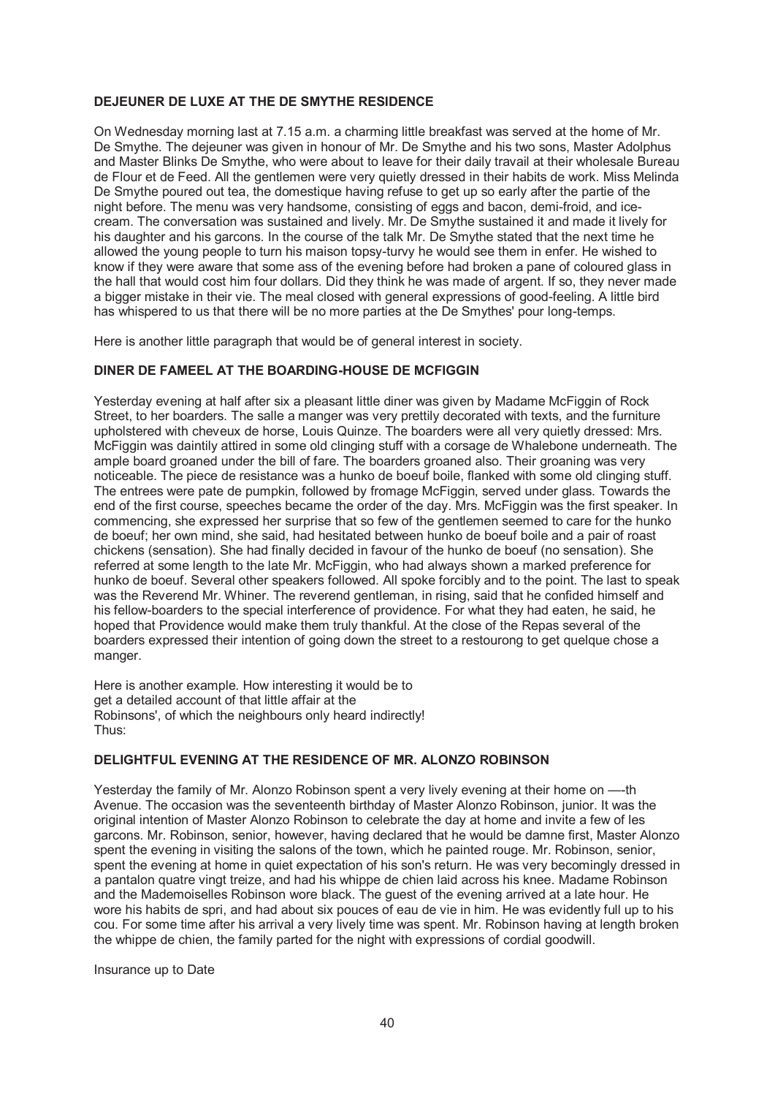# **DEJEUNER DE LUXE AT THE DE SMYTHE RESIDENCE**

On Wednesday morning last at 7.15 a.m. a charming little breakfast was served at the home of Mr. De Smythe. The dejeuner was given in honour of Mr. De Smythe and his two sons, Master Adolphus and Master Blinks De Smythe, who were about to leave for their daily travail at their wholesale Bureau de Flour et de Feed. All the gentlemen were very quietly dressed in their habits de work. Miss Melinda De Smythe poured out tea, the domestique having refuse to get up so early after the partie of the night before. The menu was very handsome, consisting of eggs and bacon, demi-froid, and icecream. The conversation was sustained and lively. Mr. De Smythe sustained it and made it lively for his daughter and his garcons. In the course of the talk Mr. De Smythe stated that the next time he allowed the young people to turn his maison topsy-turvy he would see them in enfer. He wished to know if they were aware that some ass of the evening before had broken a pane of coloured glass in the hall that would cost him four dollars. Did they think he was made of argent. If so, they never made a bigger mistake in their vie. The meal closed with general expressions of good-feeling. A little bird has whispered to us that there will be no more parties at the De Smythes' pour long-temps.

Here is another little paragraph that would be of general interest in society.

#### **DINER DE FAMEEL AT THE BOARDING-HOUSE DE MCFIGGIN**

Yesterday evening at half after six a pleasant little diner was given by Madame McFiggin of Rock Street, to her boarders. The salle a manger was very prettily decorated with texts, and the furniture upholstered with cheveux de horse, Louis Quinze. The boarders were all very quietly dressed: Mrs. McFiggin was daintily attired in some old clinging stuff with a corsage de Whalebone underneath. The ample board groaned under the bill of fare. The boarders groaned also. Their groaning was very noticeable. The piece de resistance was a hunko de boeuf boile, flanked with some old clinging stuff. The entrees were pate de pumpkin, followed by fromage McFiggin, served under glass. Towards the end of the first course, speeches became the order of the day. Mrs. McFiggin was the first speaker. In commencing, she expressed her surprise that so few of the gentlemen seemed to care for the hunko de boeuf; her own mind, she said, had hesitated between hunko de boeuf boile and a pair of roast chickens (sensation). She had finally decided in favour of the hunko de boeuf (no sensation). She referred at some length to the late Mr. McFiggin, who had always shown a marked preference for hunko de boeuf. Several other speakers followed. All spoke forcibly and to the point. The last to speak was the Reverend Mr. Whiner. The reverend gentleman, in rising, said that he confided himself and his fellow-boarders to the special interference of providence. For what they had eaten, he said, he hoped that Providence would make them truly thankful. At the close of the Repas several of the boarders expressed their intention of going down the street to a restourong to get quelque chose a manger.

Here is another example. How interesting it would be to get a detailed account of that little affair at the Robinsons', of which the neighbours only heard indirectly! Thus:

#### **DELIGHTFUL EVENING AT THE RESIDENCE OF MR. ALONZO ROBINSON**

Yesterday the family of Mr. Alonzo Robinson spent a very lively evening at their home on —-th Avenue. The occasion was the seventeenth birthday of Master Alonzo Robinson, junior. It was the original intention of Master Alonzo Robinson to celebrate the day at home and invite a few of les garcons. Mr. Robinson, senior, however, having declared that he would be damne first, Master Alonzo spent the evening in visiting the salons of the town, which he painted rouge. Mr. Robinson, senior, spent the evening at home in quiet expectation of his son's return. He was very becomingly dressed in a pantalon quatre vingt treize, and had his whippe de chien laid across his knee. Madame Robinson and the Mademoiselles Robinson wore black. The guest of the evening arrived at a late hour. He wore his habits de spri, and had about six pouces of eau de vie in him. He was evidently full up to his cou. For some time after his arrival a very lively time was spent. Mr. Robinson having at length broken the whippe de chien, the family parted for the night with expressions of cordial goodwill.

Insurance up to Date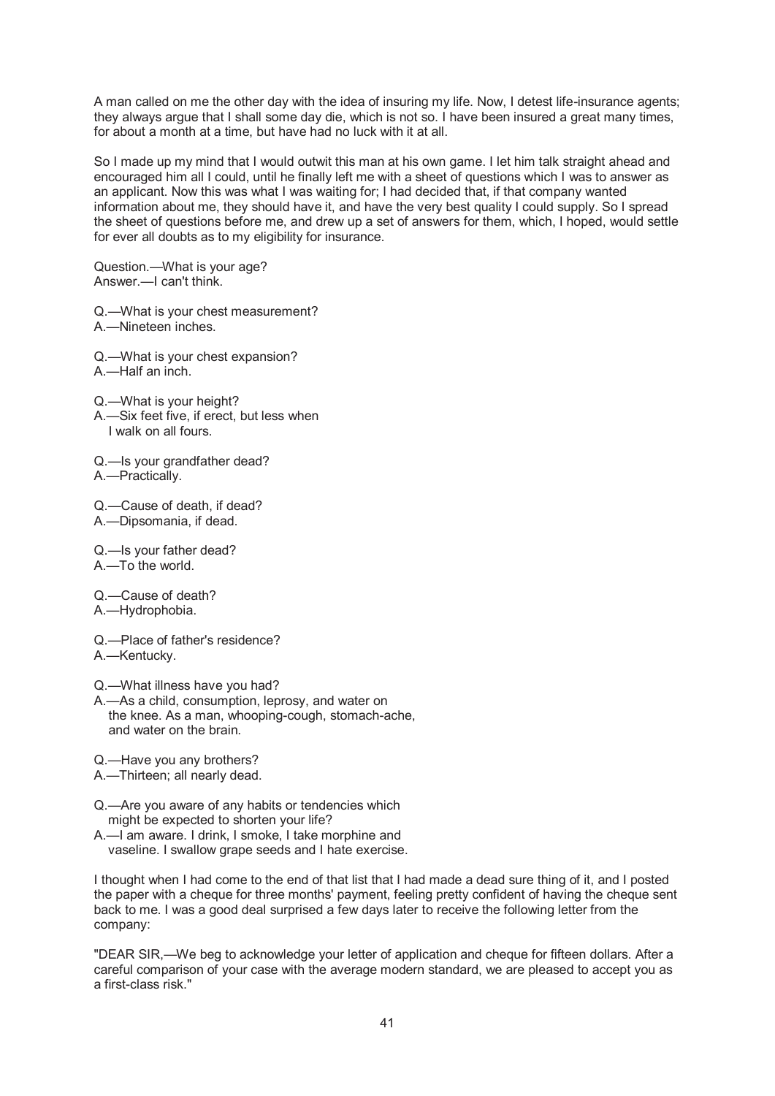A man called on me the other day with the idea of insuring my life. Now, I detest life-insurance agents; they always argue that I shall some day die, which is not so. I have been insured a great many times, for about a month at a time, but have had no luck with it at all.

So I made up my mind that I would outwit this man at his own game. I let him talk straight ahead and encouraged him all I could, until he finally left me with a sheet of questions which I was to answer as an applicant. Now this was what I was waiting for; I had decided that, if that company wanted information about me, they should have it, and have the very best quality I could supply. So I spread the sheet of questions before me, and drew up a set of answers for them, which, I hoped, would settle for ever all doubts as to my eligibility for insurance.

Question.—What is your age? Answer.—I can't think.

Q.—What is your chest measurement? A.—Nineteen inches.

- Q.—What is your chest expansion? A.—Half an inch.
- Q.—What is your height? A.—Six feet five, if erect, but less when I walk on all fours.
- Q.—Is your grandfather dead? A.—Practically.

Q.—Cause of death, if dead? A.—Dipsomania, if dead.

Q.—Is your father dead? A.—To the world.

Q.—Cause of death?

A.—Hydrophobia.

- Q.—Place of father's residence?
- A.—Kentucky.

Q.—What illness have you had?

A.—As a child, consumption, leprosy, and water on the knee. As a man, whooping-cough, stomach-ache, and water on the brain.

Q.—Have you any brothers?

A.—Thirteen; all nearly dead.

Q.—Are you aware of any habits or tendencies which might be expected to shorten your life?

A.—I am aware. I drink, I smoke, I take morphine and vaseline. I swallow grape seeds and I hate exercise.

I thought when I had come to the end of that list that I had made a dead sure thing of it, and I posted the paper with a cheque for three months' payment, feeling pretty confident of having the cheque sent back to me. I was a good deal surprised a few days later to receive the following letter from the company:

"DEAR SIR,—We beg to acknowledge your letter of application and cheque for fifteen dollars. After a careful comparison of your case with the average modern standard, we are pleased to accept you as a first-class risk."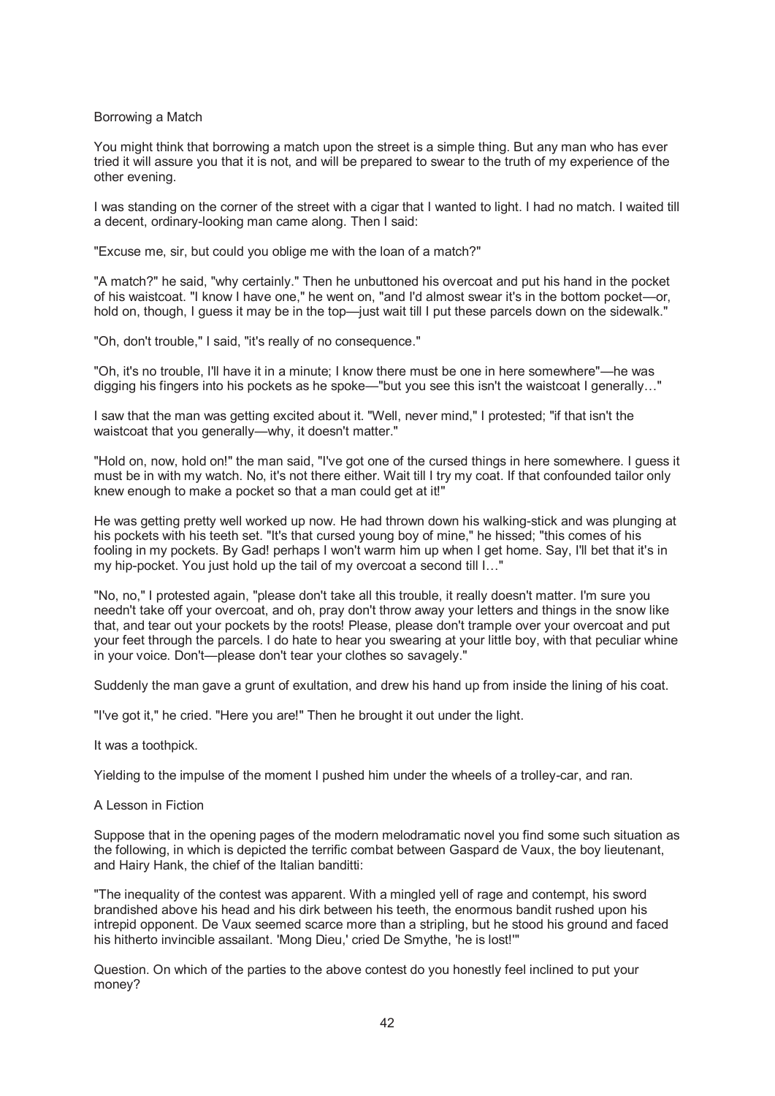#### Borrowing a Match

You might think that borrowing a match upon the street is a simple thing. But any man who has ever tried it will assure you that it is not, and will be prepared to swear to the truth of my experience of the other evening.

I was standing on the corner of the street with a cigar that I wanted to light. I had no match. I waited till a decent, ordinary-looking man came along. Then I said:

"Excuse me, sir, but could you oblige me with the loan of a match?"

"A match?" he said, "why certainly." Then he unbuttoned his overcoat and put his hand in the pocket of his waistcoat. "I know I have one," he went on, "and I'd almost swear it's in the bottom pocket—or, hold on, though, I guess it may be in the top—just wait till I put these parcels down on the sidewalk."

"Oh, don't trouble," I said, "it's really of no consequence."

"Oh, it's no trouble, I'll have it in a minute; I know there must be one in here somewhere"—he was digging his fingers into his pockets as he spoke—"but you see this isn't the waistcoat I generally..."

I saw that the man was getting excited about it. "Well, never mind," I protested; "if that isn't the waistcoat that you generally—why, it doesn't matter."

"Hold on, now, hold on!" the man said, "I've got one of the cursed things in here somewhere. I guess it must be in with my watch. No, it's not there either. Wait till I try my coat. If that confounded tailor only knew enough to make a pocket so that a man could get at it!"

He was getting pretty well worked up now. He had thrown down his walking-stick and was plunging at his pockets with his teeth set. "It's that cursed young boy of mine," he hissed; "this comes of his fooling in my pockets. By Gad! perhaps I won't warm him up when I get home. Say, I'll bet that it's in my hip-pocket. You just hold up the tail of my overcoat a second till I…"

"No, no," I protested again, "please don't take all this trouble, it really doesn't matter. I'm sure you needn't take off your overcoat, and oh, pray don't throw away your letters and things in the snow like that, and tear out your pockets by the roots! Please, please don't trample over your overcoat and put your feet through the parcels. I do hate to hear you swearing at your little boy, with that peculiar whine in your voice. Don't—please don't tear your clothes so savagely."

Suddenly the man gave a grunt of exultation, and drew his hand up from inside the lining of his coat.

"I've got it," he cried. "Here you are!" Then he brought it out under the light.

It was a toothpick.

Yielding to the impulse of the moment I pushed him under the wheels of a trolley-car, and ran.

## A Lesson in Fiction

Suppose that in the opening pages of the modern melodramatic novel you find some such situation as the following, in which is depicted the terrific combat between Gaspard de Vaux, the boy lieutenant, and Hairy Hank, the chief of the Italian banditti:

"The inequality of the contest was apparent. With a mingled yell of rage and contempt, his sword brandished above his head and his dirk between his teeth, the enormous bandit rushed upon his intrepid opponent. De Vaux seemed scarce more than a stripling, but he stood his ground and faced his hitherto invincible assailant. 'Mong Dieu,' cried De Smythe, 'he is lost!'"

Question. On which of the parties to the above contest do you honestly feel inclined to put your money?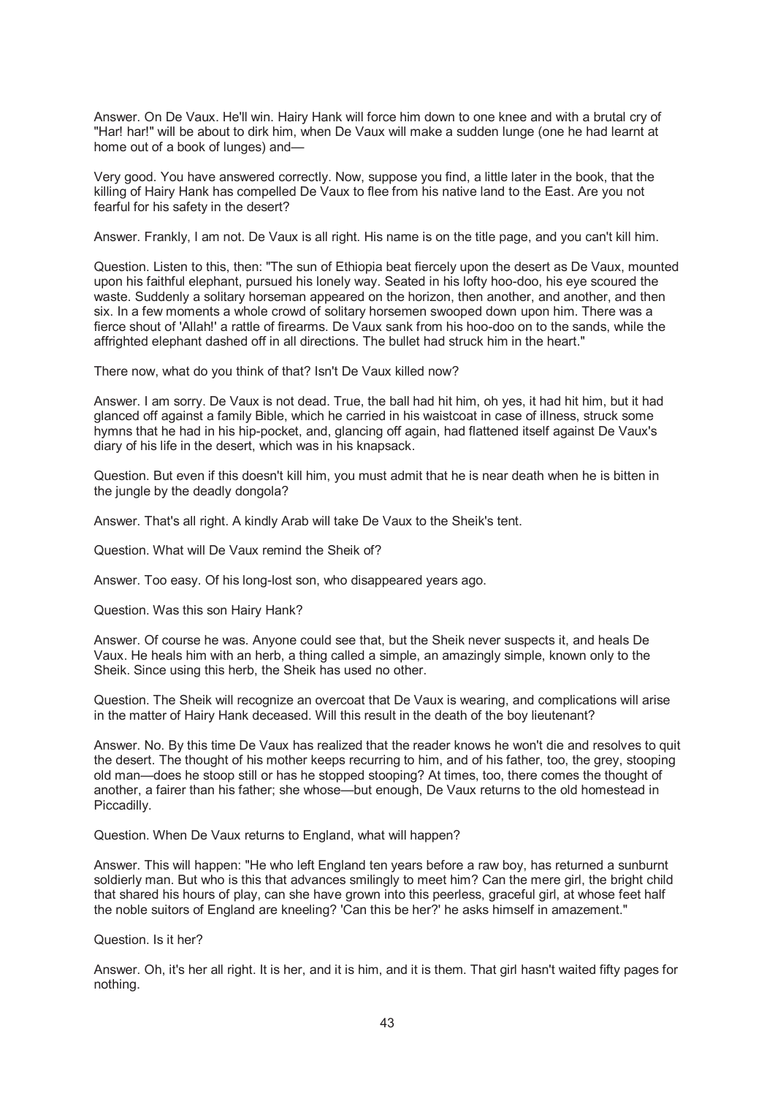Answer. On De Vaux. He'll win. Hairy Hank will force him down to one knee and with a brutal cry of "Har! har!" will be about to dirk him, when De Vaux will make a sudden lunge (one he had learnt at home out of a book of lunges) and—

Very good. You have answered correctly. Now, suppose you find, a little later in the book, that the killing of Hairy Hank has compelled De Vaux to flee from his native land to the East. Are you not fearful for his safety in the desert?

Answer. Frankly, I am not. De Vaux is all right. His name is on the title page, and you can't kill him.

Question. Listen to this, then: "The sun of Ethiopia beat fiercely upon the desert as De Vaux, mounted upon his faithful elephant, pursued his lonely way. Seated in his lofty hoo-doo, his eye scoured the waste. Suddenly a solitary horseman appeared on the horizon, then another, and another, and then six. In a few moments a whole crowd of solitary horsemen swooped down upon him. There was a fierce shout of 'Allah!' a rattle of firearms. De Vaux sank from his hoo-doo on to the sands, while the affrighted elephant dashed off in all directions. The bullet had struck him in the heart."

There now, what do you think of that? Isn't De Vaux killed now?

Answer. I am sorry. De Vaux is not dead. True, the ball had hit him, oh yes, it had hit him, but it had glanced off against a family Bible, which he carried in his waistcoat in case of illness, struck some hymns that he had in his hip-pocket, and, glancing off again, had flattened itself against De Vaux's diary of his life in the desert, which was in his knapsack.

Question. But even if this doesn't kill him, you must admit that he is near death when he is bitten in the jungle by the deadly dongola?

Answer. That's all right. A kindly Arab will take De Vaux to the Sheik's tent.

Question. What will De Vaux remind the Sheik of?

Answer. Too easy. Of his long-lost son, who disappeared years ago.

Question. Was this son Hairy Hank?

Answer. Of course he was. Anyone could see that, but the Sheik never suspects it, and heals De Vaux. He heals him with an herb, a thing called a simple, an amazingly simple, known only to the Sheik. Since using this herb, the Sheik has used no other.

Question. The Sheik will recognize an overcoat that De Vaux is wearing, and complications will arise in the matter of Hairy Hank deceased. Will this result in the death of the boy lieutenant?

Answer. No. By this time De Vaux has realized that the reader knows he won't die and resolves to quit the desert. The thought of his mother keeps recurring to him, and of his father, too, the grey, stooping old man—does he stoop still or has he stopped stooping? At times, too, there comes the thought of another, a fairer than his father; she whose—but enough, De Vaux returns to the old homestead in Piccadilly.

Question. When De Vaux returns to England, what will happen?

Answer. This will happen: "He who left England ten years before a raw boy, has returned a sunburnt soldierly man. But who is this that advances smilingly to meet him? Can the mere girl, the bright child that shared his hours of play, can she have grown into this peerless, graceful girl, at whose feet half the noble suitors of England are kneeling? 'Can this be her?' he asks himself in amazement."

Question. Is it her?

Answer. Oh, it's her all right. It is her, and it is him, and it is them. That girl hasn't waited fifty pages for nothing.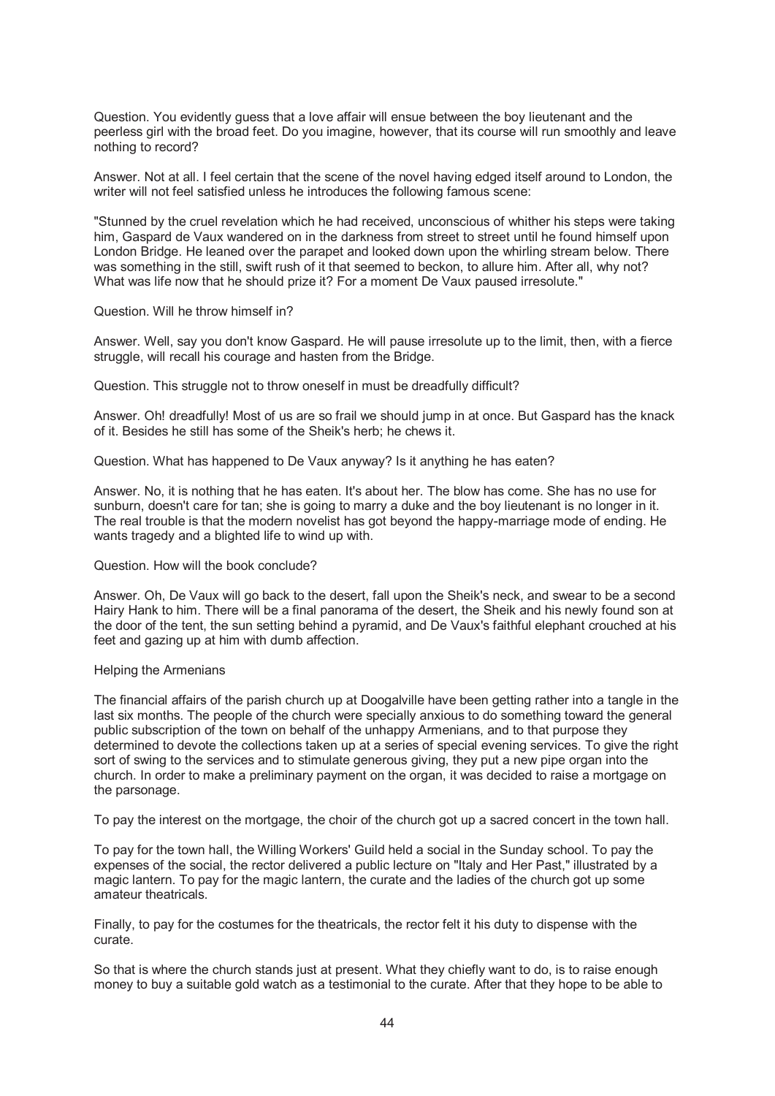Question. You evidently guess that a love affair will ensue between the boy lieutenant and the peerless girl with the broad feet. Do you imagine, however, that its course will run smoothly and leave nothing to record?

Answer. Not at all. I feel certain that the scene of the novel having edged itself around to London, the writer will not feel satisfied unless he introduces the following famous scene:

"Stunned by the cruel revelation which he had received, unconscious of whither his steps were taking him, Gaspard de Vaux wandered on in the darkness from street to street until he found himself upon London Bridge. He leaned over the parapet and looked down upon the whirling stream below. There was something in the still, swift rush of it that seemed to beckon, to allure him. After all, why not? What was life now that he should prize it? For a moment De Vaux paused irresolute."

#### Question. Will he throw himself in?

Answer. Well, say you don't know Gaspard. He will pause irresolute up to the limit, then, with a fierce struggle, will recall his courage and hasten from the Bridge.

Question. This struggle not to throw oneself in must be dreadfully difficult?

Answer. Oh! dreadfully! Most of us are so frail we should jump in at once. But Gaspard has the knack of it. Besides he still has some of the Sheik's herb; he chews it.

Question. What has happened to De Vaux anyway? Is it anything he has eaten?

Answer. No, it is nothing that he has eaten. It's about her. The blow has come. She has no use for sunburn, doesn't care for tan; she is going to marry a duke and the boy lieutenant is no longer in it. The real trouble is that the modern novelist has got beyond the happy-marriage mode of ending. He wants tragedy and a blighted life to wind up with.

#### Question. How will the book conclude?

Answer. Oh, De Vaux will go back to the desert, fall upon the Sheik's neck, and swear to be a second Hairy Hank to him. There will be a final panorama of the desert, the Sheik and his newly found son at the door of the tent, the sun setting behind a pyramid, and De Vaux's faithful elephant crouched at his feet and gazing up at him with dumb affection.

#### Helping the Armenians

The financial affairs of the parish church up at Doogalville have been getting rather into a tangle in the last six months. The people of the church were specially anxious to do something toward the general public subscription of the town on behalf of the unhappy Armenians, and to that purpose they determined to devote the collections taken up at a series of special evening services. To give the right sort of swing to the services and to stimulate generous giving, they put a new pipe organ into the church. In order to make a preliminary payment on the organ, it was decided to raise a mortgage on the parsonage.

To pay the interest on the mortgage, the choir of the church got up a sacred concert in the town hall.

To pay for the town hall, the Willing Workers' Guild held a social in the Sunday school. To pay the expenses of the social, the rector delivered a public lecture on "Italy and Her Past," illustrated by a magic lantern. To pay for the magic lantern, the curate and the ladies of the church got up some amateur theatricals.

Finally, to pay for the costumes for the theatricals, the rector felt it his duty to dispense with the curate.

So that is where the church stands just at present. What they chiefly want to do, is to raise enough money to buy a suitable gold watch as a testimonial to the curate. After that they hope to be able to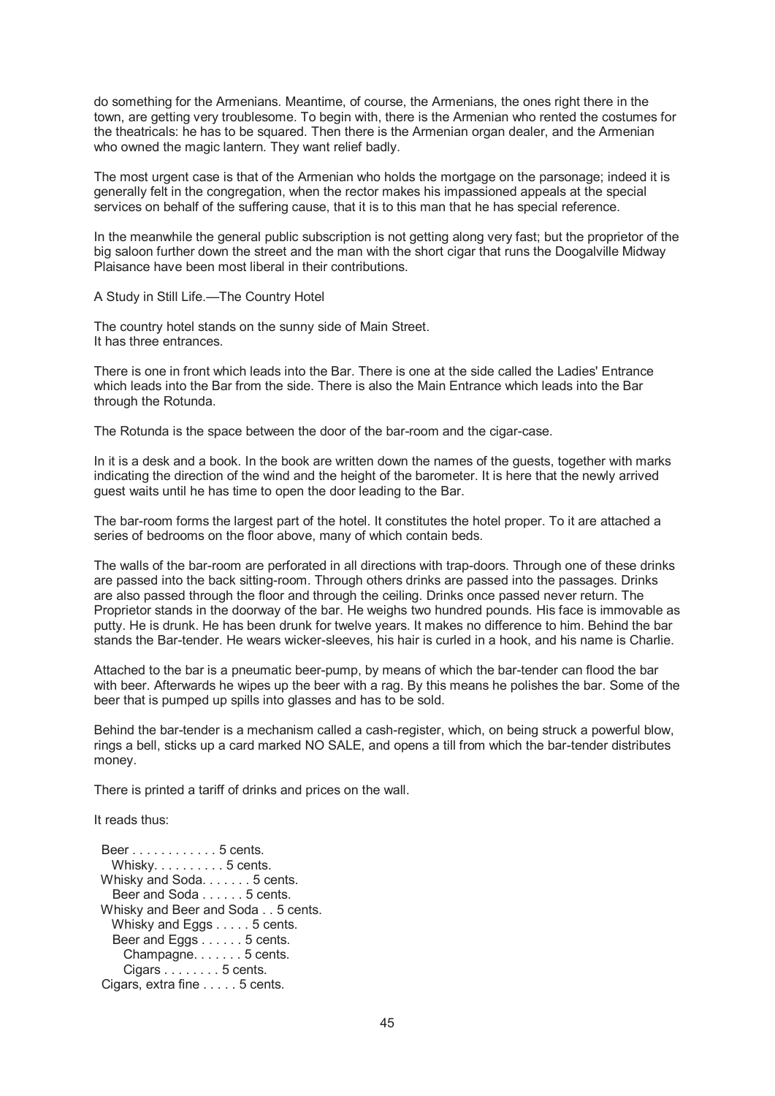do something for the Armenians. Meantime, of course, the Armenians, the ones right there in the town, are getting very troublesome. To begin with, there is the Armenian who rented the costumes for the theatricals: he has to be squared. Then there is the Armenian organ dealer, and the Armenian who owned the magic lantern. They want relief badly.

The most urgent case is that of the Armenian who holds the mortgage on the parsonage; indeed it is generally felt in the congregation, when the rector makes his impassioned appeals at the special services on behalf of the suffering cause, that it is to this man that he has special reference.

In the meanwhile the general public subscription is not getting along very fast; but the proprietor of the big saloon further down the street and the man with the short cigar that runs the Doogalville Midway Plaisance have been most liberal in their contributions.

A Study in Still Life.—The Country Hotel

The country hotel stands on the sunny side of Main Street. It has three entrances.

There is one in front which leads into the Bar. There is one at the side called the Ladies' Entrance which leads into the Bar from the side. There is also the Main Entrance which leads into the Bar through the Rotunda.

The Rotunda is the space between the door of the bar-room and the cigar-case.

In it is a desk and a book. In the book are written down the names of the guests, together with marks indicating the direction of the wind and the height of the barometer. It is here that the newly arrived guest waits until he has time to open the door leading to the Bar.

The bar-room forms the largest part of the hotel. It constitutes the hotel proper. To it are attached a series of bedrooms on the floor above, many of which contain beds.

The walls of the bar-room are perforated in all directions with trap-doors. Through one of these drinks are passed into the back sitting-room. Through others drinks are passed into the passages. Drinks are also passed through the floor and through the ceiling. Drinks once passed never return. The Proprietor stands in the doorway of the bar. He weighs two hundred pounds. His face is immovable as putty. He is drunk. He has been drunk for twelve years. It makes no difference to him. Behind the bar stands the Bar-tender. He wears wicker-sleeves, his hair is curled in a hook, and his name is Charlie.

Attached to the bar is a pneumatic beer-pump, by means of which the bar-tender can flood the bar with beer. Afterwards he wipes up the beer with a rag. By this means he polishes the bar. Some of the beer that is pumped up spills into glasses and has to be sold.

Behind the bar-tender is a mechanism called a cash-register, which, on being struck a powerful blow, rings a bell, sticks up a card marked NO SALE, and opens a till from which the bar-tender distributes money.

There is printed a tariff of drinks and prices on the wall.

It reads thus:

 Beer . . . . . . . . . . . . 5 cents. Whisky. . . . . . . . . . 5 cents. Whisky and Soda. . . . . . . 5 cents. Beer and Soda . . . . . . 5 cents. Whisky and Beer and Soda . . 5 cents. Whisky and Eggs . . . . . 5 cents. Beer and Eggs . . . . . . 5 cents. Champagne. . . . . . . 5 cents. Cigars . . . . . . . . 5 cents. Cigars, extra fine . . . . . 5 cents.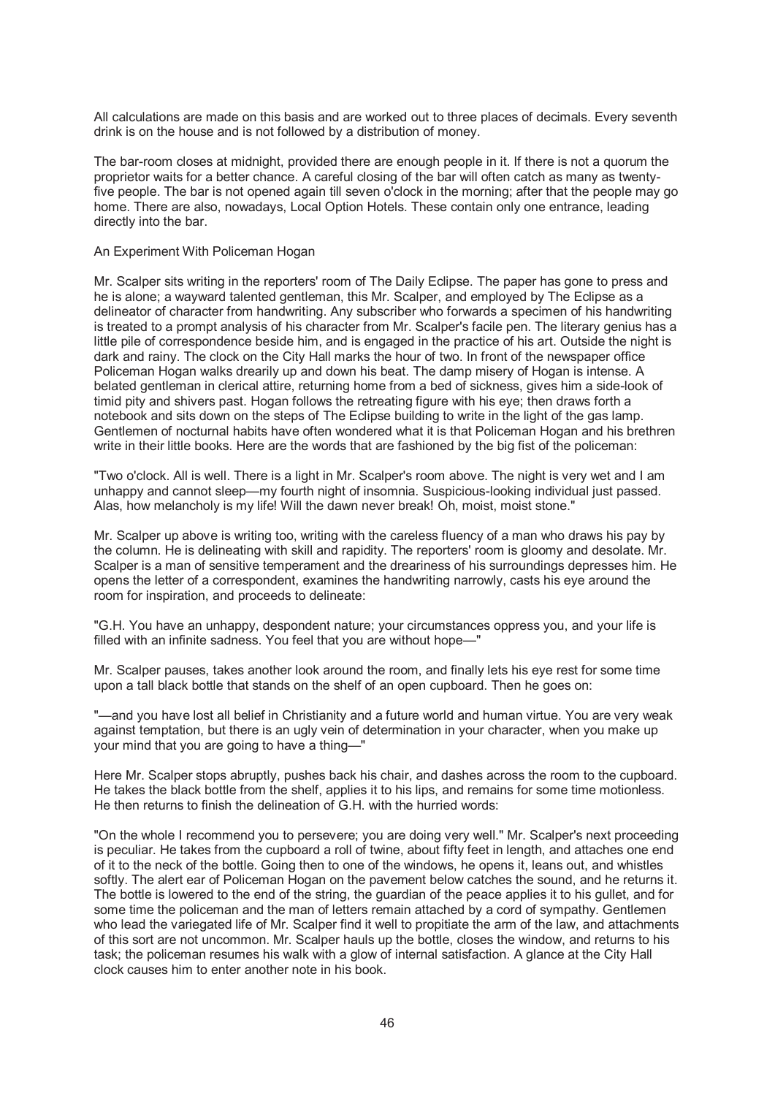All calculations are made on this basis and are worked out to three places of decimals. Every seventh drink is on the house and is not followed by a distribution of money.

The bar-room closes at midnight, provided there are enough people in it. If there is not a quorum the proprietor waits for a better chance. A careful closing of the bar will often catch as many as twentyfive people. The bar is not opened again till seven o'clock in the morning; after that the people may go home. There are also, nowadays, Local Option Hotels. These contain only one entrance, leading directly into the bar.

#### An Experiment With Policeman Hogan

Mr. Scalper sits writing in the reporters' room of The Daily Eclipse. The paper has gone to press and he is alone; a wayward talented gentleman, this Mr. Scalper, and employed by The Eclipse as a delineator of character from handwriting. Any subscriber who forwards a specimen of his handwriting is treated to a prompt analysis of his character from Mr. Scalper's facile pen. The literary genius has a little pile of correspondence beside him, and is engaged in the practice of his art. Outside the night is dark and rainy. The clock on the City Hall marks the hour of two. In front of the newspaper office Policeman Hogan walks drearily up and down his beat. The damp misery of Hogan is intense. A belated gentleman in clerical attire, returning home from a bed of sickness, gives him a side-look of timid pity and shivers past. Hogan follows the retreating figure with his eye; then draws forth a notebook and sits down on the steps of The Eclipse building to write in the light of the gas lamp. Gentlemen of nocturnal habits have often wondered what it is that Policeman Hogan and his brethren write in their little books. Here are the words that are fashioned by the big fist of the policeman:

"Two o'clock. All is well. There is a light in Mr. Scalper's room above. The night is very wet and I am unhappy and cannot sleep—my fourth night of insomnia. Suspicious-looking individual just passed. Alas, how melancholy is my life! Will the dawn never break! Oh, moist, moist stone."

Mr. Scalper up above is writing too, writing with the careless fluency of a man who draws his pay by the column. He is delineating with skill and rapidity. The reporters' room is gloomy and desolate. Mr. Scalper is a man of sensitive temperament and the dreariness of his surroundings depresses him. He opens the letter of a correspondent, examines the handwriting narrowly, casts his eye around the room for inspiration, and proceeds to delineate:

"G.H. You have an unhappy, despondent nature; your circumstances oppress you, and your life is filled with an infinite sadness. You feel that you are without hope—"

Mr. Scalper pauses, takes another look around the room, and finally lets his eye rest for some time upon a tall black bottle that stands on the shelf of an open cupboard. Then he goes on:

"—and you have lost all belief in Christianity and a future world and human virtue. You are very weak against temptation, but there is an ugly vein of determination in your character, when you make up your mind that you are going to have a thing—"

Here Mr. Scalper stops abruptly, pushes back his chair, and dashes across the room to the cupboard. He takes the black bottle from the shelf, applies it to his lips, and remains for some time motionless. He then returns to finish the delineation of G.H. with the hurried words:

"On the whole I recommend you to persevere; you are doing very well." Mr. Scalper's next proceeding is peculiar. He takes from the cupboard a roll of twine, about fifty feet in length, and attaches one end of it to the neck of the bottle. Going then to one of the windows, he opens it, leans out, and whistles softly. The alert ear of Policeman Hogan on the pavement below catches the sound, and he returns it. The bottle is lowered to the end of the string, the guardian of the peace applies it to his gullet, and for some time the policeman and the man of letters remain attached by a cord of sympathy. Gentlemen who lead the variegated life of Mr. Scalper find it well to propitiate the arm of the law, and attachments of this sort are not uncommon. Mr. Scalper hauls up the bottle, closes the window, and returns to his task; the policeman resumes his walk with a glow of internal satisfaction. A glance at the City Hall clock causes him to enter another note in his book.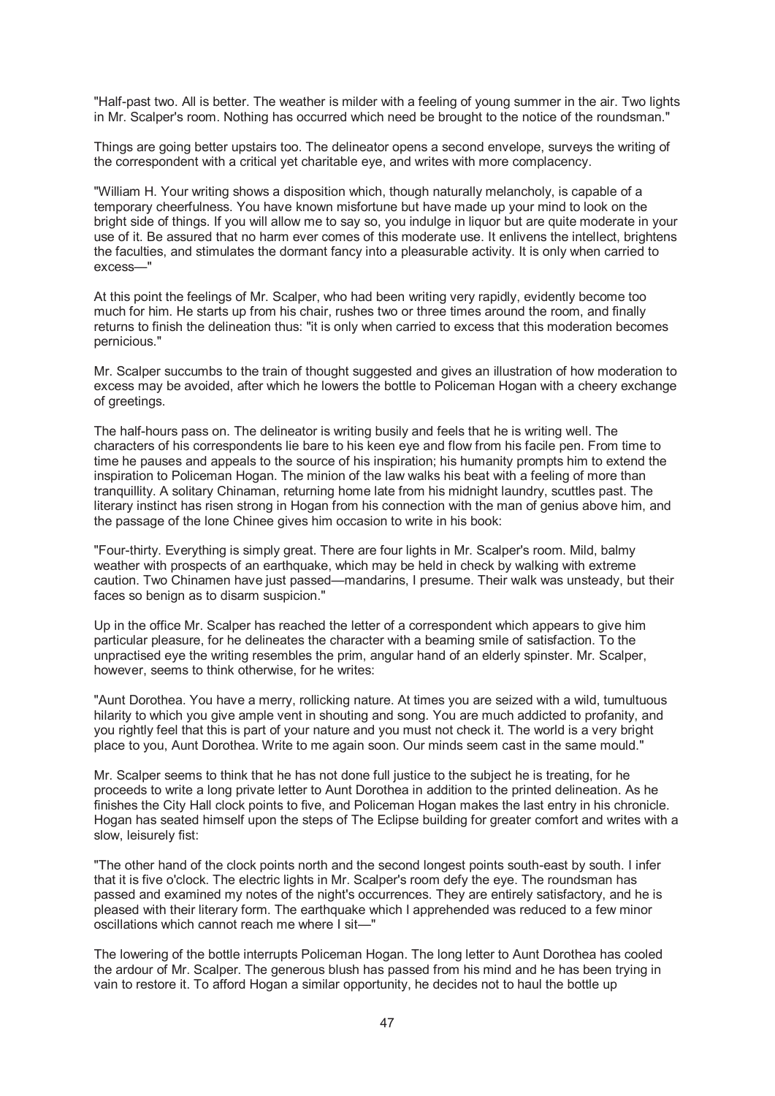"Half-past two. All is better. The weather is milder with a feeling of young summer in the air. Two lights in Mr. Scalper's room. Nothing has occurred which need be brought to the notice of the roundsman."

Things are going better upstairs too. The delineator opens a second envelope, surveys the writing of the correspondent with a critical yet charitable eye, and writes with more complacency.

"William H. Your writing shows a disposition which, though naturally melancholy, is capable of a temporary cheerfulness. You have known misfortune but have made up your mind to look on the bright side of things. If you will allow me to say so, you indulge in liquor but are quite moderate in your use of it. Be assured that no harm ever comes of this moderate use. It enlivens the intellect, brightens the faculties, and stimulates the dormant fancy into a pleasurable activity. It is only when carried to excess—"

At this point the feelings of Mr. Scalper, who had been writing very rapidly, evidently become too much for him. He starts up from his chair, rushes two or three times around the room, and finally returns to finish the delineation thus: "it is only when carried to excess that this moderation becomes pernicious."

Mr. Scalper succumbs to the train of thought suggested and gives an illustration of how moderation to excess may be avoided, after which he lowers the bottle to Policeman Hogan with a cheery exchange of greetings.

The half-hours pass on. The delineator is writing busily and feels that he is writing well. The characters of his correspondents lie bare to his keen eye and flow from his facile pen. From time to time he pauses and appeals to the source of his inspiration; his humanity prompts him to extend the inspiration to Policeman Hogan. The minion of the law walks his beat with a feeling of more than tranquillity. A solitary Chinaman, returning home late from his midnight laundry, scuttles past. The literary instinct has risen strong in Hogan from his connection with the man of genius above him, and the passage of the lone Chinee gives him occasion to write in his book:

"Four-thirty. Everything is simply great. There are four lights in Mr. Scalper's room. Mild, balmy weather with prospects of an earthquake, which may be held in check by walking with extreme caution. Two Chinamen have just passed—mandarins, I presume. Their walk was unsteady, but their faces so benign as to disarm suspicion."

Up in the office Mr. Scalper has reached the letter of a correspondent which appears to give him particular pleasure, for he delineates the character with a beaming smile of satisfaction. To the unpractised eye the writing resembles the prim, angular hand of an elderly spinster. Mr. Scalper, however, seems to think otherwise, for he writes:

"Aunt Dorothea. You have a merry, rollicking nature. At times you are seized with a wild, tumultuous hilarity to which you give ample vent in shouting and song. You are much addicted to profanity, and you rightly feel that this is part of your nature and you must not check it. The world is a very bright place to you, Aunt Dorothea. Write to me again soon. Our minds seem cast in the same mould."

Mr. Scalper seems to think that he has not done full justice to the subject he is treating, for he proceeds to write a long private letter to Aunt Dorothea in addition to the printed delineation. As he finishes the City Hall clock points to five, and Policeman Hogan makes the last entry in his chronicle. Hogan has seated himself upon the steps of The Eclipse building for greater comfort and writes with a slow, leisurely fist:

"The other hand of the clock points north and the second longest points south-east by south. I infer that it is five o'clock. The electric lights in Mr. Scalper's room defy the eye. The roundsman has passed and examined my notes of the night's occurrences. They are entirely satisfactory, and he is pleased with their literary form. The earthquake which I apprehended was reduced to a few minor oscillations which cannot reach me where I sit—"

The lowering of the bottle interrupts Policeman Hogan. The long letter to Aunt Dorothea has cooled the ardour of Mr. Scalper. The generous blush has passed from his mind and he has been trying in vain to restore it. To afford Hogan a similar opportunity, he decides not to haul the bottle up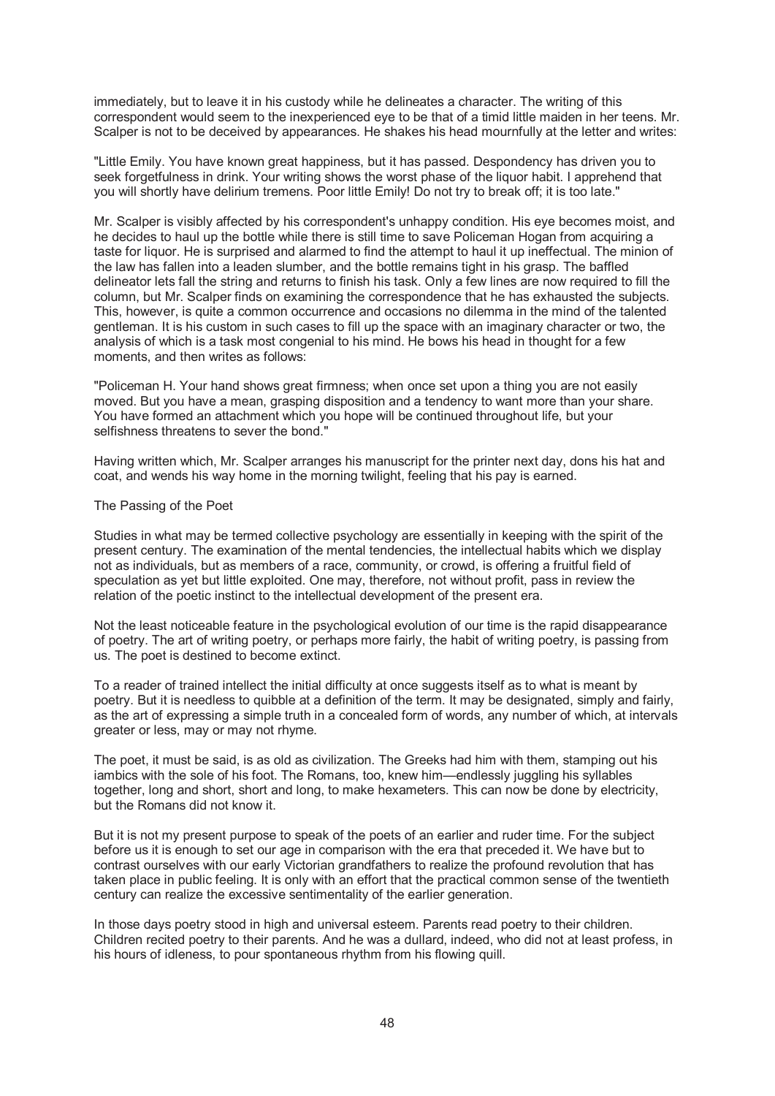immediately, but to leave it in his custody while he delineates a character. The writing of this correspondent would seem to the inexperienced eye to be that of a timid little maiden in her teens. Mr. Scalper is not to be deceived by appearances. He shakes his head mournfully at the letter and writes:

"Little Emily. You have known great happiness, but it has passed. Despondency has driven you to seek forgetfulness in drink. Your writing shows the worst phase of the liquor habit. I apprehend that you will shortly have delirium tremens. Poor little Emily! Do not try to break off; it is too late."

Mr. Scalper is visibly affected by his correspondent's unhappy condition. His eye becomes moist, and he decides to haul up the bottle while there is still time to save Policeman Hogan from acquiring a taste for liquor. He is surprised and alarmed to find the attempt to haul it up ineffectual. The minion of the law has fallen into a leaden slumber, and the bottle remains tight in his grasp. The baffled delineator lets fall the string and returns to finish his task. Only a few lines are now required to fill the column, but Mr. Scalper finds on examining the correspondence that he has exhausted the subjects. This, however, is quite a common occurrence and occasions no dilemma in the mind of the talented gentleman. It is his custom in such cases to fill up the space with an imaginary character or two, the analysis of which is a task most congenial to his mind. He bows his head in thought for a few moments, and then writes as follows:

"Policeman H. Your hand shows great firmness; when once set upon a thing you are not easily moved. But you have a mean, grasping disposition and a tendency to want more than your share. You have formed an attachment which you hope will be continued throughout life, but your selfishness threatens to sever the bond."

Having written which, Mr. Scalper arranges his manuscript for the printer next day, dons his hat and coat, and wends his way home in the morning twilight, feeling that his pay is earned.

## The Passing of the Poet

Studies in what may be termed collective psychology are essentially in keeping with the spirit of the present century. The examination of the mental tendencies, the intellectual habits which we display not as individuals, but as members of a race, community, or crowd, is offering a fruitful field of speculation as yet but little exploited. One may, therefore, not without profit, pass in review the relation of the poetic instinct to the intellectual development of the present era.

Not the least noticeable feature in the psychological evolution of our time is the rapid disappearance of poetry. The art of writing poetry, or perhaps more fairly, the habit of writing poetry, is passing from us. The poet is destined to become extinct.

To a reader of trained intellect the initial difficulty at once suggests itself as to what is meant by poetry. But it is needless to quibble at a definition of the term. It may be designated, simply and fairly, as the art of expressing a simple truth in a concealed form of words, any number of which, at intervals greater or less, may or may not rhyme.

The poet, it must be said, is as old as civilization. The Greeks had him with them, stamping out his iambics with the sole of his foot. The Romans, too, knew him—endlessly juggling his syllables together, long and short, short and long, to make hexameters. This can now be done by electricity, but the Romans did not know it.

But it is not my present purpose to speak of the poets of an earlier and ruder time. For the subject before us it is enough to set our age in comparison with the era that preceded it. We have but to contrast ourselves with our early Victorian grandfathers to realize the profound revolution that has taken place in public feeling. It is only with an effort that the practical common sense of the twentieth century can realize the excessive sentimentality of the earlier generation.

In those days poetry stood in high and universal esteem. Parents read poetry to their children. Children recited poetry to their parents. And he was a dullard, indeed, who did not at least profess, in his hours of idleness, to pour spontaneous rhythm from his flowing quill.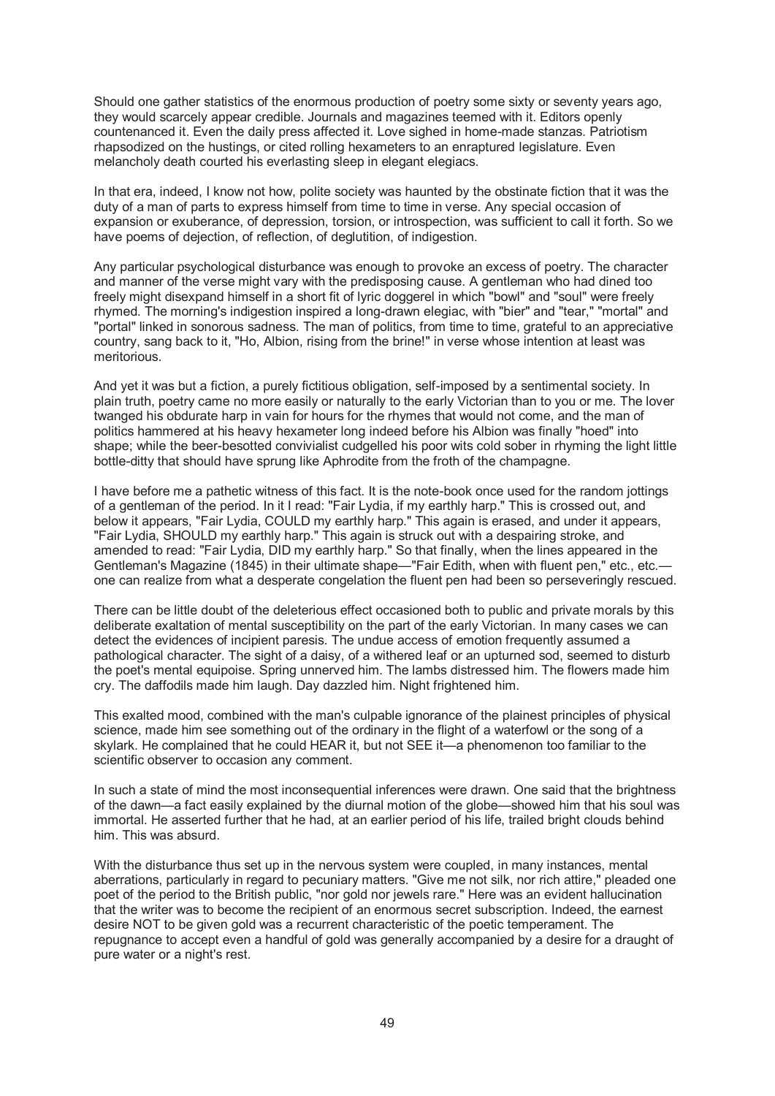Should one gather statistics of the enormous production of poetry some sixty or seventy years ago, they would scarcely appear credible. Journals and magazines teemed with it. Editors openly countenanced it. Even the daily press affected it. Love sighed in home-made stanzas. Patriotism rhapsodized on the hustings, or cited rolling hexameters to an enraptured legislature. Even melancholy death courted his everlasting sleep in elegant elegiacs.

In that era, indeed, I know not how, polite society was haunted by the obstinate fiction that it was the duty of a man of parts to express himself from time to time in verse. Any special occasion of expansion or exuberance, of depression, torsion, or introspection, was sufficient to call it forth. So we have poems of dejection, of reflection, of deglutition, of indigestion.

Any particular psychological disturbance was enough to provoke an excess of poetry. The character and manner of the verse might vary with the predisposing cause. A gentleman who had dined too freely might disexpand himself in a short fit of lyric doggerel in which "bowl" and "soul" were freely rhymed. The morning's indigestion inspired a long-drawn elegiac, with "bier" and "tear," "mortal" and "portal" linked in sonorous sadness. The man of politics, from time to time, grateful to an appreciative country, sang back to it, "Ho, Albion, rising from the brine!" in verse whose intention at least was meritorious.

And yet it was but a fiction, a purely fictitious obligation, self-imposed by a sentimental society. In plain truth, poetry came no more easily or naturally to the early Victorian than to you or me. The lover twanged his obdurate harp in vain for hours for the rhymes that would not come, and the man of politics hammered at his heavy hexameter long indeed before his Albion was finally "hoed" into shape; while the beer-besotted convivialist cudgelled his poor wits cold sober in rhyming the light little bottle-ditty that should have sprung like Aphrodite from the froth of the champagne.

I have before me a pathetic witness of this fact. It is the note-book once used for the random jottings of a gentleman of the period. In it I read: "Fair Lydia, if my earthly harp." This is crossed out, and below it appears, "Fair Lydia, COULD my earthly harp." This again is erased, and under it appears, "Fair Lydia, SHOULD my earthly harp." This again is struck out with a despairing stroke, and amended to read: "Fair Lydia, DID my earthly harp." So that finally, when the lines appeared in the Gentleman's Magazine (1845) in their ultimate shape—"Fair Edith, when with fluent pen," etc., etc. one can realize from what a desperate congelation the fluent pen had been so perseveringly rescued.

There can be little doubt of the deleterious effect occasioned both to public and private morals by this deliberate exaltation of mental susceptibility on the part of the early Victorian. In many cases we can detect the evidences of incipient paresis. The undue access of emotion frequently assumed a pathological character. The sight of a daisy, of a withered leaf or an upturned sod, seemed to disturb the poet's mental equipoise. Spring unnerved him. The lambs distressed him. The flowers made him cry. The daffodils made him laugh. Day dazzled him. Night frightened him.

This exalted mood, combined with the man's culpable ignorance of the plainest principles of physical science, made him see something out of the ordinary in the flight of a waterfowl or the song of a skylark. He complained that he could HEAR it, but not SEE it—a phenomenon too familiar to the scientific observer to occasion any comment.

In such a state of mind the most inconsequential inferences were drawn. One said that the brightness of the dawn—a fact easily explained by the diurnal motion of the globe—showed him that his soul was immortal. He asserted further that he had, at an earlier period of his life, trailed bright clouds behind him. This was absurd.

With the disturbance thus set up in the nervous system were coupled, in many instances, mental aberrations, particularly in regard to pecuniary matters. "Give me not silk, nor rich attire," pleaded one poet of the period to the British public, "nor gold nor jewels rare." Here was an evident hallucination that the writer was to become the recipient of an enormous secret subscription. Indeed, the earnest desire NOT to be given gold was a recurrent characteristic of the poetic temperament. The repugnance to accept even a handful of gold was generally accompanied by a desire for a draught of pure water or a night's rest.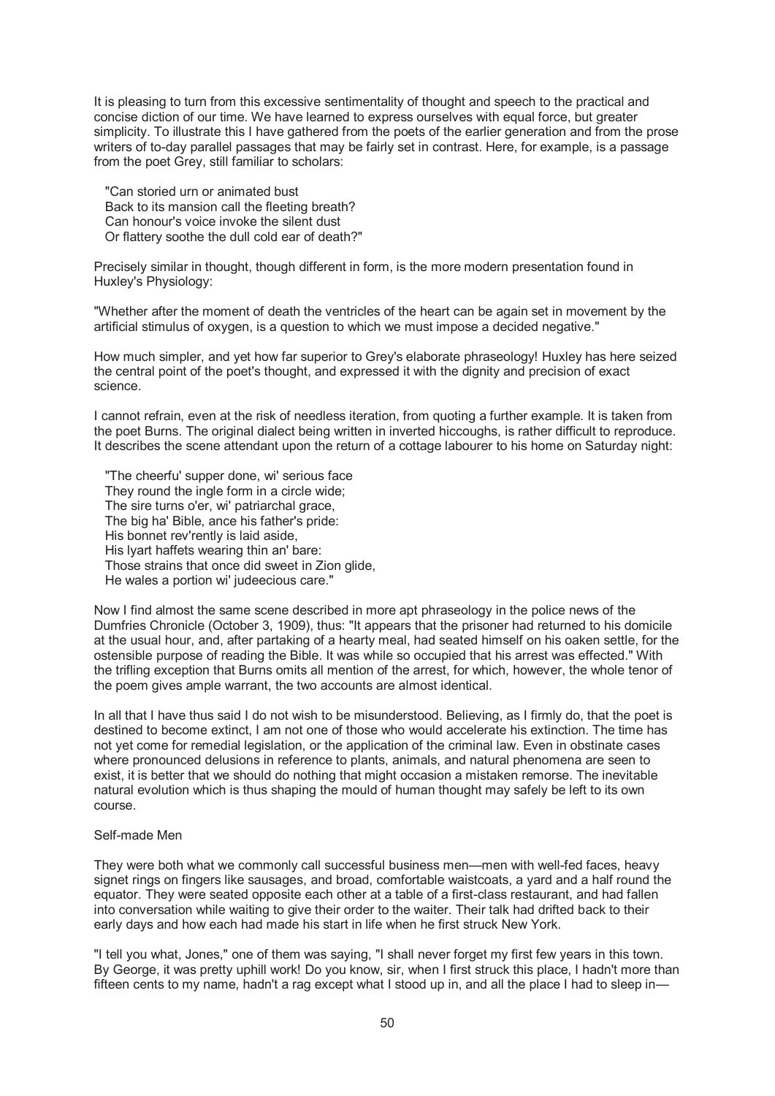It is pleasing to turn from this excessive sentimentality of thought and speech to the practical and concise diction of our time. We have learned to express ourselves with equal force, but greater simplicity. To illustrate this I have gathered from the poets of the earlier generation and from the prose writers of to-day parallel passages that may be fairly set in contrast. Here, for example, is a passage from the poet Grey, still familiar to scholars:

 "Can storied urn or animated bust Back to its mansion call the fleeting breath? Can honour's voice invoke the silent dust Or flattery soothe the dull cold ear of death?"

Precisely similar in thought, though different in form, is the more modern presentation found in Huxley's Physiology:

"Whether after the moment of death the ventricles of the heart can be again set in movement by the artificial stimulus of oxygen, is a question to which we must impose a decided negative."

How much simpler, and yet how far superior to Grey's elaborate phraseology! Huxley has here seized the central point of the poet's thought, and expressed it with the dignity and precision of exact science.

I cannot refrain, even at the risk of needless iteration, from quoting a further example. It is taken from the poet Burns. The original dialect being written in inverted hiccoughs, is rather difficult to reproduce. It describes the scene attendant upon the return of a cottage labourer to his home on Saturday night:

 "The cheerfu' supper done, wi' serious face They round the ingle form in a circle wide; The sire turns o'er, wi' patriarchal grace, The big ha' Bible, ance his father's pride: His bonnet rev'rently is laid aside, His lyart haffets wearing thin an' bare: Those strains that once did sweet in Zion glide. He wales a portion wi' judeecious care."

Now I find almost the same scene described in more apt phraseology in the police news of the Dumfries Chronicle (October 3, 1909), thus: "It appears that the prisoner had returned to his domicile at the usual hour, and, after partaking of a hearty meal, had seated himself on his oaken settle, for the ostensible purpose of reading the Bible. It was while so occupied that his arrest was effected." With the trifling exception that Burns omits all mention of the arrest, for which, however, the whole tenor of the poem gives ample warrant, the two accounts are almost identical.

In all that I have thus said I do not wish to be misunderstood. Believing, as I firmly do, that the poet is destined to become extinct, I am not one of those who would accelerate his extinction. The time has not yet come for remedial legislation, or the application of the criminal law. Even in obstinate cases where pronounced delusions in reference to plants, animals, and natural phenomena are seen to exist, it is better that we should do nothing that might occasion a mistaken remorse. The inevitable natural evolution which is thus shaping the mould of human thought may safely be left to its own course.

#### Self-made Men

They were both what we commonly call successful business men—men with well-fed faces, heavy signet rings on fingers like sausages, and broad, comfortable waistcoats, a yard and a half round the equator. They were seated opposite each other at a table of a first-class restaurant, and had fallen into conversation while waiting to give their order to the waiter. Their talk had drifted back to their early days and how each had made his start in life when he first struck New York.

"I tell you what, Jones," one of them was saying, "I shall never forget my first few years in this town. By George, it was pretty uphill work! Do you know, sir, when I first struck this place, I hadn't more than fifteen cents to my name, hadn't a rag except what I stood up in, and all the place I had to sleep in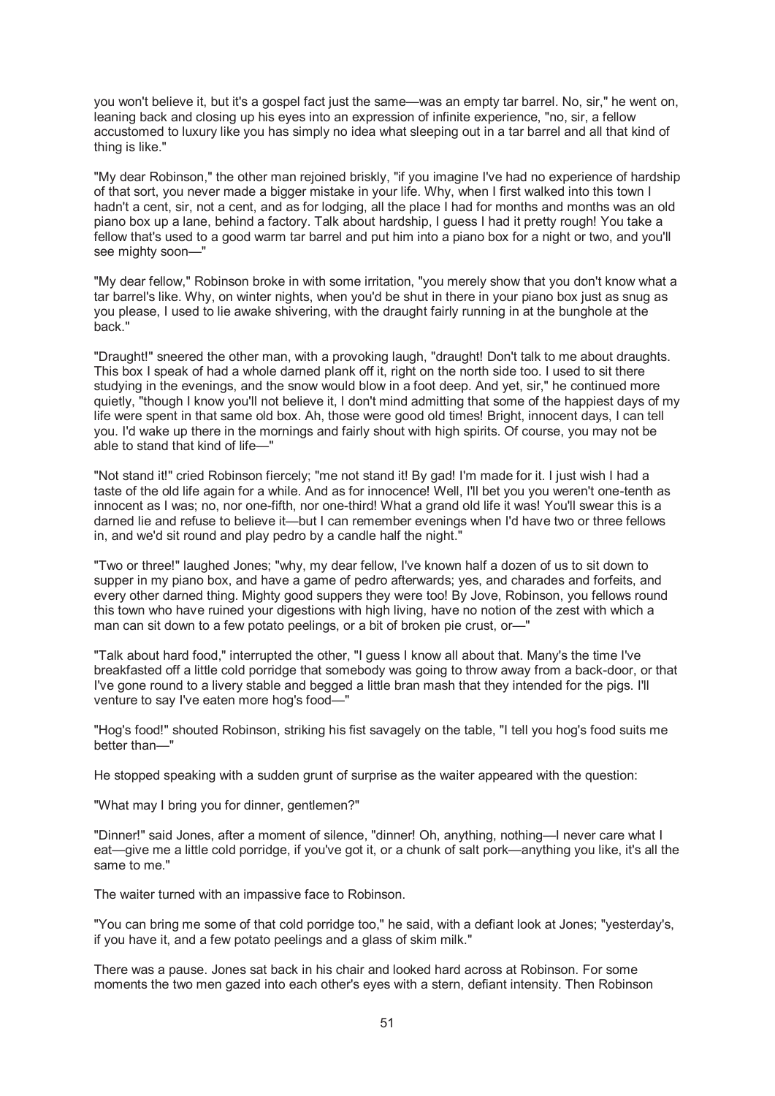you won't believe it, but it's a gospel fact just the same—was an empty tar barrel. No, sir," he went on, leaning back and closing up his eyes into an expression of infinite experience, "no, sir, a fellow accustomed to luxury like you has simply no idea what sleeping out in a tar barrel and all that kind of thing is like."

"My dear Robinson," the other man rejoined briskly, "if you imagine I've had no experience of hardship of that sort, you never made a bigger mistake in your life. Why, when I first walked into this town I hadn't a cent, sir, not a cent, and as for lodging, all the place I had for months and months was an old piano box up a lane, behind a factory. Talk about hardship, I guess I had it pretty rough! You take a fellow that's used to a good warm tar barrel and put him into a piano box for a night or two, and you'll see mighty soon—"

"My dear fellow," Robinson broke in with some irritation, "you merely show that you don't know what a tar barrel's like. Why, on winter nights, when you'd be shut in there in your piano box just as snug as you please, I used to lie awake shivering, with the draught fairly running in at the bunghole at the back."

"Draught!" sneered the other man, with a provoking laugh, "draught! Don't talk to me about draughts. This box I speak of had a whole darned plank off it, right on the north side too. I used to sit there studying in the evenings, and the snow would blow in a foot deep. And yet, sir," he continued more quietly, "though I know you'll not believe it, I don't mind admitting that some of the happiest days of my life were spent in that same old box. Ah, those were good old times! Bright, innocent days, I can tell you. I'd wake up there in the mornings and fairly shout with high spirits. Of course, you may not be able to stand that kind of life—"

"Not stand it!" cried Robinson fiercely; "me not stand it! By gad! I'm made for it. I just wish I had a taste of the old life again for a while. And as for innocence! Well, I'll bet you you weren't one-tenth as innocent as I was; no, nor one-fifth, nor one-third! What a grand old life it was! You'll swear this is a darned lie and refuse to believe it—but I can remember evenings when I'd have two or three fellows in, and we'd sit round and play pedro by a candle half the night."

"Two or three!" laughed Jones; "why, my dear fellow, I've known half a dozen of us to sit down to supper in my piano box, and have a game of pedro afterwards; yes, and charades and forfeits, and every other darned thing. Mighty good suppers they were too! By Jove, Robinson, you fellows round this town who have ruined your digestions with high living, have no notion of the zest with which a man can sit down to a few potato peelings, or a bit of broken pie crust, or—"

"Talk about hard food," interrupted the other, "I guess I know all about that. Many's the time I've breakfasted off a little cold porridge that somebody was going to throw away from a back-door, or that I've gone round to a livery stable and begged a little bran mash that they intended for the pigs. I'll venture to say I've eaten more hog's food—"

"Hog's food!" shouted Robinson, striking his fist savagely on the table, "I tell you hog's food suits me better than—"

He stopped speaking with a sudden grunt of surprise as the waiter appeared with the question:

"What may I bring you for dinner, gentlemen?"

"Dinner!" said Jones, after a moment of silence, "dinner! Oh, anything, nothing—I never care what I eat—give me a little cold porridge, if you've got it, or a chunk of salt pork—anything you like, it's all the same to me."

The waiter turned with an impassive face to Robinson.

"You can bring me some of that cold porridge too," he said, with a defiant look at Jones; "yesterday's, if you have it, and a few potato peelings and a glass of skim milk."

There was a pause. Jones sat back in his chair and looked hard across at Robinson. For some moments the two men gazed into each other's eyes with a stern, defiant intensity. Then Robinson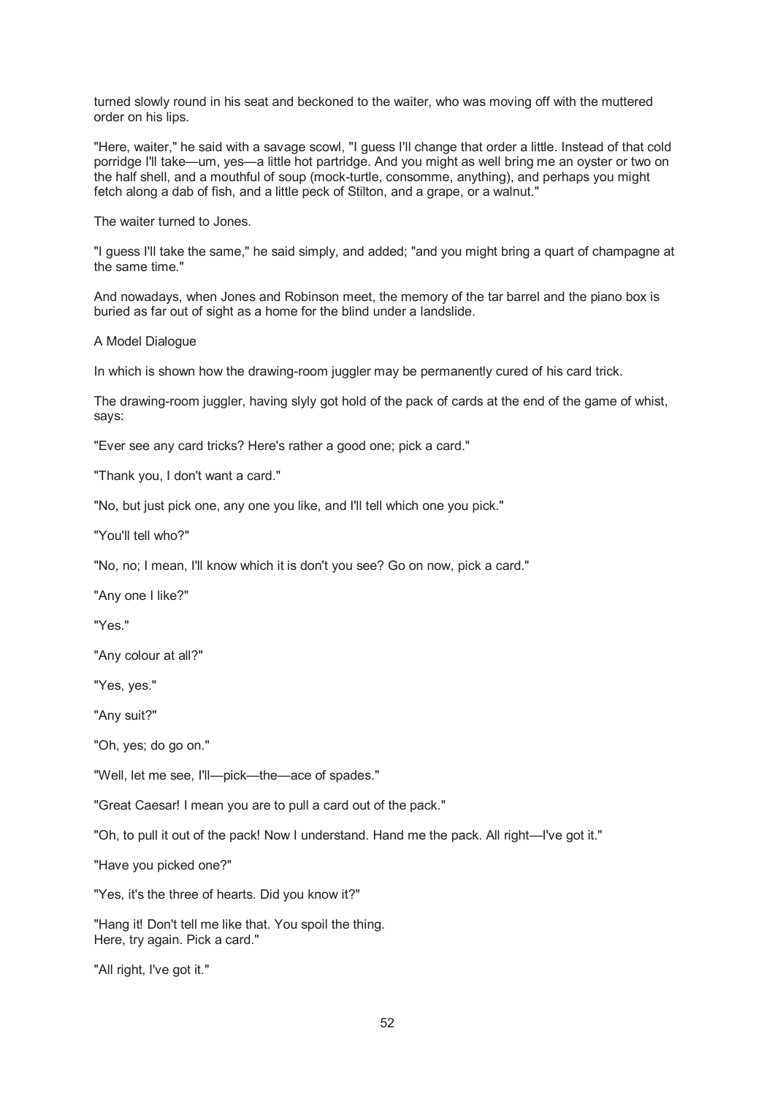turned slowly round in his seat and beckoned to the waiter, who was moving off with the muttered order on his lips.

"Here, waiter," he said with a savage scowl, "I guess I'll change that order a little. Instead of that cold porridge I'll take—um, yes—a little hot partridge. And you might as well bring me an oyster or two on the half shell, and a mouthful of soup (mock-turtle, consomme, anything), and perhaps you might fetch along a dab of fish, and a little peck of Stilton, and a grape, or a walnut."

The waiter turned to Jones.

"I guess I'll take the same," he said simply, and added; "and you might bring a quart of champagne at the same time."

And nowadays, when Jones and Robinson meet, the memory of the tar barrel and the piano box is buried as far out of sight as a home for the blind under a landslide.

A Model Dialogue

In which is shown how the drawing-room juggler may be permanently cured of his card trick.

The drawing-room juggler, having slyly got hold of the pack of cards at the end of the game of whist, says:

"Ever see any card tricks? Here's rather a good one; pick a card."

"Thank you, I don't want a card."

"No, but just pick one, any one you like, and I'll tell which one you pick."

"You'll tell who?"

"No, no; I mean, I'll know which it is don't you see? Go on now, pick a card."

"Any one I like?"

"Yes."

"Any colour at all?"

"Yes, yes."

"Any suit?"

"Oh, yes; do go on."

"Well, let me see, I'll—pick—the—ace of spades."

"Great Caesar! I mean you are to pull a card out of the pack."

"Oh, to pull it out of the pack! Now I understand. Hand me the pack. All right—I've got it."

"Have you picked one?"

"Yes, it's the three of hearts. Did you know it?"

"Hang it! Don't tell me like that. You spoil the thing. Here, try again. Pick a card."

"All right, I've got it."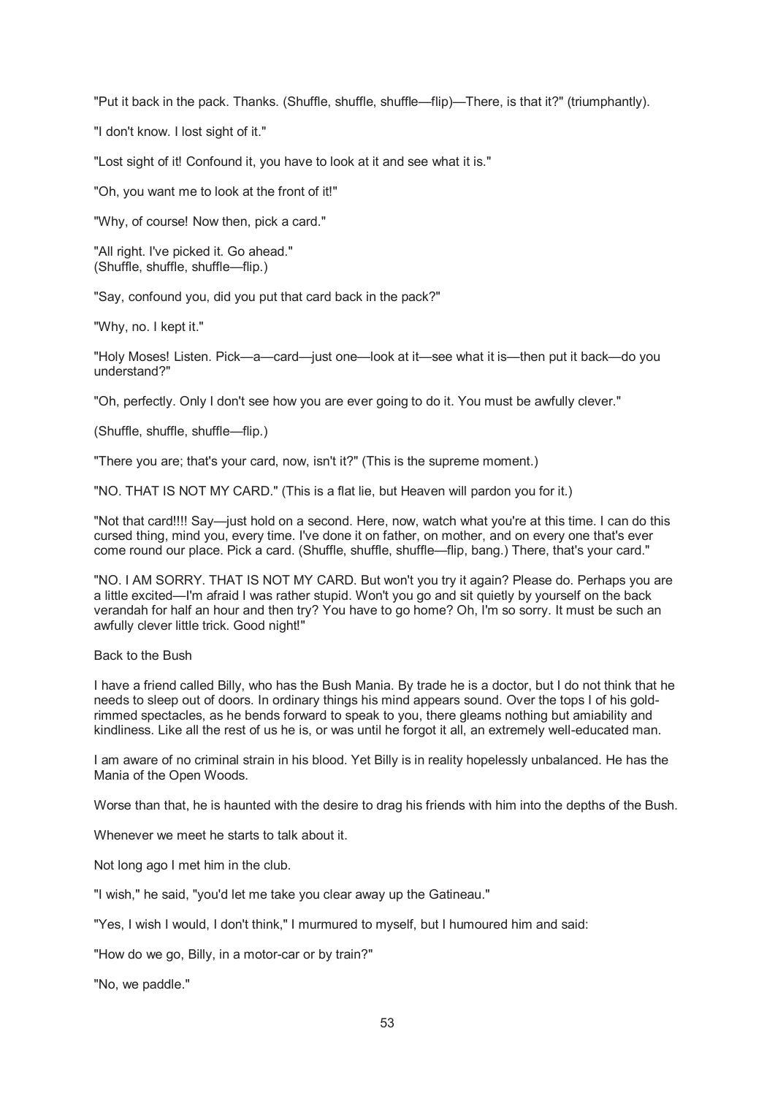"Put it back in the pack. Thanks. (Shuffle, shuffle, shuffle—flip)—There, is that it?" (triumphantly).

"I don't know. I lost sight of it."

"Lost sight of it! Confound it, you have to look at it and see what it is."

"Oh, you want me to look at the front of it!"

"Why, of course! Now then, pick a card."

"All right. I've picked it. Go ahead." (Shuffle, shuffle, shuffle—flip.)

"Say, confound you, did you put that card back in the pack?"

"Why, no. I kept it."

"Holy Moses! Listen. Pick—a—card—just one—look at it—see what it is—then put it back—do you understand?"

"Oh, perfectly. Only I don't see how you are ever going to do it. You must be awfully clever."

(Shuffle, shuffle, shuffle—flip.)

"There you are; that's your card, now, isn't it?" (This is the supreme moment.)

"NO. THAT IS NOT MY CARD." (This is a flat lie, but Heaven will pardon you for it.)

"Not that card!!!! Say—just hold on a second. Here, now, watch what you're at this time. I can do this cursed thing, mind you, every time. I've done it on father, on mother, and on every one that's ever come round our place. Pick a card. (Shuffle, shuffle, shuffle—flip, bang.) There, that's your card."

"NO. I AM SORRY. THAT IS NOT MY CARD. But won't you try it again? Please do. Perhaps you are a little excited—I'm afraid I was rather stupid. Won't you go and sit quietly by yourself on the back verandah for half an hour and then try? You have to go home? Oh, I'm so sorry. It must be such an awfully clever little trick. Good night!"

Back to the Bush

I have a friend called Billy, who has the Bush Mania. By trade he is a doctor, but I do not think that he needs to sleep out of doors. In ordinary things his mind appears sound. Over the tops I of his goldrimmed spectacles, as he bends forward to speak to you, there gleams nothing but amiability and kindliness. Like all the rest of us he is, or was until he forgot it all, an extremely well-educated man.

I am aware of no criminal strain in his blood. Yet Billy is in reality hopelessly unbalanced. He has the Mania of the Open Woods.

Worse than that, he is haunted with the desire to drag his friends with him into the depths of the Bush.

Whenever we meet he starts to talk about it.

Not long ago I met him in the club.

"I wish," he said, "you'd let me take you clear away up the Gatineau."

"Yes, I wish I would, I don't think," I murmured to myself, but I humoured him and said:

"How do we go, Billy, in a motor-car or by train?"

"No, we paddle."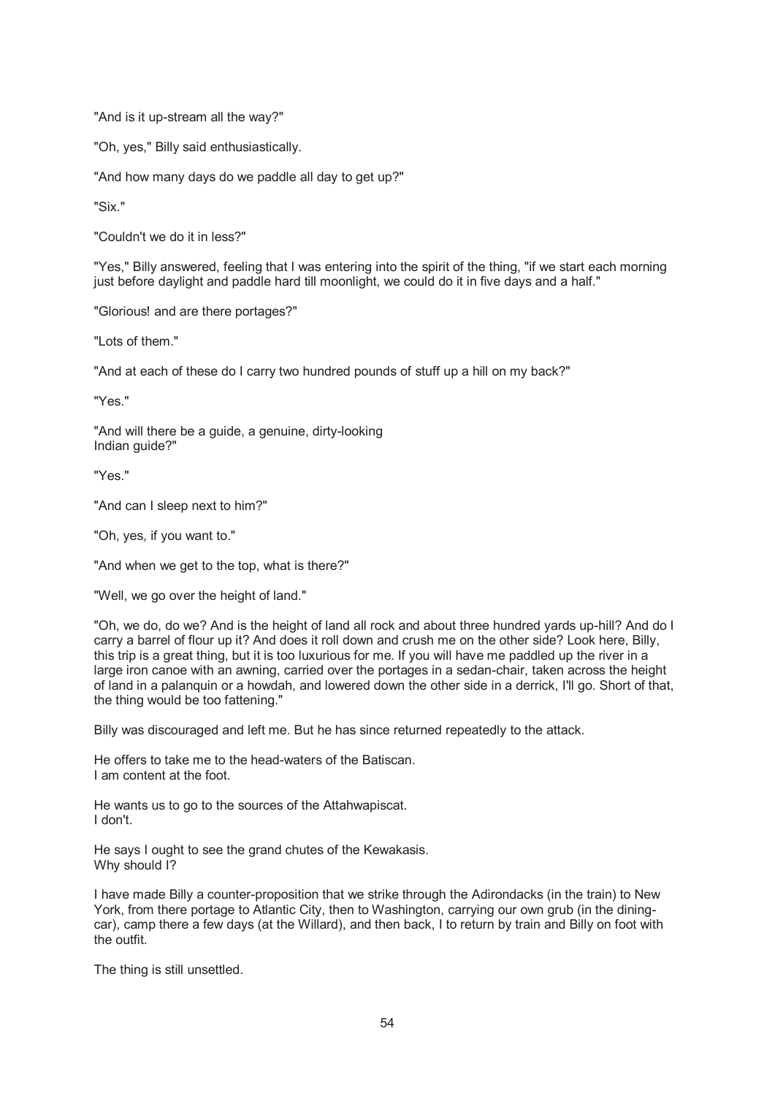"And is it up-stream all the way?"

"Oh, yes," Billy said enthusiastically.

"And how many days do we paddle all day to get up?"

"Six."

"Couldn't we do it in less?"

"Yes," Billy answered, feeling that I was entering into the spirit of the thing, "if we start each morning just before daylight and paddle hard till moonlight, we could do it in five days and a half."

"Glorious! and are there portages?"

"Lots of them."

"And at each of these do I carry two hundred pounds of stuff up a hill on my back?"

"Yes."

"And will there be a guide, a genuine, dirty-looking Indian guide?"

"Yes."

"And can I sleep next to him?"

"Oh, yes, if you want to."

"And when we get to the top, what is there?"

"Well, we go over the height of land."

"Oh, we do, do we? And is the height of land all rock and about three hundred yards up-hill? And do I carry a barrel of flour up it? And does it roll down and crush me on the other side? Look here, Billy, this trip is a great thing, but it is too luxurious for me. If you will have me paddled up the river in a large iron canoe with an awning, carried over the portages in a sedan-chair, taken across the height of land in a palanquin or a howdah, and lowered down the other side in a derrick, I'll go. Short of that, the thing would be too fattening."

Billy was discouraged and left me. But he has since returned repeatedly to the attack.

He offers to take me to the head-waters of the Batiscan. I am content at the foot.

He wants us to go to the sources of the Attahwapiscat. I don't.

He says I ought to see the grand chutes of the Kewakasis. Why should I?

I have made Billy a counter-proposition that we strike through the Adirondacks (in the train) to New York, from there portage to Atlantic City, then to Washington, carrying our own grub (in the diningcar), camp there a few days (at the Willard), and then back, I to return by train and Billy on foot with the outfit.

The thing is still unsettled.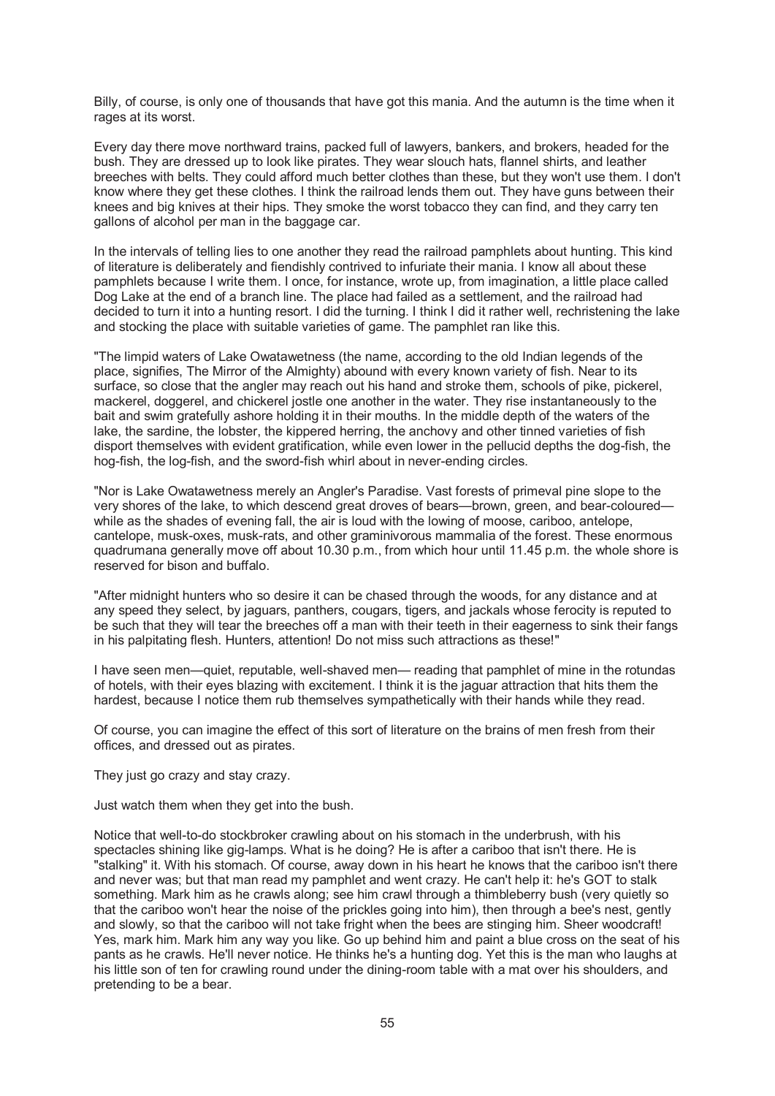Billy, of course, is only one of thousands that have got this mania. And the autumn is the time when it rages at its worst.

Every day there move northward trains, packed full of lawyers, bankers, and brokers, headed for the bush. They are dressed up to look like pirates. They wear slouch hats, flannel shirts, and leather breeches with belts. They could afford much better clothes than these, but they won't use them. I don't know where they get these clothes. I think the railroad lends them out. They have guns between their knees and big knives at their hips. They smoke the worst tobacco they can find, and they carry ten gallons of alcohol per man in the baggage car.

In the intervals of telling lies to one another they read the railroad pamphlets about hunting. This kind of literature is deliberately and fiendishly contrived to infuriate their mania. I know all about these pamphlets because I write them. I once, for instance, wrote up, from imagination, a little place called Dog Lake at the end of a branch line. The place had failed as a settlement, and the railroad had decided to turn it into a hunting resort. I did the turning. I think I did it rather well, rechristening the lake and stocking the place with suitable varieties of game. The pamphlet ran like this.

"The limpid waters of Lake Owatawetness (the name, according to the old Indian legends of the place, signifies, The Mirror of the Almighty) abound with every known variety of fish. Near to its surface, so close that the angler may reach out his hand and stroke them, schools of pike, pickerel, mackerel, doggerel, and chickerel jostle one another in the water. They rise instantaneously to the bait and swim gratefully ashore holding it in their mouths. In the middle depth of the waters of the lake, the sardine, the lobster, the kippered herring, the anchovy and other tinned varieties of fish disport themselves with evident gratification, while even lower in the pellucid depths the dog-fish, the hog-fish, the log-fish, and the sword-fish whirl about in never-ending circles.

"Nor is Lake Owatawetness merely an Angler's Paradise. Vast forests of primeval pine slope to the very shores of the lake, to which descend great droves of bears—brown, green, and bear-coloured while as the shades of evening fall, the air is loud with the lowing of moose, cariboo, antelope, cantelope, musk-oxes, musk-rats, and other graminivorous mammalia of the forest. These enormous quadrumana generally move off about 10.30 p.m., from which hour until 11.45 p.m. the whole shore is reserved for bison and buffalo.

"After midnight hunters who so desire it can be chased through the woods, for any distance and at any speed they select, by jaguars, panthers, cougars, tigers, and jackals whose ferocity is reputed to be such that they will tear the breeches off a man with their teeth in their eagerness to sink their fangs in his palpitating flesh. Hunters, attention! Do not miss such attractions as these!"

I have seen men—quiet, reputable, well-shaved men— reading that pamphlet of mine in the rotundas of hotels, with their eyes blazing with excitement. I think it is the jaguar attraction that hits them the hardest, because I notice them rub themselves sympathetically with their hands while they read.

Of course, you can imagine the effect of this sort of literature on the brains of men fresh from their offices, and dressed out as pirates.

They just go crazy and stay crazy.

Just watch them when they get into the bush.

Notice that well-to-do stockbroker crawling about on his stomach in the underbrush, with his spectacles shining like gig-lamps. What is he doing? He is after a cariboo that isn't there. He is "stalking" it. With his stomach. Of course, away down in his heart he knows that the cariboo isn't there and never was; but that man read my pamphlet and went crazy. He can't help it: he's GOT to stalk something. Mark him as he crawls along; see him crawl through a thimbleberry bush (very quietly so that the cariboo won't hear the noise of the prickles going into him), then through a bee's nest, gently and slowly, so that the cariboo will not take fright when the bees are stinging him. Sheer woodcraft! Yes, mark him. Mark him any way you like. Go up behind him and paint a blue cross on the seat of his pants as he crawls. He'll never notice. He thinks he's a hunting dog. Yet this is the man who laughs at his little son of ten for crawling round under the dining-room table with a mat over his shoulders, and pretending to be a bear.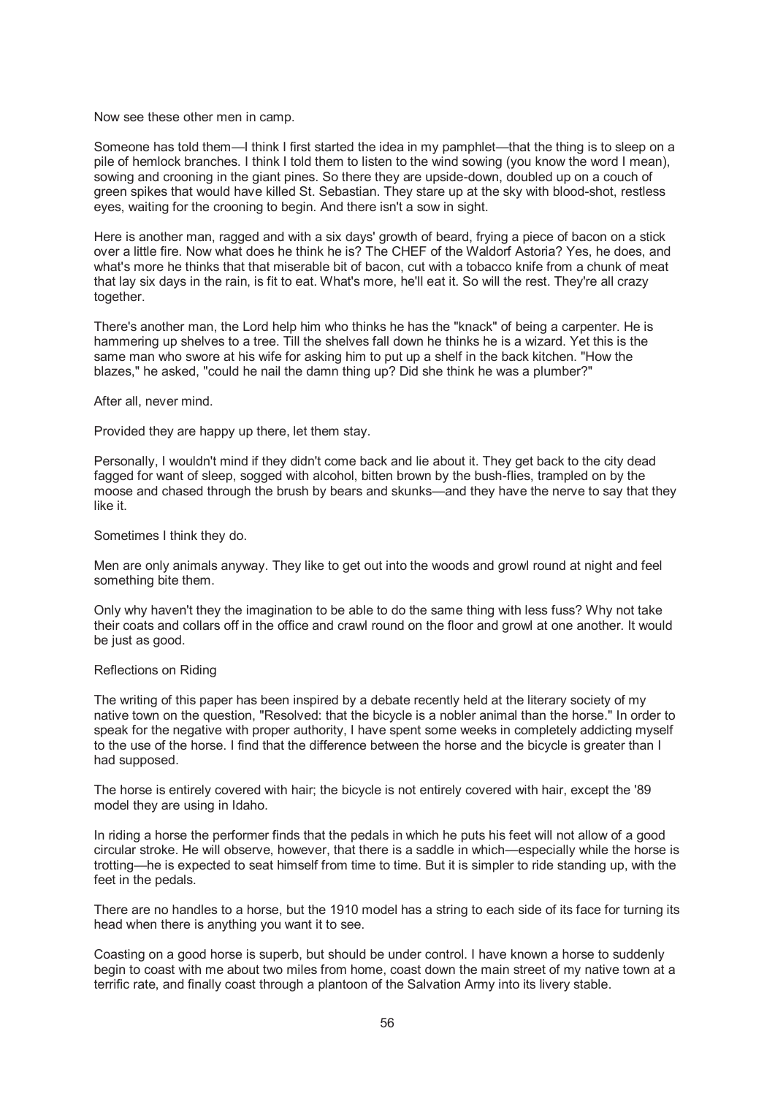#### Now see these other men in camp.

Someone has told them—I think I first started the idea in my pamphlet—that the thing is to sleep on a pile of hemlock branches. I think I told them to listen to the wind sowing (you know the word I mean), sowing and crooning in the giant pines. So there they are upside-down, doubled up on a couch of green spikes that would have killed St. Sebastian. They stare up at the sky with blood-shot, restless eyes, waiting for the crooning to begin. And there isn't a sow in sight.

Here is another man, ragged and with a six days' growth of beard, frying a piece of bacon on a stick over a little fire. Now what does he think he is? The CHEF of the Waldorf Astoria? Yes, he does, and what's more he thinks that that miserable bit of bacon, cut with a tobacco knife from a chunk of meat that lay six days in the rain, is fit to eat. What's more, he'll eat it. So will the rest. They're all crazy together.

There's another man, the Lord help him who thinks he has the "knack" of being a carpenter. He is hammering up shelves to a tree. Till the shelves fall down he thinks he is a wizard. Yet this is the same man who swore at his wife for asking him to put up a shelf in the back kitchen. "How the blazes," he asked, "could he nail the damn thing up? Did she think he was a plumber?"

After all, never mind.

Provided they are happy up there, let them stay.

Personally, I wouldn't mind if they didn't come back and lie about it. They get back to the city dead fagged for want of sleep, sogged with alcohol, bitten brown by the bush-flies, trampled on by the moose and chased through the brush by bears and skunks—and they have the nerve to say that they like it.

Sometimes I think they do.

Men are only animals anyway. They like to get out into the woods and growl round at night and feel something bite them.

Only why haven't they the imagination to be able to do the same thing with less fuss? Why not take their coats and collars off in the office and crawl round on the floor and growl at one another. It would be just as good.

#### Reflections on Riding

The writing of this paper has been inspired by a debate recently held at the literary society of my native town on the question, "Resolved: that the bicycle is a nobler animal than the horse." In order to speak for the negative with proper authority, I have spent some weeks in completely addicting myself to the use of the horse. I find that the difference between the horse and the bicycle is greater than I had supposed.

The horse is entirely covered with hair; the bicycle is not entirely covered with hair, except the '89 model they are using in Idaho.

In riding a horse the performer finds that the pedals in which he puts his feet will not allow of a good circular stroke. He will observe, however, that there is a saddle in which—especially while the horse is trotting—he is expected to seat himself from time to time. But it is simpler to ride standing up, with the feet in the pedals.

There are no handles to a horse, but the 1910 model has a string to each side of its face for turning its head when there is anything you want it to see.

Coasting on a good horse is superb, but should be under control. I have known a horse to suddenly begin to coast with me about two miles from home, coast down the main street of my native town at a terrific rate, and finally coast through a plantoon of the Salvation Army into its livery stable.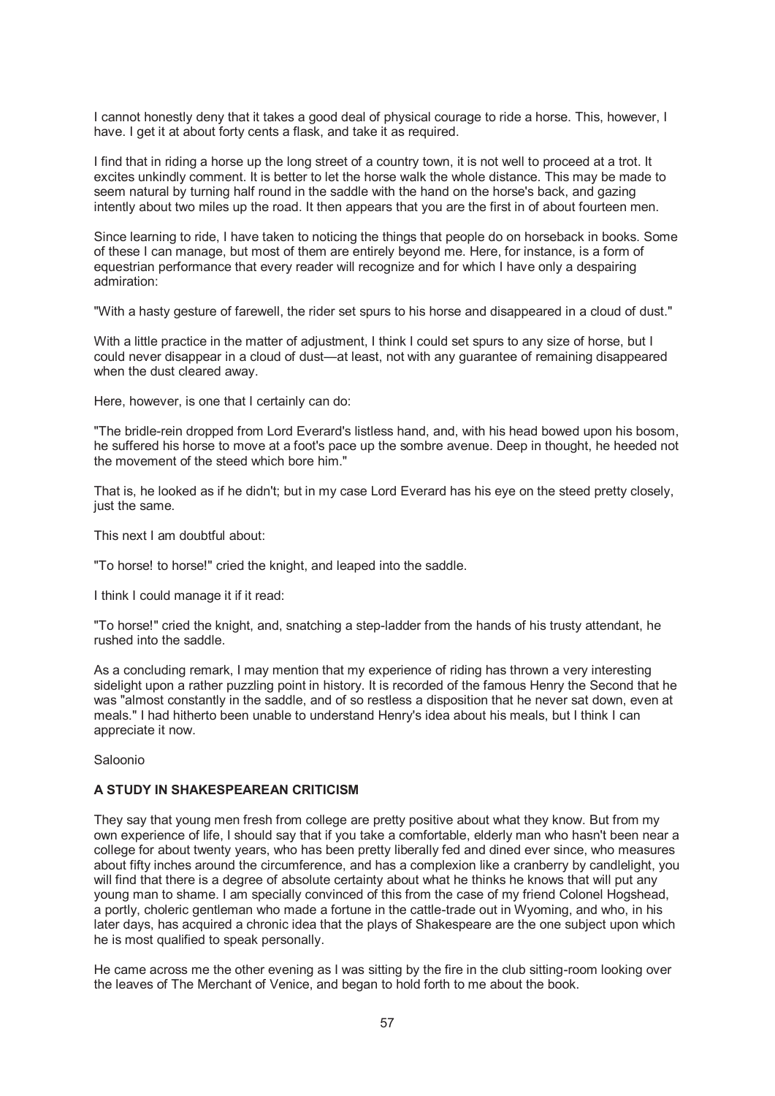I cannot honestly deny that it takes a good deal of physical courage to ride a horse. This, however, I have. I get it at about forty cents a flask, and take it as required.

I find that in riding a horse up the long street of a country town, it is not well to proceed at a trot. It excites unkindly comment. It is better to let the horse walk the whole distance. This may be made to seem natural by turning half round in the saddle with the hand on the horse's back, and gazing intently about two miles up the road. It then appears that you are the first in of about fourteen men.

Since learning to ride, I have taken to noticing the things that people do on horseback in books. Some of these I can manage, but most of them are entirely beyond me. Here, for instance, is a form of equestrian performance that every reader will recognize and for which I have only a despairing admiration:

"With a hasty gesture of farewell, the rider set spurs to his horse and disappeared in a cloud of dust."

With a little practice in the matter of adjustment, I think I could set spurs to any size of horse, but I could never disappear in a cloud of dust—at least, not with any guarantee of remaining disappeared when the dust cleared away.

Here, however, is one that I certainly can do:

"The bridle-rein dropped from Lord Everard's listless hand, and, with his head bowed upon his bosom, he suffered his horse to move at a foot's pace up the sombre avenue. Deep in thought, he heeded not the movement of the steed which bore him."

That is, he looked as if he didn't; but in my case Lord Everard has his eye on the steed pretty closely, just the same.

This next I am doubtful about:

"To horse! to horse!" cried the knight, and leaped into the saddle.

I think I could manage it if it read:

"To horse!" cried the knight, and, snatching a step-ladder from the hands of his trusty attendant, he rushed into the saddle.

As a concluding remark, I may mention that my experience of riding has thrown a very interesting sidelight upon a rather puzzling point in history. It is recorded of the famous Henry the Second that he was "almost constantly in the saddle, and of so restless a disposition that he never sat down, even at meals." I had hitherto been unable to understand Henry's idea about his meals, but I think I can appreciate it now.

Saloonio

### **A STUDY IN SHAKESPEAREAN CRITICISM**

They say that young men fresh from college are pretty positive about what they know. But from my own experience of life, I should say that if you take a comfortable, elderly man who hasn't been near a college for about twenty years, who has been pretty liberally fed and dined ever since, who measures about fifty inches around the circumference, and has a complexion like a cranberry by candlelight, you will find that there is a degree of absolute certainty about what he thinks he knows that will put any young man to shame. I am specially convinced of this from the case of my friend Colonel Hogshead, a portly, choleric gentleman who made a fortune in the cattle-trade out in Wyoming, and who, in his later days, has acquired a chronic idea that the plays of Shakespeare are the one subject upon which he is most qualified to speak personally.

He came across me the other evening as I was sitting by the fire in the club sitting-room looking over the leaves of The Merchant of Venice, and began to hold forth to me about the book.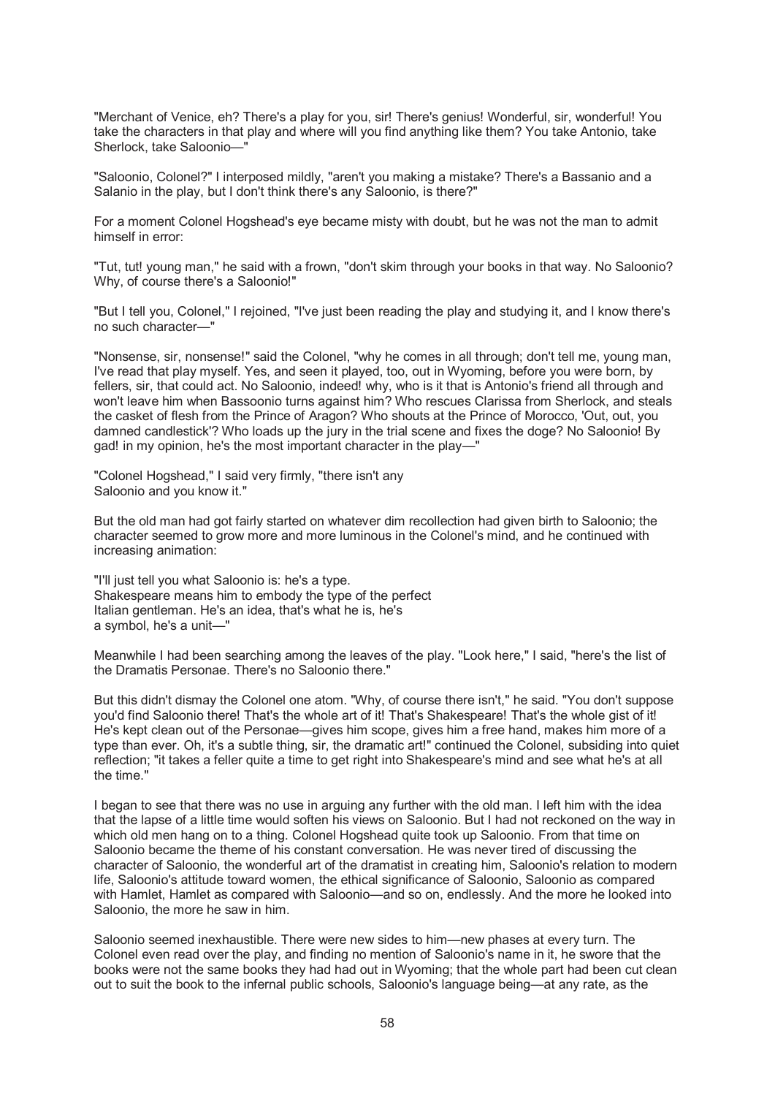"Merchant of Venice, eh? There's a play for you, sir! There's genius! Wonderful, sir, wonderful! You take the characters in that play and where will you find anything like them? You take Antonio, take Sherlock, take Saloonio—"

"Saloonio, Colonel?" I interposed mildly, "aren't you making a mistake? There's a Bassanio and a Salanio in the play, but I don't think there's any Saloonio, is there?"

For a moment Colonel Hogshead's eye became misty with doubt, but he was not the man to admit himself in error:

"Tut, tut! young man," he said with a frown, "don't skim through your books in that way. No Saloonio? Why, of course there's a Saloonio!"

"But I tell you, Colonel," I rejoined, "I've just been reading the play and studying it, and I know there's no such character—"

"Nonsense, sir, nonsense!" said the Colonel, "why he comes in all through; don't tell me, young man, I've read that play myself. Yes, and seen it played, too, out in Wyoming, before you were born, by fellers, sir, that could act. No Saloonio, indeed! why, who is it that is Antonio's friend all through and won't leave him when Bassoonio turns against him? Who rescues Clarissa from Sherlock, and steals the casket of flesh from the Prince of Aragon? Who shouts at the Prince of Morocco, 'Out, out, you damned candlestick'? Who loads up the jury in the trial scene and fixes the doge? No Saloonio! By gad! in my opinion, he's the most important character in the play—"

"Colonel Hogshead," I said very firmly, "there isn't any Saloonio and you know it."

But the old man had got fairly started on whatever dim recollection had given birth to Saloonio; the character seemed to grow more and more luminous in the Colonel's mind, and he continued with increasing animation:

"I'll just tell you what Saloonio is: he's a type. Shakespeare means him to embody the type of the perfect Italian gentleman. He's an idea, that's what he is, he's a symbol, he's a unit—"

Meanwhile I had been searching among the leaves of the play. "Look here," I said, "here's the list of the Dramatis Personae. There's no Saloonio there."

But this didn't dismay the Colonel one atom. "Why, of course there isn't," he said. "You don't suppose you'd find Saloonio there! That's the whole art of it! That's Shakespeare! That's the whole gist of it! He's kept clean out of the Personae—gives him scope, gives him a free hand, makes him more of a type than ever. Oh, it's a subtle thing, sir, the dramatic art!" continued the Colonel, subsiding into quiet reflection; "it takes a feller quite a time to get right into Shakespeare's mind and see what he's at all the time."

I began to see that there was no use in arguing any further with the old man. I left him with the idea that the lapse of a little time would soften his views on Saloonio. But I had not reckoned on the way in which old men hang on to a thing. Colonel Hogshead quite took up Saloonio. From that time on Saloonio became the theme of his constant conversation. He was never tired of discussing the character of Saloonio, the wonderful art of the dramatist in creating him, Saloonio's relation to modern life, Saloonio's attitude toward women, the ethical significance of Saloonio, Saloonio as compared with Hamlet, Hamlet as compared with Saloonio—and so on, endlessly. And the more he looked into Saloonio, the more he saw in him.

Saloonio seemed inexhaustible. There were new sides to him—new phases at every turn. The Colonel even read over the play, and finding no mention of Saloonio's name in it, he swore that the books were not the same books they had had out in Wyoming; that the whole part had been cut clean out to suit the book to the infernal public schools, Saloonio's language being—at any rate, as the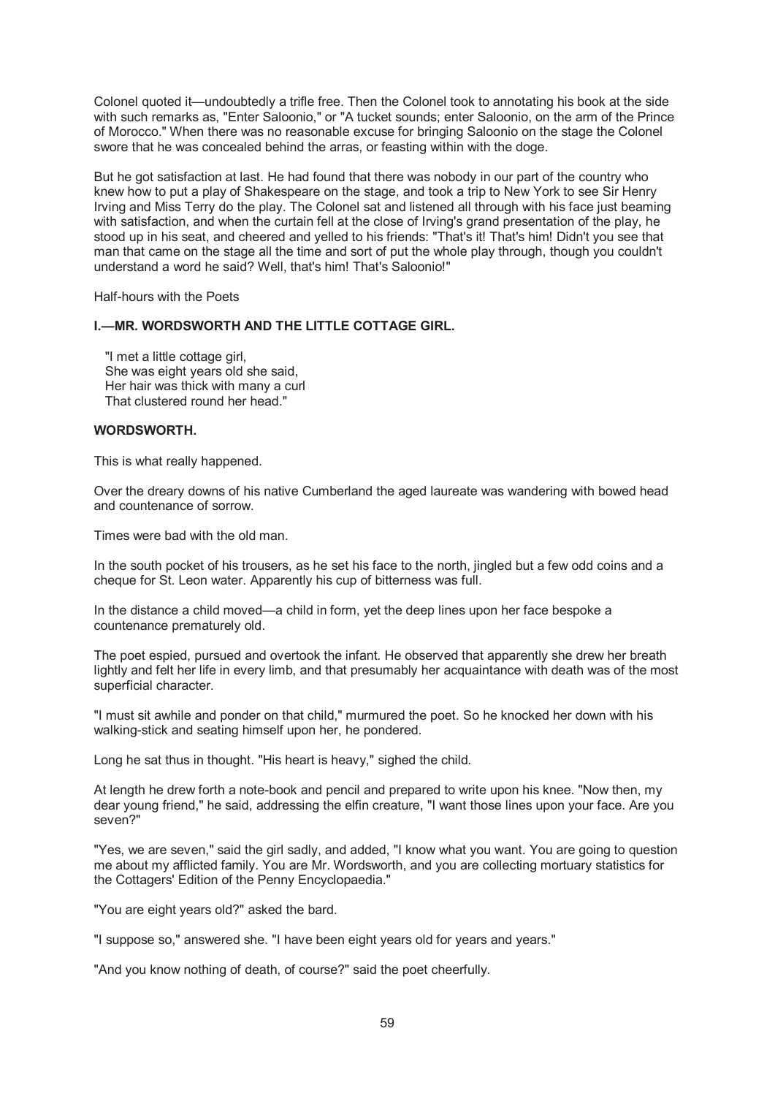Colonel quoted it—undoubtedly a trifle free. Then the Colonel took to annotating his book at the side with such remarks as, "Enter Saloonio," or "A tucket sounds; enter Saloonio, on the arm of the Prince of Morocco." When there was no reasonable excuse for bringing Saloonio on the stage the Colonel swore that he was concealed behind the arras, or feasting within with the doge.

But he got satisfaction at last. He had found that there was nobody in our part of the country who knew how to put a play of Shakespeare on the stage, and took a trip to New York to see Sir Henry Irving and Miss Terry do the play. The Colonel sat and listened all through with his face just beaming with satisfaction, and when the curtain fell at the close of Irving's grand presentation of the play, he stood up in his seat, and cheered and yelled to his friends: "That's it! That's him! Didn't you see that man that came on the stage all the time and sort of put the whole play through, though you couldn't understand a word he said? Well, that's him! That's Saloonio!"

Half-hours with the Poets

## **I.—MR. WORDSWORTH AND THE LITTLE COTTAGE GIRL.**

 "I met a little cottage girl, She was eight years old she said, Her hair was thick with many a curl That clustered round her head."

#### **WORDSWORTH.**

This is what really happened.

Over the dreary downs of his native Cumberland the aged laureate was wandering with bowed head and countenance of sorrow.

Times were bad with the old man.

In the south pocket of his trousers, as he set his face to the north, jingled but a few odd coins and a cheque for St. Leon water. Apparently his cup of bitterness was full.

In the distance a child moved—a child in form, yet the deep lines upon her face bespoke a countenance prematurely old.

The poet espied, pursued and overtook the infant. He observed that apparently she drew her breath lightly and felt her life in every limb, and that presumably her acquaintance with death was of the most superficial character.

"I must sit awhile and ponder on that child," murmured the poet. So he knocked her down with his walking-stick and seating himself upon her, he pondered.

Long he sat thus in thought. "His heart is heavy," sighed the child.

At length he drew forth a note-book and pencil and prepared to write upon his knee. "Now then, my dear young friend," he said, addressing the elfin creature, "I want those lines upon your face. Are you seven?"

"Yes, we are seven," said the girl sadly, and added, "I know what you want. You are going to question me about my afflicted family. You are Mr. Wordsworth, and you are collecting mortuary statistics for the Cottagers' Edition of the Penny Encyclopaedia."

"You are eight years old?" asked the bard.

"I suppose so," answered she. "I have been eight years old for years and years."

"And you know nothing of death, of course?" said the poet cheerfully.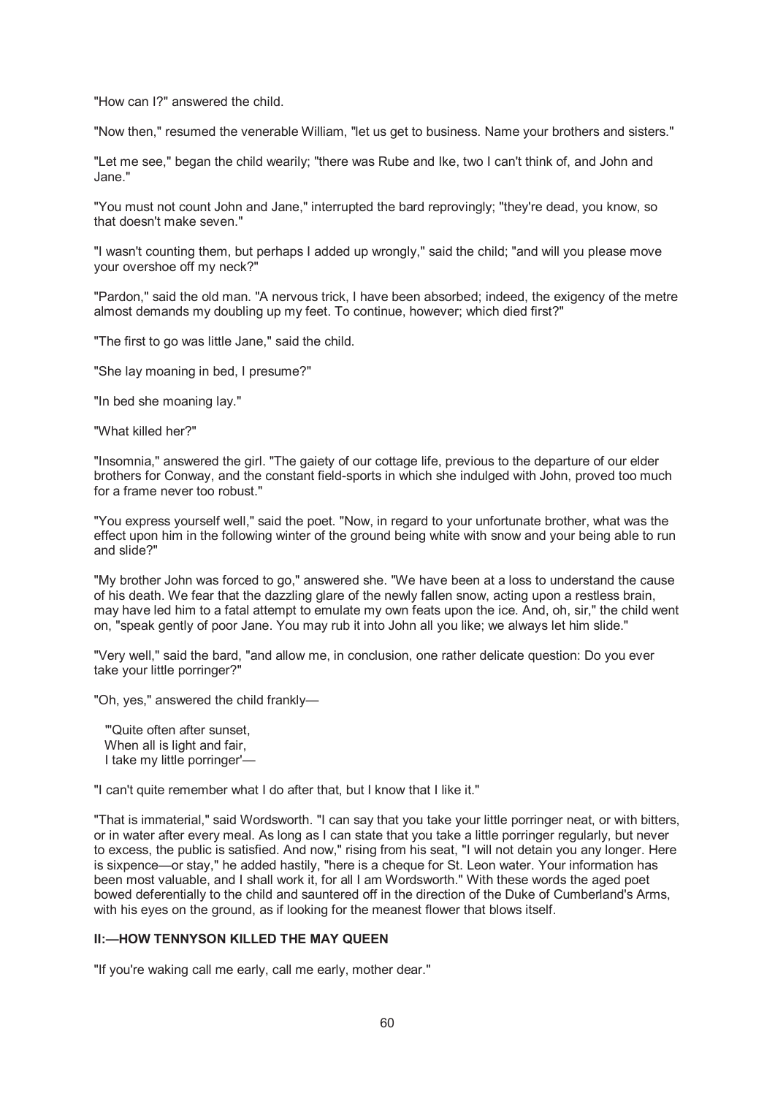"How can I?" answered the child.

"Now then," resumed the venerable William, "let us get to business. Name your brothers and sisters."

"Let me see," began the child wearily; "there was Rube and Ike, two I can't think of, and John and Jane."

"You must not count John and Jane," interrupted the bard reprovingly; "they're dead, you know, so that doesn't make seven."

"I wasn't counting them, but perhaps I added up wrongly," said the child; "and will you please move your overshoe off my neck?"

"Pardon," said the old man. "A nervous trick, I have been absorbed; indeed, the exigency of the metre almost demands my doubling up my feet. To continue, however; which died first?"

"The first to go was little Jane," said the child.

"She lay moaning in bed, I presume?"

"In bed she moaning lay."

"What killed her?"

"Insomnia," answered the girl. "The gaiety of our cottage life, previous to the departure of our elder brothers for Conway, and the constant field-sports in which she indulged with John, proved too much for a frame never too robust."

"You express yourself well," said the poet. "Now, in regard to your unfortunate brother, what was the effect upon him in the following winter of the ground being white with snow and your being able to run and slide?"

"My brother John was forced to go," answered she. "We have been at a loss to understand the cause of his death. We fear that the dazzling glare of the newly fallen snow, acting upon a restless brain, may have led him to a fatal attempt to emulate my own feats upon the ice. And, oh, sir," the child went on, "speak gently of poor Jane. You may rub it into John all you like; we always let him slide."

"Very well," said the bard, "and allow me, in conclusion, one rather delicate question: Do you ever take your little porringer?"

"Oh, yes," answered the child frankly—

 "'Quite often after sunset, When all is light and fair, I take my little porringer'—

"I can't quite remember what I do after that, but I know that I like it."

"That is immaterial," said Wordsworth. "I can say that you take your little porringer neat, or with bitters, or in water after every meal. As long as I can state that you take a little porringer regularly, but never to excess, the public is satisfied. And now," rising from his seat, "I will not detain you any longer. Here is sixpence—or stay," he added hastily, "here is a cheque for St. Leon water. Your information has been most valuable, and I shall work it, for all I am Wordsworth." With these words the aged poet bowed deferentially to the child and sauntered off in the direction of the Duke of Cumberland's Arms, with his eyes on the ground, as if looking for the meanest flower that blows itself.

# **II:—HOW TENNYSON KILLED THE MAY QUEEN**

"If you're waking call me early, call me early, mother dear."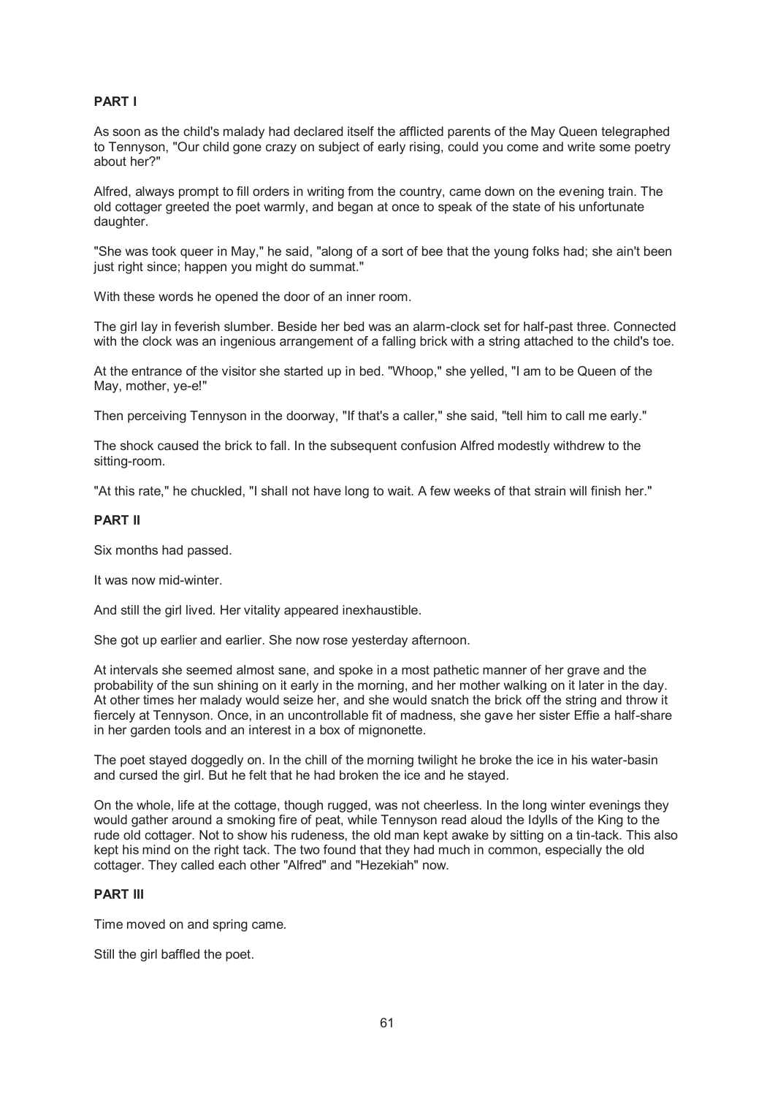# **PART I**

As soon as the child's malady had declared itself the afflicted parents of the May Queen telegraphed to Tennyson, "Our child gone crazy on subject of early rising, could you come and write some poetry about her?"

Alfred, always prompt to fill orders in writing from the country, came down on the evening train. The old cottager greeted the poet warmly, and began at once to speak of the state of his unfortunate daughter.

"She was took queer in May," he said, "along of a sort of bee that the young folks had; she ain't been just right since; happen you might do summat."

With these words he opened the door of an inner room.

The girl lay in feverish slumber. Beside her bed was an alarm-clock set for half-past three. Connected with the clock was an ingenious arrangement of a falling brick with a string attached to the child's toe.

At the entrance of the visitor she started up in bed. "Whoop," she yelled, "I am to be Queen of the May, mother, ye-e!"

Then perceiving Tennyson in the doorway, "If that's a caller," she said, "tell him to call me early."

The shock caused the brick to fall. In the subsequent confusion Alfred modestly withdrew to the sitting-room.

"At this rate," he chuckled, "I shall not have long to wait. A few weeks of that strain will finish her."

## **PART II**

Six months had passed.

It was now mid-winter.

And still the girl lived. Her vitality appeared inexhaustible.

She got up earlier and earlier. She now rose yesterday afternoon.

At intervals she seemed almost sane, and spoke in a most pathetic manner of her grave and the probability of the sun shining on it early in the morning, and her mother walking on it later in the day. At other times her malady would seize her, and she would snatch the brick off the string and throw it fiercely at Tennyson. Once, in an uncontrollable fit of madness, she gave her sister Effie a half-share in her garden tools and an interest in a box of mignonette.

The poet stayed doggedly on. In the chill of the morning twilight he broke the ice in his water-basin and cursed the girl. But he felt that he had broken the ice and he stayed.

On the whole, life at the cottage, though rugged, was not cheerless. In the long winter evenings they would gather around a smoking fire of peat, while Tennyson read aloud the Idylls of the King to the rude old cottager. Not to show his rudeness, the old man kept awake by sitting on a tin-tack. This also kept his mind on the right tack. The two found that they had much in common, especially the old cottager. They called each other "Alfred" and "Hezekiah" now.

## **PART III**

Time moved on and spring came.

Still the girl baffled the poet.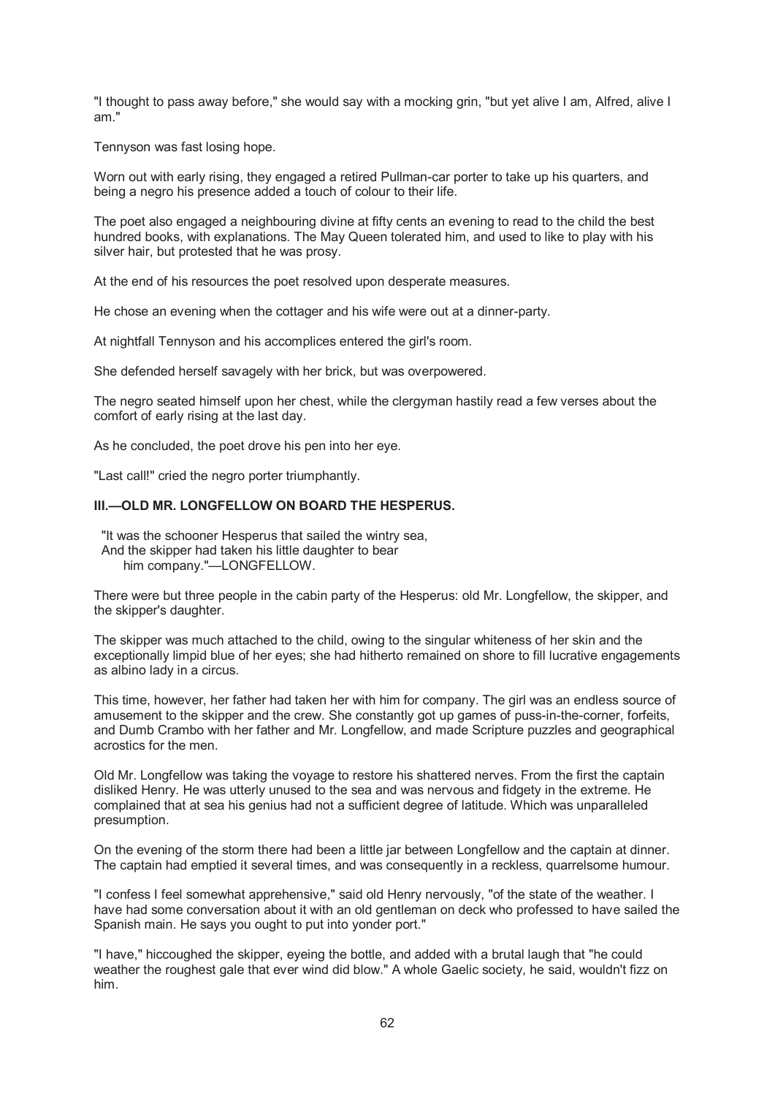"I thought to pass away before," she would say with a mocking grin, "but yet alive I am, Alfred, alive I am."

Tennyson was fast losing hope.

Worn out with early rising, they engaged a retired Pullman-car porter to take up his quarters, and being a negro his presence added a touch of colour to their life.

The poet also engaged a neighbouring divine at fifty cents an evening to read to the child the best hundred books, with explanations. The May Queen tolerated him, and used to like to play with his silver hair, but protested that he was prosy.

At the end of his resources the poet resolved upon desperate measures.

He chose an evening when the cottager and his wife were out at a dinner-party.

At nightfall Tennyson and his accomplices entered the girl's room.

She defended herself savagely with her brick, but was overpowered.

The negro seated himself upon her chest, while the clergyman hastily read a few verses about the comfort of early rising at the last day.

As he concluded, the poet drove his pen into her eye.

"Last call!" cried the negro porter triumphantly.

# **III.—OLD MR. LONGFELLOW ON BOARD THE HESPERUS.**

 "It was the schooner Hesperus that sailed the wintry sea, And the skipper had taken his little daughter to bear him company."—LONGFELLOW.

There were but three people in the cabin party of the Hesperus: old Mr. Longfellow, the skipper, and the skipper's daughter.

The skipper was much attached to the child, owing to the singular whiteness of her skin and the exceptionally limpid blue of her eyes; she had hitherto remained on shore to fill lucrative engagements as albino lady in a circus.

This time, however, her father had taken her with him for company. The girl was an endless source of amusement to the skipper and the crew. She constantly got up games of puss-in-the-corner, forfeits, and Dumb Crambo with her father and Mr. Longfellow, and made Scripture puzzles and geographical acrostics for the men.

Old Mr. Longfellow was taking the voyage to restore his shattered nerves. From the first the captain disliked Henry. He was utterly unused to the sea and was nervous and fidgety in the extreme. He complained that at sea his genius had not a sufficient degree of latitude. Which was unparalleled presumption.

On the evening of the storm there had been a little jar between Longfellow and the captain at dinner. The captain had emptied it several times, and was consequently in a reckless, quarrelsome humour.

"I confess I feel somewhat apprehensive," said old Henry nervously, "of the state of the weather. I have had some conversation about it with an old gentleman on deck who professed to have sailed the Spanish main. He says you ought to put into yonder port."

"I have," hiccoughed the skipper, eyeing the bottle, and added with a brutal laugh that "he could weather the roughest gale that ever wind did blow." A whole Gaelic society, he said, wouldn't fizz on him.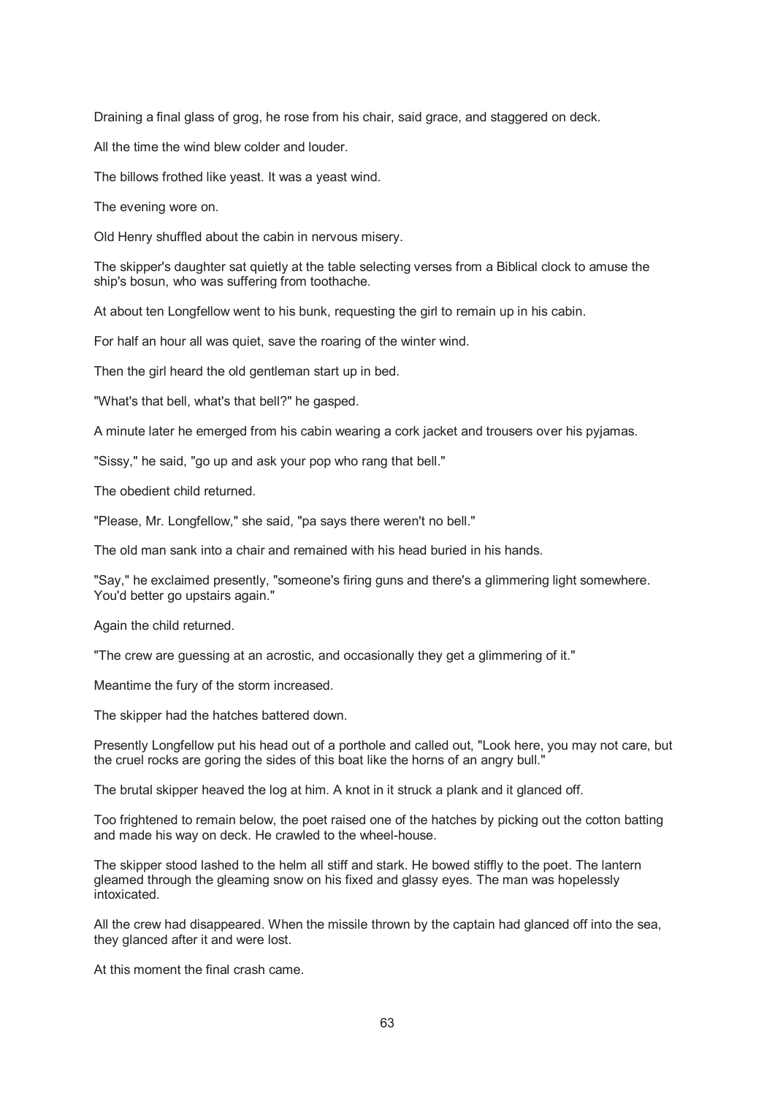Draining a final glass of grog, he rose from his chair, said grace, and staggered on deck.

All the time the wind blew colder and louder.

The billows frothed like yeast. It was a yeast wind.

The evening wore on.

Old Henry shuffled about the cabin in nervous misery.

The skipper's daughter sat quietly at the table selecting verses from a Biblical clock to amuse the ship's bosun, who was suffering from toothache.

At about ten Longfellow went to his bunk, requesting the girl to remain up in his cabin.

For half an hour all was quiet, save the roaring of the winter wind.

Then the girl heard the old gentleman start up in bed.

"What's that bell, what's that bell?" he gasped.

A minute later he emerged from his cabin wearing a cork jacket and trousers over his pyjamas.

"Sissy," he said, "go up and ask your pop who rang that bell."

The obedient child returned.

"Please, Mr. Longfellow," she said, "pa says there weren't no bell."

The old man sank into a chair and remained with his head buried in his hands.

"Say," he exclaimed presently, "someone's firing guns and there's a glimmering light somewhere. You'd better go upstairs again."

Again the child returned.

"The crew are guessing at an acrostic, and occasionally they get a glimmering of it."

Meantime the fury of the storm increased.

The skipper had the hatches battered down.

Presently Longfellow put his head out of a porthole and called out, "Look here, you may not care, but the cruel rocks are goring the sides of this boat like the horns of an angry bull."

The brutal skipper heaved the log at him. A knot in it struck a plank and it glanced off.

Too frightened to remain below, the poet raised one of the hatches by picking out the cotton batting and made his way on deck. He crawled to the wheel-house.

The skipper stood lashed to the helm all stiff and stark. He bowed stiffly to the poet. The lantern gleamed through the gleaming snow on his fixed and glassy eyes. The man was hopelessly intoxicated.

All the crew had disappeared. When the missile thrown by the captain had glanced off into the sea, they glanced after it and were lost.

At this moment the final crash came.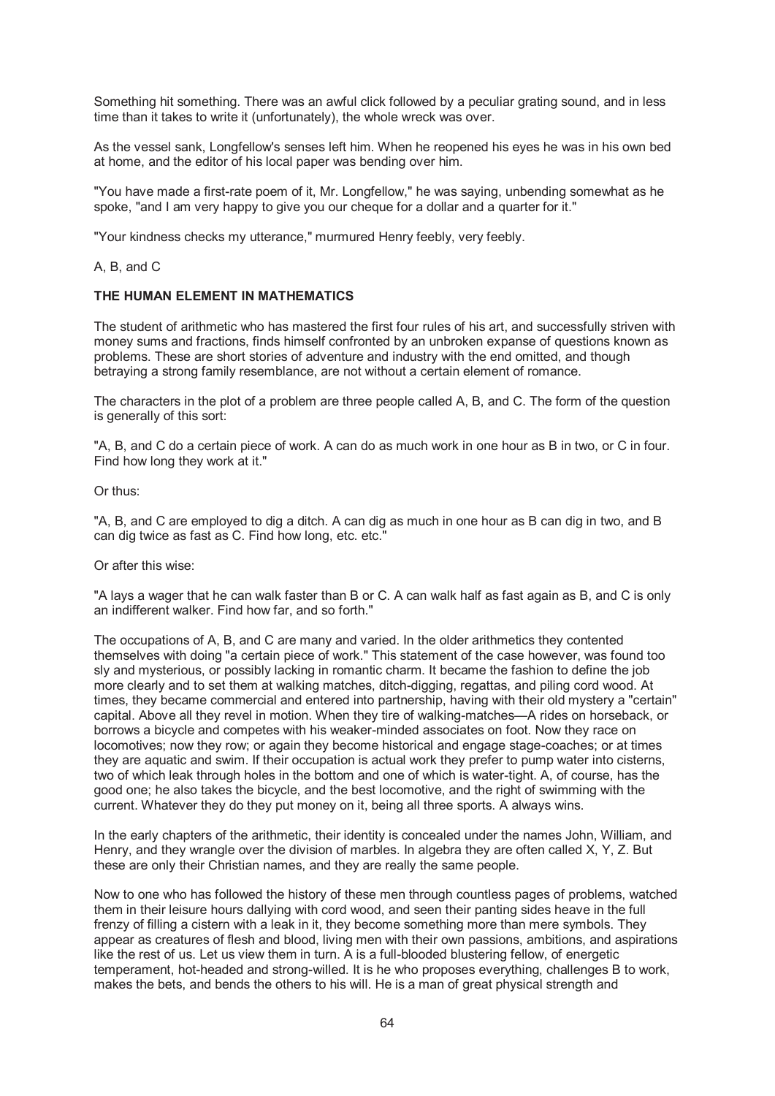Something hit something. There was an awful click followed by a peculiar grating sound, and in less time than it takes to write it (unfortunately), the whole wreck was over.

As the vessel sank, Longfellow's senses left him. When he reopened his eyes he was in his own bed at home, and the editor of his local paper was bending over him.

"You have made a first-rate poem of it, Mr. Longfellow," he was saying, unbending somewhat as he spoke, "and I am very happy to give you our cheque for a dollar and a quarter for it."

"Your kindness checks my utterance," murmured Henry feebly, very feebly.

## A, B, and C

## **THE HUMAN ELEMENT IN MATHEMATICS**

The student of arithmetic who has mastered the first four rules of his art, and successfully striven with money sums and fractions, finds himself confronted by an unbroken expanse of questions known as problems. These are short stories of adventure and industry with the end omitted, and though betraying a strong family resemblance, are not without a certain element of romance.

The characters in the plot of a problem are three people called A, B, and C. The form of the question is generally of this sort:

"A, B, and C do a certain piece of work. A can do as much work in one hour as B in two, or C in four. Find how long they work at it."

Or thus:

"A, B, and C are employed to dig a ditch. A can dig as much in one hour as B can dig in two, and B can dig twice as fast as C. Find how long, etc. etc."

Or after this wise:

"A lays a wager that he can walk faster than B or C. A can walk half as fast again as B, and C is only an indifferent walker. Find how far, and so forth."

The occupations of A, B, and C are many and varied. In the older arithmetics they contented themselves with doing "a certain piece of work." This statement of the case however, was found too sly and mysterious, or possibly lacking in romantic charm. It became the fashion to define the job more clearly and to set them at walking matches, ditch-digging, regattas, and piling cord wood. At times, they became commercial and entered into partnership, having with their old mystery a "certain" capital. Above all they revel in motion. When they tire of walking-matches—A rides on horseback, or borrows a bicycle and competes with his weaker-minded associates on foot. Now they race on locomotives; now they row; or again they become historical and engage stage-coaches; or at times they are aquatic and swim. If their occupation is actual work they prefer to pump water into cisterns, two of which leak through holes in the bottom and one of which is water-tight. A, of course, has the good one; he also takes the bicycle, and the best locomotive, and the right of swimming with the current. Whatever they do they put money on it, being all three sports. A always wins.

In the early chapters of the arithmetic, their identity is concealed under the names John, William, and Henry, and they wrangle over the division of marbles. In algebra they are often called X, Y, Z. But these are only their Christian names, and they are really the same people.

Now to one who has followed the history of these men through countless pages of problems, watched them in their leisure hours dallying with cord wood, and seen their panting sides heave in the full frenzy of filling a cistern with a leak in it, they become something more than mere symbols. They appear as creatures of flesh and blood, living men with their own passions, ambitions, and aspirations like the rest of us. Let us view them in turn. A is a full-blooded blustering fellow, of energetic temperament, hot-headed and strong-willed. It is he who proposes everything, challenges B to work, makes the bets, and bends the others to his will. He is a man of great physical strength and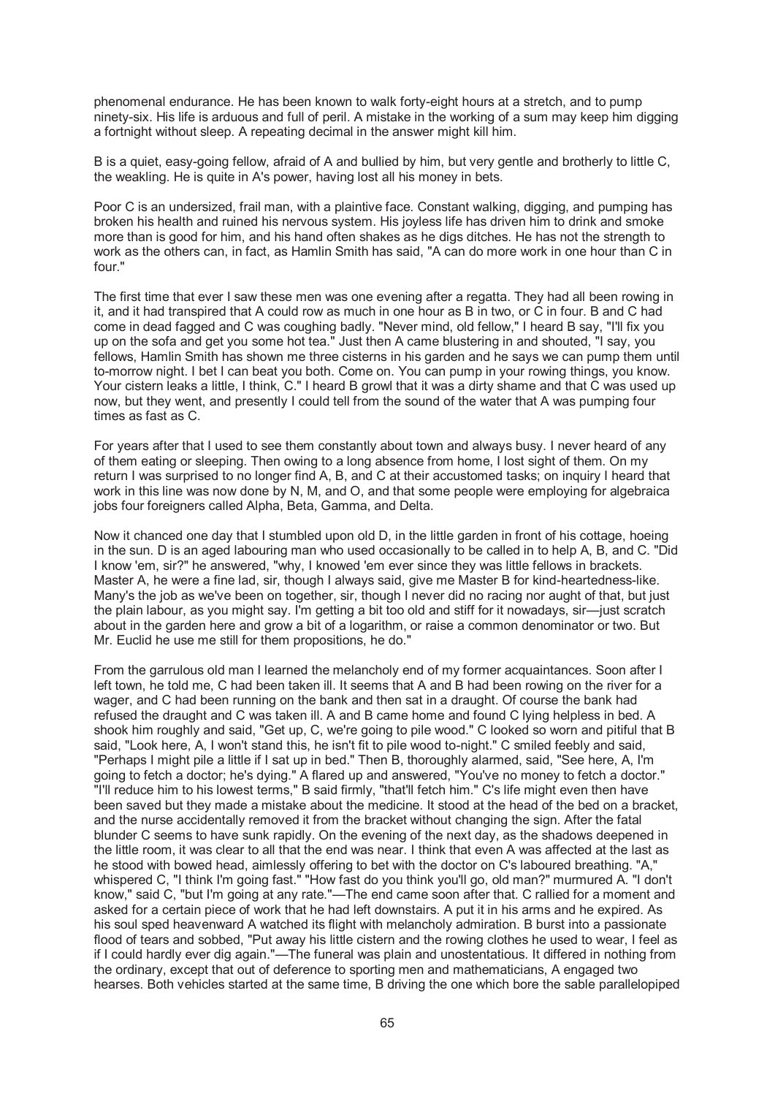phenomenal endurance. He has been known to walk forty-eight hours at a stretch, and to pump ninety-six. His life is arduous and full of peril. A mistake in the working of a sum may keep him digging a fortnight without sleep. A repeating decimal in the answer might kill him.

B is a quiet, easy-going fellow, afraid of A and bullied by him, but very gentle and brotherly to little C, the weakling. He is quite in A's power, having lost all his money in bets.

Poor C is an undersized, frail man, with a plaintive face. Constant walking, digging, and pumping has broken his health and ruined his nervous system. His joyless life has driven him to drink and smoke more than is good for him, and his hand often shakes as he digs ditches. He has not the strength to work as the others can, in fact, as Hamlin Smith has said, "A can do more work in one hour than C in four."

The first time that ever I saw these men was one evening after a regatta. They had all been rowing in it, and it had transpired that A could row as much in one hour as B in two, or C in four. B and C had come in dead fagged and C was coughing badly. "Never mind, old fellow," I heard B say, "I'll fix you up on the sofa and get you some hot tea." Just then A came blustering in and shouted, "I say, you fellows, Hamlin Smith has shown me three cisterns in his garden and he says we can pump them until to-morrow night. I bet I can beat you both. Come on. You can pump in your rowing things, you know. Your cistern leaks a little, I think, C." I heard B growl that it was a dirty shame and that C was used up now, but they went, and presently I could tell from the sound of the water that A was pumping four times as fast as C.

For years after that I used to see them constantly about town and always busy. I never heard of any of them eating or sleeping. Then owing to a long absence from home, I lost sight of them. On my return I was surprised to no longer find A, B, and C at their accustomed tasks; on inquiry I heard that work in this line was now done by N, M, and O, and that some people were employing for algebraica jobs four foreigners called Alpha, Beta, Gamma, and Delta.

Now it chanced one day that I stumbled upon old D, in the little garden in front of his cottage, hoeing in the sun. D is an aged labouring man who used occasionally to be called in to help A, B, and C. "Did I know 'em, sir?" he answered, "why, I knowed 'em ever since they was little fellows in brackets. Master A, he were a fine lad, sir, though I always said, give me Master B for kind-heartedness-like. Many's the job as we've been on together, sir, though I never did no racing nor aught of that, but just the plain labour, as you might say. I'm getting a bit too old and stiff for it nowadays, sir—just scratch about in the garden here and grow a bit of a logarithm, or raise a common denominator or two. But Mr. Euclid he use me still for them propositions, he do."

From the garrulous old man I learned the melancholy end of my former acquaintances. Soon after I left town, he told me, C had been taken ill. It seems that A and B had been rowing on the river for a wager, and C had been running on the bank and then sat in a draught. Of course the bank had refused the draught and C was taken ill. A and B came home and found C lying helpless in bed. A shook him roughly and said, "Get up, C, we're going to pile wood." C looked so worn and pitiful that B said, "Look here, A, I won't stand this, he isn't fit to pile wood to-night." C smiled feebly and said, "Perhaps I might pile a little if I sat up in bed." Then B, thoroughly alarmed, said, "See here, A, I'm going to fetch a doctor; he's dying." A flared up and answered, "You've no money to fetch a doctor." "I'll reduce him to his lowest terms," B said firmly, "that'll fetch him." C's life might even then have been saved but they made a mistake about the medicine. It stood at the head of the bed on a bracket, and the nurse accidentally removed it from the bracket without changing the sign. After the fatal blunder C seems to have sunk rapidly. On the evening of the next day, as the shadows deepened in the little room, it was clear to all that the end was near. I think that even A was affected at the last as he stood with bowed head, aimlessly offering to bet with the doctor on C's laboured breathing. "A," whispered C, "I think I'm going fast." "How fast do you think you'll go, old man?" murmured A. "I don't know," said C, "but I'm going at any rate."—The end came soon after that. C rallied for a moment and asked for a certain piece of work that he had left downstairs. A put it in his arms and he expired. As his soul sped heavenward A watched its flight with melancholy admiration. B burst into a passionate flood of tears and sobbed, "Put away his little cistern and the rowing clothes he used to wear, I feel as if I could hardly ever dig again."—The funeral was plain and unostentatious. It differed in nothing from the ordinary, except that out of deference to sporting men and mathematicians, A engaged two hearses. Both vehicles started at the same time, B driving the one which bore the sable parallelopiped